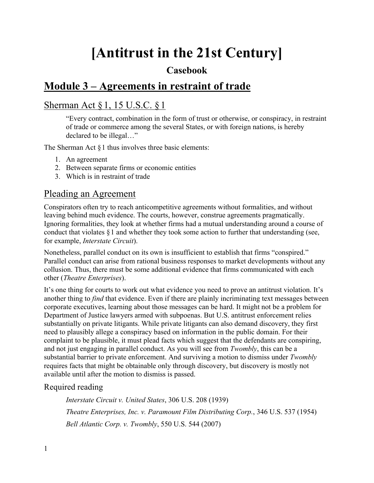# **[Antitrust in the 21st Century]**

# **Casebook**

# **Module 3 – Agreements in restraint of trade**

# Sherman Act §1, 15 U.S.C. §1

"Every contract, combination in the form of trust or otherwise, or conspiracy, in restraint of trade or commerce among the several States, or with foreign nations, is hereby declared to be illegal…"

The Sherman Act  $\S 1$  thus involves three basic elements:

- 1. An agreement
- 2. Between separate firms or economic entities
- 3. Which is in restraint of trade

# Pleading an Agreement

Conspirators often try to reach anticompetitive agreements without formalities, and without leaving behind much evidence. The courts, however, construe agreements pragmatically. Ignoring formalities, they look at whether firms had a mutual understanding around a course of conduct that violates §1 and whether they took some action to further that understanding (see, for example, *Interstate Circuit*).

Nonetheless, parallel conduct on its own is insufficient to establish that firms "conspired." Parallel conduct can arise from rational business responses to market developments without any collusion. Thus, there must be some additional evidence that firms communicated with each other (*Theatre Enterprises*).

It's one thing for courts to work out what evidence you need to prove an antitrust violation. It's another thing to *find* that evidence. Even if there are plainly incriminating text messages between corporate executives, learning about those messages can be hard. It might not be a problem for Department of Justice lawyers armed with subpoenas. But U.S. antitrust enforcement relies substantially on private litigants. While private litigants can also demand discovery, they first need to plausibly allege a conspiracy based on information in the public domain. For their complaint to be plausible, it must plead facts which suggest that the defendants are conspiring, and not just engaging in parallel conduct. As you will see from *Twombly*, this can be a substantial barrier to private enforcement. And surviving a motion to dismiss under *Twombly* requires facts that might be obtainable only through discovery, but discovery is mostly not available until after the motion to dismiss is passed.

# Required reading

*Interstate Circuit v. United States*, 306 U.S. 208 (1939) *Theatre Enterprises, Inc. v. Paramount Film Distributing Corp.*, 346 U.S. 537 (1954) *Bell Atlantic Corp. v. Twombly*, 550 U.S. 544 (2007)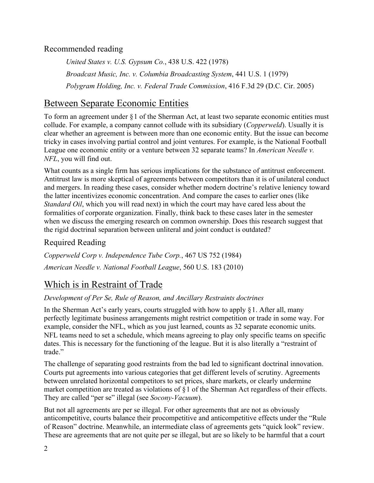# Recommended reading

*United States v. U.S. Gypsum Co.*, 438 U.S. 422 (1978) *Broadcast Music, Inc. v. Columbia Broadcasting System*, 441 U.S. 1 (1979) *Polygram Holding, Inc. v. Federal Trade Commission*, 416 F.3d 29 (D.C. Cir. 2005)

# Between Separate Economic Entities

To form an agreement under §1 of the Sherman Act, at least two separate economic entities must collude. For example, a company cannot collude with its subsidiary (*Copperweld*). Usually it is clear whether an agreement is between more than one economic entity. But the issue can become tricky in cases involving partial control and joint ventures. For example, is the National Football League one economic entity or a venture between 32 separate teams? In *American Needle v. NFL*, you will find out.

What counts as a single firm has serious implications for the substance of antitrust enforcement. Antitrust law is more skeptical of agreements between competitors than it is of unilateral conduct and mergers. In reading these cases, consider whether modern doctrine's relative leniency toward the latter incentivizes economic concentration. And compare the cases to earlier ones (like *Standard Oil*, which you will read next) in which the court may have cared less about the formalities of corporate organization. Finally, think back to these cases later in the semester when we discuss the emerging research on common ownership. Does this research suggest that the rigid doctrinal separation between unliteral and joint conduct is outdated?

# Required Reading

*Copperweld Corp v. Independence Tube Corp.*, 467 US 752 (1984) *American Needle v. National Football League*, 560 U.S. 183 (2010)

# Which is in Restraint of Trade

### *Development of Per Se, Rule of Reason, and Ancillary Restraints doctrines*

In the Sherman Act's early years, courts struggled with how to apply  $\S 1$ . After all, many perfectly legitimate business arrangements might restrict competition or trade in some way. For example, consider the NFL, which as you just learned, counts as 32 separate economic units. NFL teams need to set a schedule, which means agreeing to play only specific teams on specific dates. This is necessary for the functioning of the league. But it is also literally a "restraint of trade."

The challenge of separating good restraints from the bad led to significant doctrinal innovation. Courts put agreements into various categories that get different levels of scrutiny. Agreements between unrelated horizontal competitors to set prices, share markets, or clearly undermine market competition are treated as violations of §1 of the Sherman Act regardless of their effects. They are called "per se" illegal (see *Socony-Vacuum*).

But not all agreements are per se illegal. For other agreements that are not as obviously anticompetitive, courts balance their procompetitive and anticompetitive effects under the "Rule of Reason" doctrine. Meanwhile, an intermediate class of agreements gets "quick look" review. These are agreements that are not quite per se illegal, but are so likely to be harmful that a court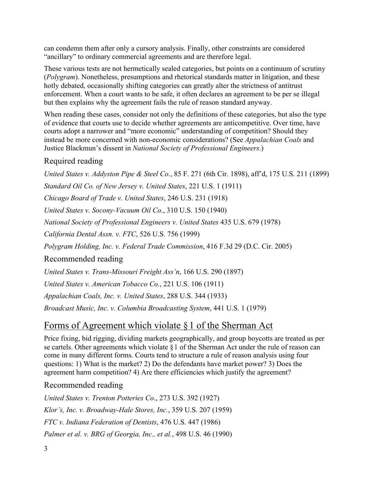can condemn them after only a cursory analysis. Finally, other constraints are considered "ancillary" to ordinary commercial agreements and are therefore legal.

These various tests are not hermetically sealed categories, but points on a continuum of scrutiny (*Polygram*). Nonetheless, presumptions and rhetorical standards matter in litigation, and these hotly debated, occasionally shifting categories can greatly alter the strictness of antitrust enforcement. When a court wants to be safe, it often declares an agreement to be per se illegal but then explains why the agreement fails the rule of reason standard anyway.

When reading these cases, consider not only the definitions of these categories, but also the type of evidence that courts use to decide whether agreements are anticompetitive. Over time, have courts adopt a narrower and "more economic" understanding of competition? Should they instead be more concerned with non-economic considerations? (See *Appalachian Coals* and Justice Blackmun's dissent in *National Society of Professional Engineers*.)

# Required reading

*United States v. Addyston Pipe & Steel Co.*, 85 F. 271 (6th Cir. 1898), aff'd, 175 U.S. 211 (1899)

*Standard Oil Co. of New Jersey v. United States*, 221 U.S. 1 (1911)

*Chicago Board of Trade v. United States*, 246 U.S. 231 (1918)

*United States v. Socony-Vacuum Oil Co.*, 310 U.S. 150 (1940)

*National Society of Professional Engineers v. United States* 435 U.S. 679 (1978)

*California Dental Assn. v. FTC*, 526 U.S. 756 (1999)

*Polygram Holding, Inc. v. Federal Trade Commission*, 416 F.3d 29 (D.C. Cir. 2005)

# Recommended reading

*United States v. Trans-Missouri Freight Ass'n*, 166 U.S. 290 (1897)

*United States v. American Tobacco Co.*, 221 U.S. 106 (1911)

*Appalachian Coals, Inc. v. United States*, 288 U.S. 344 (1933)

*Broadcast Music, Inc. v. Columbia Broadcasting System*, 441 U.S. 1 (1979)

# Forms of Agreement which violate §1 of the Sherman Act

Price fixing, bid rigging, dividing markets geographically, and group boycotts are treated as per se cartels. Other agreements which violate §1 of the Sherman Act under the rule of reason can come in many different forms. Courts tend to structure a rule of reason analysis using four questions: 1) What is the market? 2) Do the defendants have market power? 3) Does the agreement harm competition? 4) Are there efficiencies which justify the agreement?

# Recommended reading

*United States v. Trenton Potteries Co*., 273 U.S. 392 (1927) *Klor's, Inc. v. Broadway-Hale Stores, Inc.*, 359 U.S. 207 (1959) *FTC v. Indiana Federation of Dentists*, 476 U.S. 447 (1986) *Palmer et al. v. BRG of Georgia, Inc., et al.*, 498 U.S. 46 (1990)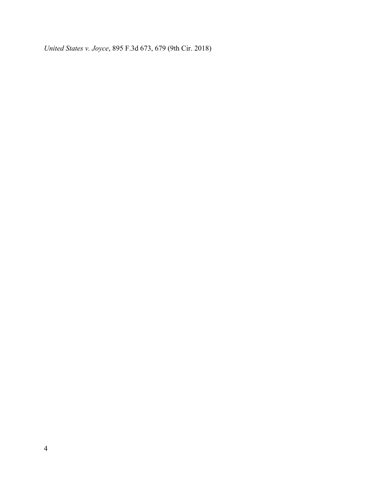*United States v. Joyce*, 895 F.3d 673, 679 (9th Cir. 2018)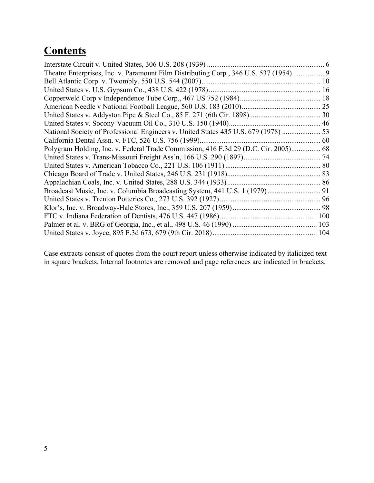# **Contents**

| Theatre Enterprises, Inc. v. Paramount Film Distributing Corp., 346 U.S. 537 (1954)  9 |  |
|----------------------------------------------------------------------------------------|--|
|                                                                                        |  |
|                                                                                        |  |
|                                                                                        |  |
|                                                                                        |  |
|                                                                                        |  |
|                                                                                        |  |
| National Society of Professional Engineers v. United States 435 U.S. 679 (1978)  53    |  |
|                                                                                        |  |
| Polygram Holding, Inc. v. Federal Trade Commission, 416 F.3d 29 (D.C. Cir. 2005) 68    |  |
|                                                                                        |  |
|                                                                                        |  |
|                                                                                        |  |
|                                                                                        |  |
|                                                                                        |  |
|                                                                                        |  |
|                                                                                        |  |
|                                                                                        |  |
|                                                                                        |  |
|                                                                                        |  |

Case extracts consist of quotes from the court report unless otherwise indicated by italicized text in square brackets. Internal footnotes are removed and page references are indicated in brackets.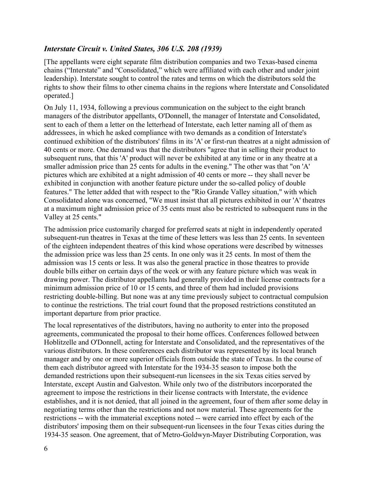### *Interstate Circuit v. United States, 306 U.S. 208 (1939)*

[The appellants were eight separate film distribution companies and two Texas-based cinema chains ("Interstate" and "Consolidated," which were affiliated with each other and under joint leadership). Interstate sought to control the rates and terms on which the distributors sold the rights to show their films to other cinema chains in the regions where Interstate and Consolidated operated.]

On July 11, 1934, following a previous communication on the subject to the eight branch managers of the distributor appellants, O'Donnell, the manager of Interstate and Consolidated, sent to each of them a letter on the letterhead of Interstate, each letter naming all of them as addressees, in which he asked compliance with two demands as a condition of Interstate's continued exhibition of the distributors' films in its 'A' or first-run theatres at a night admission of 40 cents or more. One demand was that the distributors "agree that in selling their product to subsequent runs, that this 'A' product will never be exhibited at any time or in any theatre at a smaller admission price than 25 cents for adults in the evening." The other was that "on 'A' pictures which are exhibited at a night admission of 40 cents or more -- they shall never be exhibited in conjunction with another feature picture under the so-called policy of double features." The letter added that with respect to the "Rio Grande Valley situation," with which Consolidated alone was concerned, "We must insist that all pictures exhibited in our 'A' theatres at a maximum night admission price of 35 cents must also be restricted to subsequent runs in the Valley at 25 cents."

The admission price customarily charged for preferred seats at night in independently operated subsequent-run theatres in Texas at the time of these letters was less than 25 cents. In seventeen of the eighteen independent theatres of this kind whose operations were described by witnesses the admission price was less than 25 cents. In one only was it 25 cents. In most of them the admission was 15 cents or less. It was also the general practice in those theatres to provide double bills either on certain days of the week or with any feature picture which was weak in drawing power. The distributor appellants had generally provided in their license contracts for a minimum admission price of 10 or 15 cents, and three of them had included provisions restricting double-billing. But none was at any time previously subject to contractual compulsion to continue the restrictions. The trial court found that the proposed restrictions constituted an important departure from prior practice.

The local representatives of the distributors, having no authority to enter into the proposed agreements, communicated the proposal to their home offices. Conferences followed between Hoblitzelle and O'Donnell, acting for Interstate and Consolidated, and the representatives of the various distributors. In these conferences each distributor was represented by its local branch manager and by one or more superior officials from outside the state of Texas. In the course of them each distributor agreed with Interstate for the 1934-35 season to impose both the demanded restrictions upon their subsequent-run licensees in the six Texas cities served by Interstate, except Austin and Galveston. While only two of the distributors incorporated the agreement to impose the restrictions in their license contracts with Interstate, the evidence establishes, and it is not denied, that all joined in the agreement, four of them after some delay in negotiating terms other than the restrictions and not now material. These agreements for the restrictions -- with the immaterial exceptions noted -- were carried into effect by each of the distributors' imposing them on their subsequent-run licensees in the four Texas cities during the 1934-35 season. One agreement, that of Metro-Goldwyn-Mayer Distributing Corporation, was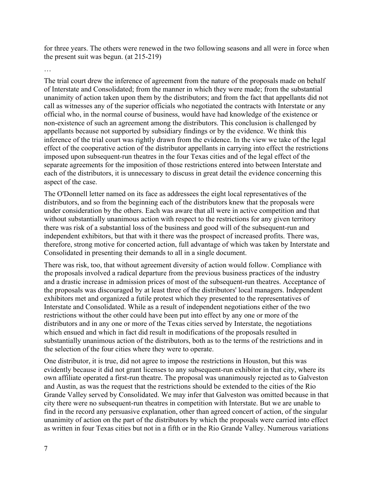for three years. The others were renewed in the two following seasons and all were in force when the present suit was begun. (at 215-219)

…

The trial court drew the inference of agreement from the nature of the proposals made on behalf of Interstate and Consolidated; from the manner in which they were made; from the substantial unanimity of action taken upon them by the distributors; and from the fact that appellants did not call as witnesses any of the superior officials who negotiated the contracts with Interstate or any official who, in the normal course of business, would have had knowledge of the existence or non-existence of such an agreement among the distributors. This conclusion is challenged by appellants because not supported by subsidiary findings or by the evidence. We think this inference of the trial court was rightly drawn from the evidence. In the view we take of the legal effect of the cooperative action of the distributor appellants in carrying into effect the restrictions imposed upon subsequent-run theatres in the four Texas cities and of the legal effect of the separate agreements for the imposition of those restrictions entered into between Interstate and each of the distributors, it is unnecessary to discuss in great detail the evidence concerning this aspect of the case.

The O'Donnell letter named on its face as addressees the eight local representatives of the distributors, and so from the beginning each of the distributors knew that the proposals were under consideration by the others. Each was aware that all were in active competition and that without substantially unanimous action with respect to the restrictions for any given territory there was risk of a substantial loss of the business and good will of the subsequent-run and independent exhibitors, but that with it there was the prospect of increased profits. There was, therefore, strong motive for concerted action, full advantage of which was taken by Interstate and Consolidated in presenting their demands to all in a single document.

There was risk, too, that without agreement diversity of action would follow. Compliance with the proposals involved a radical departure from the previous business practices of the industry and a drastic increase in admission prices of most of the subsequent-run theatres. Acceptance of the proposals was discouraged by at least three of the distributors' local managers. Independent exhibitors met and organized a futile protest which they presented to the representatives of Interstate and Consolidated. While as a result of independent negotiations either of the two restrictions without the other could have been put into effect by any one or more of the distributors and in any one or more of the Texas cities served by Interstate, the negotiations which ensued and which in fact did result in modifications of the proposals resulted in substantially unanimous action of the distributors, both as to the terms of the restrictions and in the selection of the four cities where they were to operate.

One distributor, it is true, did not agree to impose the restrictions in Houston, but this was evidently because it did not grant licenses to any subsequent-run exhibitor in that city, where its own affiliate operated a first-run theatre. The proposal was unanimously rejected as to Galveston and Austin, as was the request that the restrictions should be extended to the cities of the Rio Grande Valley served by Consolidated. We may infer that Galveston was omitted because in that city there were no subsequent-run theatres in competition with Interstate. But we are unable to find in the record any persuasive explanation, other than agreed concert of action, of the singular unanimity of action on the part of the distributors by which the proposals were carried into effect as written in four Texas cities but not in a fifth or in the Rio Grande Valley. Numerous variations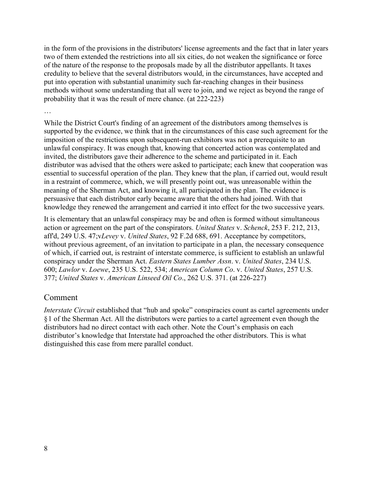in the form of the provisions in the distributors' license agreements and the fact that in later years two of them extended the restrictions into all six cities, do not weaken the significance or force of the nature of the response to the proposals made by all the distributor appellants. It taxes credulity to believe that the several distributors would, in the circumstances, have accepted and put into operation with substantial unanimity such far-reaching changes in their business methods without some understanding that all were to join, and we reject as beyond the range of probability that it was the result of mere chance. (at 222-223)

…

While the District Court's finding of an agreement of the distributors among themselves is supported by the evidence, we think that in the circumstances of this case such agreement for the imposition of the restrictions upon subsequent-run exhibitors was not a prerequisite to an unlawful conspiracy. It was enough that, knowing that concerted action was contemplated and invited, the distributors gave their adherence to the scheme and participated in it. Each distributor was advised that the others were asked to participate; each knew that cooperation was essential to successful operation of the plan. They knew that the plan, if carried out, would result in a restraint of commerce, which, we will presently point out, was unreasonable within the meaning of the Sherman Act, and knowing it, all participated in the plan. The evidence is persuasive that each distributor early became aware that the others had joined. With that knowledge they renewed the arrangement and carried it into effect for the two successive years.

It is elementary that an unlawful conspiracy may be and often is formed without simultaneous action or agreement on the part of the conspirators. *United States* v. *Schenck*, 253 F. 212, 213, aff'd, 249 U.S. 47;v*Levey* v. *United States*, 92 F.2d 688, 691. Acceptance by competitors, without previous agreement, of an invitation to participate in a plan, the necessary consequence of which, if carried out, is restraint of interstate commerce, is sufficient to establish an unlawful conspiracy under the Sherman Act. *Eastern States Lumber Assn*. v. *United States*, 234 U.S. 600; *Lawlor* v. *Loewe*, 235 U.S. 522, 534; *American Column Co*. v. *United States*, 257 U.S. 377; *United States* v. *American Linseed Oil Co*., 262 U.S. 371. (at 226-227)

#### Comment

*Interstate Circuit* established that "hub and spoke" conspiracies count as cartel agreements under §1 of the Sherman Act. All the distributors were parties to a cartel agreement even though the distributors had no direct contact with each other. Note the Court's emphasis on each distributor's knowledge that Interstate had approached the other distributors. This is what distinguished this case from mere parallel conduct.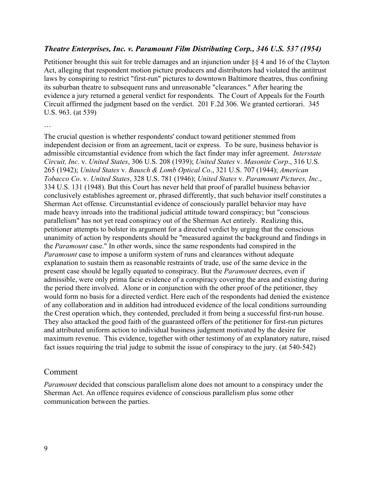#### *Theatre Enterprises, Inc. v. Paramount Film Distributing Corp., 346 U.S. 537 (1954)*

Petitioner brought this suit for treble damages and an injunction under §§ 4 and 16 of the Clayton Act, alleging that respondent motion picture producers and distributors had violated the antitrust laws by conspiring to restrict "first-run" pictures to downtown Baltimore theatres, thus confining its suburban theatre to subsequent runs and unreasonable "clearances." After hearing the evidence a jury returned a general verdict for respondents. The Court of Appeals for the Fourth Circuit affirmed the judgment based on the verdict. 201 F.2d 306. We granted certiorari. 345 U.S. 963. (at 539)

#### …

The crucial question is whether respondents' conduct toward petitioner stemmed from independent decision or from an agreement, tacit or express. To be sure, business behavior is admissible circumstantial evidence from which the fact finder may infer agreement. *Interstate Circuit, Inc*. v. *United States*, 306 U.S. 208 (1939); *United States* v. *Masonite Corp*., 316 U.S. 265 (1942); *United States* v. *Bausch & Lomb Optical Co*., 321 U.S. 707 (1944); *American Tobacco Co*. v. *United States*, 328 U.S. 781 (1946); *United States* v. *Paramount Pictures, Inc*., 334 U.S. 131 (1948). But this Court has never held that proof of parallel business behavior conclusively establishes agreement or, phrased differently, that such behavior itself constitutes a Sherman Act offense. Circumstantial evidence of consciously parallel behavior may have made heavy inroads into the traditional judicial attitude toward conspiracy; but "conscious parallelism" has not yet read conspiracy out of the Sherman Act entirely. Realizing this, petitioner attempts to bolster its argument for a directed verdict by urging that the conscious unanimity of action by respondents should be "measured against the background and findings in the *Paramount* case." In other words, since the same respondents had conspired in the *Paramount* case to impose a uniform system of runs and clearances without adequate explanation to sustain them as reasonable restraints of trade, use of the same device in the present case should be legally equated to conspiracy. But the *Paramount* decrees, even if admissible, were only prima facie evidence of a conspiracy covering the area and existing during the period there involved. Alone or in conjunction with the other proof of the petitioner, they would form no basis for a directed verdict. Here each of the respondents had denied the existence of any collaboration and in addition had introduced evidence of the local conditions surrounding the Crest operation which, they contended, precluded it from being a successful first-run house. They also attacked the good faith of the guaranteed offers of the petitioner for first-run pictures and attributed uniform action to individual business judgment motivated by the desire for maximum revenue. This evidence, together with other testimony of an explanatory nature, raised fact issues requiring the trial judge to submit the issue of conspiracy to the jury. (at 540-542)

#### Comment

*Paramount* decided that conscious parallelism alone does not amount to a conspiracy under the Sherman Act. An offence requires evidence of conscious parallelism plus some other communication between the parties.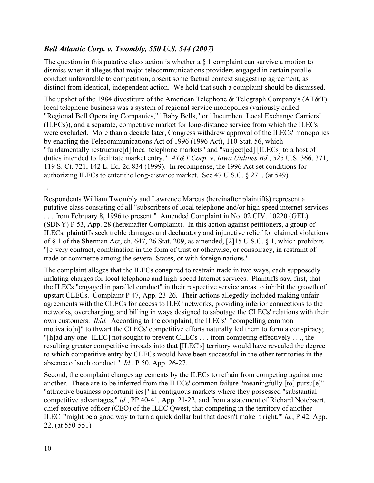### *Bell Atlantic Corp. v. Twombly, 550 U.S. 544 (2007)*

The question in this putative class action is whether a  $\S$  1 complaint can survive a motion to dismiss when it alleges that major telecommunications providers engaged in certain parallel conduct unfavorable to competition, absent some factual context suggesting agreement, as distinct from identical, independent action. We hold that such a complaint should be dismissed.

The upshot of the 1984 divestiture of the American Telephone & Telegraph Company's (AT&T) local telephone business was a system of regional service monopolies (variously called "Regional Bell Operating Companies," "Baby Bells," or "Incumbent Local Exchange Carriers" (ILECs)), and a separate, competitive market for long-distance service from which the ILECs were excluded. More than a decade later, Congress withdrew approval of the ILECs' monopolies by enacting the Telecommunications Act of 1996 (1996 Act), 110 Stat. 56, which "fundamentally restructure[d] local telephone markets" and "subject[ed] [ILECs] to a host of duties intended to facilitate market entry." *AT&T Corp.* v. *Iowa Utilities Bd.*, 525 U.S. 366, 371, 119 S. Ct. 721, 142 L. Ed. 2d 834 (1999). In recompense, the 1996 Act set conditions for authorizing ILECs to enter the long-distance market. See 47 U.S.C. § 271. (at 549)

…

Respondents William Twombly and Lawrence Marcus (hereinafter plaintiffs) represent a putative class consisting of all "subscribers of local telephone and/or high speed internet services . . . from February 8, 1996 to present." Amended Complaint in No. 02 CIV. 10220 (GEL) (SDNY) P 53, App. 28 (hereinafter Complaint). In this action against petitioners, a group of ILECs, plaintiffs seek treble damages and declaratory and injunctive relief for claimed violations of § 1 of the Sherman Act, ch. 647, 26 Stat. 209, as amended, [2]15 U.S.C. § 1, which prohibits "[e]very contract, combination in the form of trust or otherwise, or conspiracy, in restraint of trade or commerce among the several States, or with foreign nations."

The complaint alleges that the ILECs conspired to restrain trade in two ways, each supposedly inflating charges for local telephone and high-speed Internet services. Plaintiffs say, first, that the ILECs "engaged in parallel conduct" in their respective service areas to inhibit the growth of upstart CLECs. Complaint P 47, App. 23-26. Their actions allegedly included making unfair agreements with the CLECs for access to ILEC networks, providing inferior connections to the networks, overcharging, and billing in ways designed to sabotage the CLECs' relations with their own customers. *Ibid.* According to the complaint, the ILECs' "compelling common motivatio[n]" to thwart the CLECs' competitive efforts naturally led them to form a conspiracy; "[h]ad any one [ILEC] not sought to prevent CLECs . . . from competing effectively . . ., the resulting greater competitive inroads into that [ILEC's] territory would have revealed the degree to which competitive entry by CLECs would have been successful in the other territories in the absence of such conduct." *Id.*, P 50, App. 26-27.

Second, the complaint charges agreements by the ILECs to refrain from competing against one another. These are to be inferred from the ILECs' common failure "meaningfully [to] pursu[e]" "attractive business opportunit[ies]" in contiguous markets where they possessed "substantial competitive advantages," *id.*, PP 40-41, App. 21-22, and from a statement of Richard Notebaert, chief executive officer (CEO) of the ILEC Qwest, that competing in the territory of another ILEC "'might be a good way to turn a quick dollar but that doesn't make it right,'" *id.*, P 42, App. 22. (at 550-551)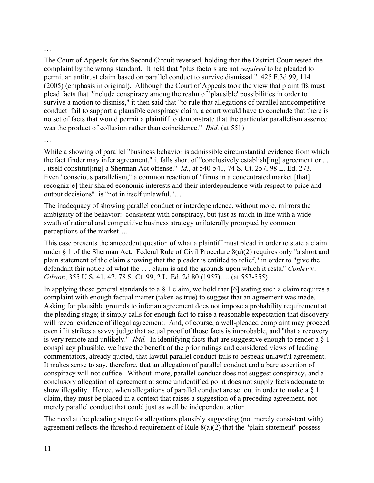…

The Court of Appeals for the Second Circuit reversed, holding that the District Court tested the complaint by the wrong standard. It held that "plus factors are not *required* to be pleaded to permit an antitrust claim based on parallel conduct to survive dismissal." 425 F.3d 99, 114 (2005) (emphasis in original). Although the Court of Appeals took the view that plaintiffs must plead facts that "include conspiracy among the realm of 'plausible' possibilities in order to survive a motion to dismiss," it then said that "to rule that allegations of parallel anticompetitive conduct fail to support a plausible conspiracy claim, a court would have to conclude that there is no set of facts that would permit a plaintiff to demonstrate that the particular parallelism asserted was the product of collusion rather than coincidence." *Ibid.* (at 551)

…

While a showing of parallel "business behavior is admissible circumstantial evidence from which the fact finder may infer agreement," it falls short of "conclusively establish[ing] agreement or . . . itself constitut[ing] a Sherman Act offense." *Id.*, at 540-541, 74 S. Ct. 257, 98 L. Ed. 273. Even "conscious parallelism," a common reaction of "firms in a concentrated market [that] recogniz[e] their shared economic interests and their interdependence with respect to price and output decisions" is "not in itself unlawful."…

The inadequacy of showing parallel conduct or interdependence, without more, mirrors the ambiguity of the behavior: consistent with conspiracy, but just as much in line with a wide swath of rational and competitive business strategy unilaterally prompted by common perceptions of the market….

This case presents the antecedent question of what a plaintiff must plead in order to state a claim under § 1 of the Sherman Act. Federal Rule of Civil Procedure 8(a)(2) requires only "a short and plain statement of the claim showing that the pleader is entitled to relief," in order to "give the defendant fair notice of what the . . . claim is and the grounds upon which it rests," *Conley* v. *Gibson*, 355 U.S. 41, 47, 78 S. Ct. 99, 2 L. Ed. 2d 80 (1957)…. (at 553-555)

In applying these general standards to a  $\S$  1 claim, we hold that [6] stating such a claim requires a complaint with enough factual matter (taken as true) to suggest that an agreement was made. Asking for plausible grounds to infer an agreement does not impose a probability requirement at the pleading stage; it simply calls for enough fact to raise a reasonable expectation that discovery will reveal evidence of illegal agreement. And, of course, a well-pleaded complaint may proceed even if it strikes a savvy judge that actual proof of those facts is improbable, and "that a recovery is very remote and unlikely." *Ibid.* In identifying facts that are suggestive enough to render a § 1 conspiracy plausible, we have the benefit of the prior rulings and considered views of leading commentators, already quoted, that lawful parallel conduct fails to bespeak unlawful agreement. It makes sense to say, therefore, that an allegation of parallel conduct and a bare assertion of conspiracy will not suffice. Without more, parallel conduct does not suggest conspiracy, and a conclusory allegation of agreement at some unidentified point does not supply facts adequate to show illegality. Hence, when allegations of parallel conduct are set out in order to make a § 1 claim, they must be placed in a context that raises a suggestion of a preceding agreement, not merely parallel conduct that could just as well be independent action.

The need at the pleading stage for allegations plausibly suggesting (not merely consistent with) agreement reflects the threshold requirement of Rule  $8(a)(2)$  that the "plain statement" possess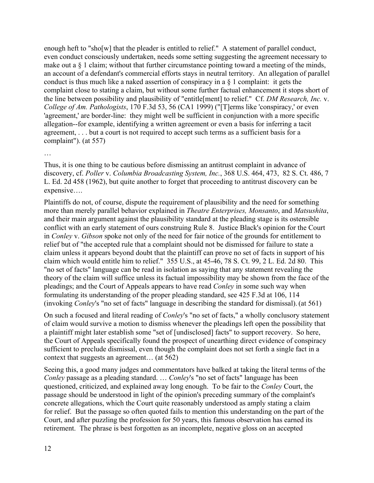enough heft to "sho[w] that the pleader is entitled to relief." A statement of parallel conduct, even conduct consciously undertaken, needs some setting suggesting the agreement necessary to make out a  $\S$  1 claim; without that further circumstance pointing toward a meeting of the minds, an account of a defendant's commercial efforts stays in neutral territory. An allegation of parallel conduct is thus much like a naked assertion of conspiracy in a § 1 complaint: it gets the complaint close to stating a claim, but without some further factual enhancement it stops short of the line between possibility and plausibility of "entitle[ment] to relief." Cf. *DM Research, Inc.* v. *College of Am. Pathologists*, 170 F.3d 53, 56 (CA1 1999) ("[T]erms like 'conspiracy,' or even 'agreement,' are border-line: they might well be sufficient in conjunction with a more specific allegation--for example, identifying a written agreement or even a basis for inferring a tacit agreement, . . . but a court is not required to accept such terms as a sufficient basis for a complaint"). (at 557)

…

Thus, it is one thing to be cautious before dismissing an antitrust complaint in advance of discovery, cf. *Poller* v. *Columbia Broadcasting System, Inc.*, 368 U.S. 464, 473, 82 S. Ct. 486, 7 L. Ed. 2d 458 (1962), but quite another to forget that proceeding to antitrust discovery can be expensive….

Plaintiffs do not, of course, dispute the requirement of plausibility and the need for something more than merely parallel behavior explained in *Theatre Enterprises, Monsanto*, and *Matsushita*, and their main argument against the plausibility standard at the pleading stage is its ostensible conflict with an early statement of ours construing Rule 8. Justice Black's opinion for the Court in *Conley* v. *Gibson* spoke not only of the need for fair notice of the grounds for entitlement to relief but of "the accepted rule that a complaint should not be dismissed for failure to state a claim unless it appears beyond doubt that the plaintiff can prove no set of facts in support of his claim which would entitle him to relief." 355 U.S., at 45-46, 78 S. Ct. 99, 2 L. Ed. 2d 80. This "no set of facts" language can be read in isolation as saying that any statement revealing the theory of the claim will suffice unless its factual impossibility may be shown from the face of the pleadings; and the Court of Appeals appears to have read *Conley* in some such way when formulating its understanding of the proper pleading standard, see 425 F.3d at 106, 114 (invoking *Conley*'s "no set of facts" language in describing the standard for dismissal). (at 561)

On such a focused and literal reading of *Conley*'s "no set of facts," a wholly conclusory statement of claim would survive a motion to dismiss whenever the pleadings left open the possibility that a plaintiff might later establish some "set of [undisclosed] facts" to support recovery. So here, the Court of Appeals specifically found the prospect of unearthing direct evidence of conspiracy sufficient to preclude dismissal, even though the complaint does not set forth a single fact in a context that suggests an agreement… (at 562)

Seeing this, a good many judges and commentators have balked at taking the literal terms of the *Conley* passage as a pleading standard. … *Conley*'s "no set of facts" language has been questioned, criticized, and explained away long enough. To be fair to the *Conley* Court, the passage should be understood in light of the opinion's preceding summary of the complaint's concrete allegations, which the Court quite reasonably understood as amply stating a claim for relief. But the passage so often quoted fails to mention this understanding on the part of the Court, and after puzzling the profession for 50 years, this famous observation has earned its retirement. The phrase is best forgotten as an incomplete, negative gloss on an accepted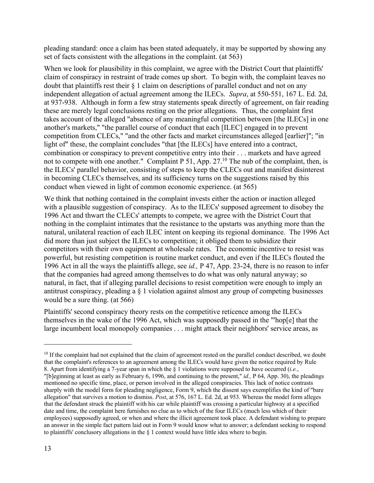pleading standard: once a claim has been stated adequately, it may be supported by showing any set of facts consistent with the allegations in the complaint. (at 563)

When we look for plausibility in this complaint, we agree with the District Court that plaintiffs' claim of conspiracy in restraint of trade comes up short. To begin with, the complaint leaves no doubt that plaintiffs rest their § 1 claim on descriptions of parallel conduct and not on any independent allegation of actual agreement among the ILECs. *Supra*, at 550-551, 167 L. Ed. 2d, at 937-938. Although in form a few stray statements speak directly of agreement, on fair reading these are merely legal conclusions resting on the prior allegations. Thus, the complaint first takes account of the alleged "absence of any meaningful competition between [the ILECs] in one another's markets," "the parallel course of conduct that each [ILEC] engaged in to prevent competition from CLECs," "and the other facts and market circumstances alleged [earlier]"; "in light of" these, the complaint concludes "that [the ILECs] have entered into a contract, combination or conspiracy to prevent competitive entry into their . . . markets and have agreed not to compete with one another." Complaint P 51, App. 27.<sup>10</sup> The nub of the complaint, then, is the ILECs' parallel behavior, consisting of steps to keep the CLECs out and manifest disinterest in becoming CLECs themselves, and its sufficiency turns on the suggestions raised by this conduct when viewed in light of common economic experience. (at 565)

We think that nothing contained in the complaint invests either the action or inaction alleged with a plausible suggestion of conspiracy. As to the ILECs' supposed agreement to disobey the 1996 Act and thwart the CLECs' attempts to compete, we agree with the District Court that nothing in the complaint intimates that the resistance to the upstarts was anything more than the natural, unilateral reaction of each ILEC intent on keeping its regional dominance. The 1996 Act did more than just subject the ILECs to competition; it obliged them to subsidize their competitors with their own equipment at wholesale rates. The economic incentive to resist was powerful, but resisting competition is routine market conduct, and even if the ILECs flouted the 1996 Act in all the ways the plaintiffs allege, see *id.,* P 47, App. 23-24, there is no reason to infer that the companies had agreed among themselves to do what was only natural anyway; so natural, in fact, that if alleging parallel decisions to resist competition were enough to imply an antitrust conspiracy, pleading a § 1 violation against almost any group of competing businesses would be a sure thing. (at 566)

Plaintiffs' second conspiracy theory rests on the competitive reticence among the ILECs themselves in the wake of the 1996 Act, which was supposedly passed in the "'hop[e] that the large incumbent local monopoly companies . . . might attack their neighbors' service areas, as

<sup>&</sup>lt;sup>10</sup> If the complaint had not explained that the claim of agreement rested on the parallel conduct described, we doubt that the complaint's references to an agreement among the ILECs would have given the notice required by Rule 8. Apart from identifying a 7-year span in which the § 1 violations were supposed to have occurred (*i.e.*,

<sup>&</sup>quot;[b]eginning at least as early as February 6, 1996, and continuing to the present," *id.,* P 64, App. 30), the pleadings mentioned no specific time, place, or person involved in the alleged conspiracies. This lack of notice contrasts sharply with the model form for pleading negligence, Form 9, which the dissent says exemplifies the kind of "bare allegation" that survives a motion to dismiss. *Post*, at 576, 167 L. Ed. 2d, at 953. Whereas the model form alleges that the defendant struck the plaintiff with his car while plaintiff was crossing a particular highway at a specified date and time, the complaint here furnishes no clue as to which of the four ILECs (much less which of their employees) supposedly agreed, or when and where the illicit agreement took place. A defendant wishing to prepare an answer in the simple fact pattern laid out in Form 9 would know what to answer; a defendant seeking to respond to plaintiffs' conclusory allegations in the § 1 context would have little idea where to begin.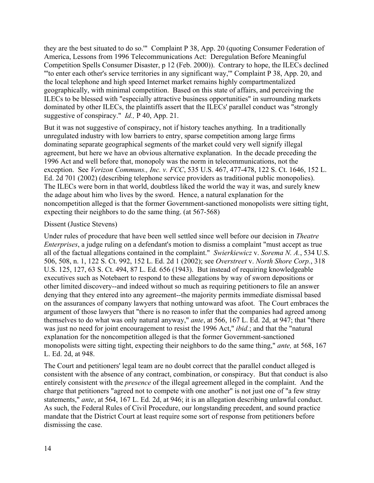they are the best situated to do so.'" Complaint P 38, App. 20 (quoting Consumer Federation of America, Lessons from 1996 Telecommunications Act: Deregulation Before Meaningful Competition Spells Consumer Disaster, p 12 (Feb. 2000)). Contrary to hope, the ILECs declined "'to enter each other's service territories in any significant way,'" Complaint P 38, App. 20, and the local telephone and high speed Internet market remains highly compartmentalized geographically, with minimal competition. Based on this state of affairs, and perceiving the ILECs to be blessed with "especially attractive business opportunities" in surrounding markets dominated by other ILECs, the plaintiffs assert that the ILECs' parallel conduct was "strongly suggestive of conspiracy." *Id.,* P 40, App. 21.

But it was not suggestive of conspiracy, not if history teaches anything. In a traditionally unregulated industry with low barriers to entry, sparse competition among large firms dominating separate geographical segments of the market could very well signify illegal agreement, but here we have an obvious alternative explanation. In the decade preceding the 1996 Act and well before that, monopoly was the norm in telecommunications, not the exception. See *Verizon Communs., Inc. v. FCC*, 535 U.S. 467, 477-478, 122 S. Ct. 1646, 152 L. Ed. 2d 701 (2002) (describing telephone service providers as traditional public monopolies). The ILECs were born in that world, doubtless liked the world the way it was, and surely knew the adage about him who lives by the sword. Hence, a natural explanation for the noncompetition alleged is that the former Government-sanctioned monopolists were sitting tight, expecting their neighbors to do the same thing. (at 567-568)

#### Dissent (Justice Stevens)

Under rules of procedure that have been well settled since well before our decision in *Theatre Enterprises*, a judge ruling on a defendant's motion to dismiss a complaint "must accept as true all of the factual allegations contained in the complaint." *Swierkiewicz* v. *Sorema N. A.*, 534 U.S. 506, 508, n. 1, 122 S. Ct. 992, 152 L. Ed. 2d 1 (2002); see *Overstreet* v. *North Shore Corp.*, 318 U.S. 125, 127, 63 S. Ct. 494, 87 L. Ed. 656 (1943). But instead of requiring knowledgeable executives such as Notebaert to respond to these allegations by way of sworn depositions or other limited discovery--and indeed without so much as requiring petitioners to file an answer denying that they entered into any agreement--the majority permits immediate dismissal based on the assurances of company lawyers that nothing untoward was afoot. The Court embraces the argument of those lawyers that "there is no reason to infer that the companies had agreed among themselves to do what was only natural anyway," *ante*, at 566, 167 L. Ed. 2d, at 947; that "there was just no need for joint encouragement to resist the 1996 Act," *ibid.*; and that the "natural explanation for the noncompetition alleged is that the former Government-sanctioned monopolists were sitting tight, expecting their neighbors to do the same thing," *ante,* at 568, 167 L. Ed. 2d, at 948.

The Court and petitioners' legal team are no doubt correct that the parallel conduct alleged is consistent with the absence of any contract, combination, or conspiracy. But that conduct is also entirely consistent with the *presence* of the illegal agreement alleged in the complaint. And the charge that petitioners "agreed not to compete with one another" is not just one of "a few stray statements," *ante*, at 564, 167 L. Ed. 2d, at 946; it is an allegation describing unlawful conduct. As such, the Federal Rules of Civil Procedure, our longstanding precedent, and sound practice mandate that the District Court at least require some sort of response from petitioners before dismissing the case.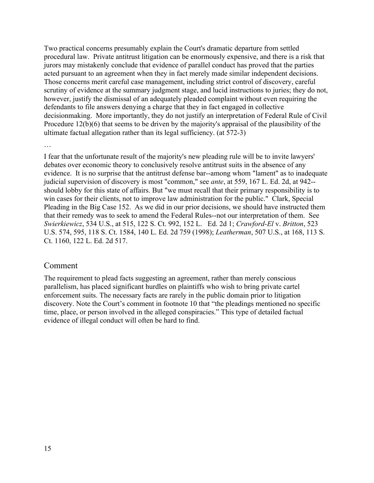Two practical concerns presumably explain the Court's dramatic departure from settled procedural law. Private antitrust litigation can be enormously expensive, and there is a risk that jurors may mistakenly conclude that evidence of parallel conduct has proved that the parties acted pursuant to an agreement when they in fact merely made similar independent decisions. Those concerns merit careful case management, including strict control of discovery, careful scrutiny of evidence at the summary judgment stage, and lucid instructions to juries; they do not, however, justify the dismissal of an adequately pleaded complaint without even requiring the defendants to file answers denying a charge that they in fact engaged in collective decisionmaking. More importantly, they do not justify an interpretation of Federal Rule of Civil Procedure 12(b)(6) that seems to be driven by the majority's appraisal of the plausibility of the ultimate factual allegation rather than its legal sufficiency. (at 572-3)

…

I fear that the unfortunate result of the majority's new pleading rule will be to invite lawyers' debates over economic theory to conclusively resolve antitrust suits in the absence of any evidence. It is no surprise that the antitrust defense bar--among whom "lament" as to inadequate judicial supervision of discovery is most "common," see *ante*, at 559, 167 L. Ed. 2d, at 942- should lobby for this state of affairs. But "we must recall that their primary responsibility is to win cases for their clients, not to improve law administration for the public." Clark, Special Pleading in the Big Case 152. As we did in our prior decisions, we should have instructed them that their remedy was to seek to amend the Federal Rules--not our interpretation of them. See *Swierkiewicz*, 534 U.S., at 515, 122 S. Ct. 992, 152 L. Ed. 2d 1; *Crawford-El* v. *Britton*, 523 U.S. 574, 595, 118 S. Ct. 1584, 140 L. Ed. 2d 759 (1998); *Leatherman*, 507 U.S., at 168, 113 S. Ct. 1160, 122 L. Ed. 2d 517.

#### Comment

The requirement to plead facts suggesting an agreement, rather than merely conscious parallelism, has placed significant hurdles on plaintiffs who wish to bring private cartel enforcement suits. The necessary facts are rarely in the public domain prior to litigation discovery. Note the Court's comment in footnote 10 that "the pleadings mentioned no specific time, place, or person involved in the alleged conspiracies." This type of detailed factual evidence of illegal conduct will often be hard to find.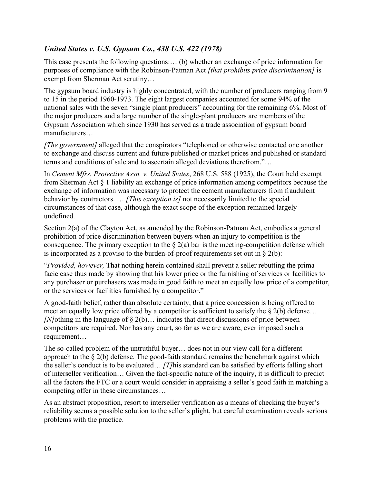# *United States v. U.S. Gypsum Co., 438 U.S. 422 (1978)*

This case presents the following questions:… (b) whether an exchange of price information for purposes of compliance with the Robinson-Patman Act *[that prohibits price discrimination]* is exempt from Sherman Act scrutiny…

The gypsum board industry is highly concentrated, with the number of producers ranging from 9 to 15 in the period 1960-1973. The eight largest companies accounted for some 94% of the national sales with the seven "single plant producers" accounting for the remaining 6%. Most of the major producers and a large number of the single-plant producers are members of the Gypsum Association which since 1930 has served as a trade association of gypsum board manufacturers…

*[The government]* alleged that the conspirators "telephoned or otherwise contacted one another to exchange and discuss current and future published or market prices and published or standard terms and conditions of sale and to ascertain alleged deviations therefrom."…

In *Cement Mfrs. Protective Assn. v. United States*, 268 U.S. 588 (1925), the Court held exempt from Sherman Act § 1 liability an exchange of price information among competitors because the exchange of information was necessary to protect the cement manufacturers from fraudulent behavior by contractors. … *[This exception is]* not necessarily limited to the special circumstances of that case, although the exact scope of the exception remained largely undefined.

Section 2(a) of the Clayton Act, as amended by the Robinson-Patman Act, embodies a general prohibition of price discrimination between buyers when an injury to competition is the consequence. The primary exception to the  $\S 2(a)$  bar is the meeting-competition defense which is incorporated as a proviso to the burden-of-proof requirements set out in  $\S 2(b)$ :

"*Provided, however,* That nothing herein contained shall prevent a seller rebutting the prima facie case thus made by showing that his lower price or the furnishing of services or facilities to any purchaser or purchasers was made in good faith to meet an equally low price of a competitor, or the services or facilities furnished by a competitor."

A good-faith belief, rather than absolute certainty, that a price concession is being offered to meet an equally low price offered by a competitor is sufficient to satisfy the  $\S$  2(b) defense... *[N]*othing in the language of § 2(b)... indicates that direct discussions of price between competitors are required. Nor has any court, so far as we are aware, ever imposed such a requirement…

The so-called problem of the untruthful buyer… does not in our view call for a different approach to the  $\S$  2(b) defense. The good-faith standard remains the benchmark against which the seller's conduct is to be evaluated… *[T]*his standard can be satisfied by efforts falling short of interseller verification… Given the fact-specific nature of the inquiry, it is difficult to predict all the factors the FTC or a court would consider in appraising a seller's good faith in matching a competing offer in these circumstances…

As an abstract proposition, resort to interseller verification as a means of checking the buyer's reliability seems a possible solution to the seller's plight, but careful examination reveals serious problems with the practice.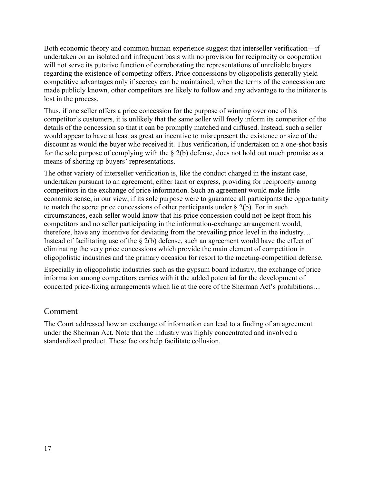Both economic theory and common human experience suggest that interseller verification—if undertaken on an isolated and infrequent basis with no provision for reciprocity or cooperation will not serve its putative function of corroborating the representations of unreliable buyers regarding the existence of competing offers. Price concessions by oligopolists generally yield competitive advantages only if secrecy can be maintained; when the terms of the concession are made publicly known, other competitors are likely to follow and any advantage to the initiator is lost in the process.

Thus, if one seller offers a price concession for the purpose of winning over one of his competitor's customers, it is unlikely that the same seller will freely inform its competitor of the details of the concession so that it can be promptly matched and diffused. Instead, such a seller would appear to have at least as great an incentive to misrepresent the existence or size of the discount as would the buyer who received it. Thus verification, if undertaken on a one-shot basis for the sole purpose of complying with the  $\S$  2(b) defense, does not hold out much promise as a means of shoring up buyers' representations.

The other variety of interseller verification is, like the conduct charged in the instant case, undertaken pursuant to an agreement, either tacit or express, providing for reciprocity among competitors in the exchange of price information. Such an agreement would make little economic sense, in our view, if its sole purpose were to guarantee all participants the opportunity to match the secret price concessions of other participants under  $\S$  2(b). For in such circumstances, each seller would know that his price concession could not be kept from his competitors and no seller participating in the information-exchange arrangement would, therefore, have any incentive for deviating from the prevailing price level in the industry… Instead of facilitating use of the  $\S$  2(b) defense, such an agreement would have the effect of eliminating the very price concessions which provide the main element of competition in oligopolistic industries and the primary occasion for resort to the meeting-competition defense.

Especially in oligopolistic industries such as the gypsum board industry, the exchange of price information among competitors carries with it the added potential for the development of concerted price-fixing arrangements which lie at the core of the Sherman Act's prohibitions…

### Comment

The Court addressed how an exchange of information can lead to a finding of an agreement under the Sherman Act. Note that the industry was highly concentrated and involved a standardized product. These factors help facilitate collusion.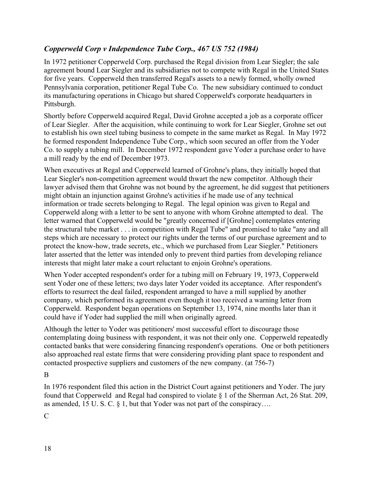# *Copperweld Corp v Independence Tube Corp., 467 US 752 (1984)*

In 1972 petitioner Copperweld Corp. purchased the Regal division from Lear Siegler; the sale agreement bound Lear Siegler and its subsidiaries not to compete with Regal in the United States for five years. Copperweld then transferred Regal's assets to a newly formed, wholly owned Pennsylvania corporation, petitioner Regal Tube Co. The new subsidiary continued to conduct its manufacturing operations in Chicago but shared Copperweld's corporate headquarters in Pittsburgh.

Shortly before Copperweld acquired Regal, David Grohne accepted a job as a corporate officer of Lear Siegler. After the acquisition, while continuing to work for Lear Siegler, Grohne set out to establish his own steel tubing business to compete in the same market as Regal. In May 1972 he formed respondent Independence Tube Corp., which soon secured an offer from the Yoder Co. to supply a tubing mill. In December 1972 respondent gave Yoder a purchase order to have a mill ready by the end of December 1973.

When executives at Regal and Copperweld learned of Grohne's plans, they initially hoped that Lear Siegler's non-competition agreement would thwart the new competitor. Although their lawyer advised them that Grohne was not bound by the agreement, he did suggest that petitioners might obtain an injunction against Grohne's activities if he made use of any technical information or trade secrets belonging to Regal. The legal opinion was given to Regal and Copperweld along with a letter to be sent to anyone with whom Grohne attempted to deal. The letter warned that Copperweld would be "greatly concerned if [Grohne] contemplates entering the structural tube market . . . in competition with Regal Tube" and promised to take "any and all steps which are necessary to protect our rights under the terms of our purchase agreement and to protect the know-how, trade secrets, etc., which we purchased from Lear Siegler." Petitioners later asserted that the letter was intended only to prevent third parties from developing reliance interests that might later make a court reluctant to enjoin Grohne's operations.

When Yoder accepted respondent's order for a tubing mill on February 19, 1973, Copperweld sent Yoder one of these letters; two days later Yoder voided its acceptance. After respondent's efforts to resurrect the deal failed, respondent arranged to have a mill supplied by another company, which performed its agreement even though it too received a warning letter from Copperweld. Respondent began operations on September 13, 1974, nine months later than it could have if Yoder had supplied the mill when originally agreed.

Although the letter to Yoder was petitioners' most successful effort to discourage those contemplating doing business with respondent, it was not their only one. Copperweld repeatedly contacted banks that were considering financing respondent's operations. One or both petitioners also approached real estate firms that were considering providing plant space to respondent and contacted prospective suppliers and customers of the new company. (at 756-7)

B

In 1976 respondent filed this action in the District Court against petitioners and Yoder. The jury found that Copperweld and Regal had conspired to violate § 1 of the Sherman Act, 26 Stat. 209, as amended, 15 U. S. C.  $\S$  1, but that Yoder was not part of the conspiracy....

C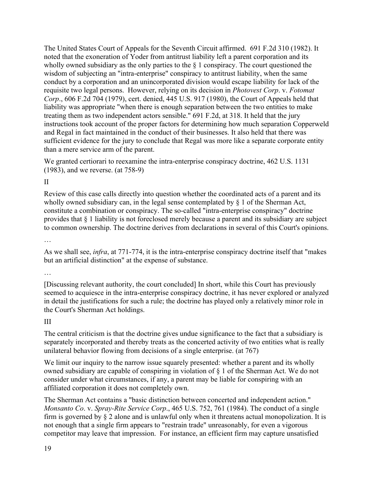The United States Court of Appeals for the Seventh Circuit affirmed. 691 F.2d 310 (1982). It noted that the exoneration of Yoder from antitrust liability left a parent corporation and its wholly owned subsidiary as the only parties to the  $\S$  1 conspiracy. The court questioned the wisdom of subjecting an "intra-enterprise" conspiracy to antitrust liability, when the same conduct by a corporation and an unincorporated division would escape liability for lack of the requisite two legal persons. However, relying on its decision in *Photovest Corp*. v. *Fotomat Corp*., 606 F.2d 704 (1979), cert. denied, 445 U.S. 917 (1980), the Court of Appeals held that liability was appropriate "when there is enough separation between the two entities to make treating them as two independent actors sensible." 691 F.2d, at 318. It held that the jury instructions took account of the proper factors for determining how much separation Copperweld and Regal in fact maintained in the conduct of their businesses. It also held that there was sufficient evidence for the jury to conclude that Regal was more like a separate corporate entity than a mere service arm of the parent.

We granted certiorari to reexamine the intra-enterprise conspiracy doctrine, 462 U.S. 1131 (1983), and we reverse. (at 758-9)

#### II

Review of this case calls directly into question whether the coordinated acts of a parent and its wholly owned subsidiary can, in the legal sense contemplated by § 1 of the Sherman Act, constitute a combination or conspiracy. The so-called "intra-enterprise conspiracy" doctrine provides that § 1 liability is not foreclosed merely because a parent and its subsidiary are subject to common ownership. The doctrine derives from declarations in several of this Court's opinions.

…

As we shall see, *infra*, at 771-774, it is the intra-enterprise conspiracy doctrine itself that "makes but an artificial distinction" at the expense of substance.

…

[Discussing relevant authority, the court concluded] In short, while this Court has previously seemed to acquiesce in the intra-enterprise conspiracy doctrine, it has never explored or analyzed in detail the justifications for such a rule; the doctrine has played only a relatively minor role in the Court's Sherman Act holdings.

#### III

The central criticism is that the doctrine gives undue significance to the fact that a subsidiary is separately incorporated and thereby treats as the concerted activity of two entities what is really unilateral behavior flowing from decisions of a single enterprise. (at 767)

We limit our inquiry to the narrow issue squarely presented: whether a parent and its wholly owned subsidiary are capable of conspiring in violation of § 1 of the Sherman Act. We do not consider under what circumstances, if any, a parent may be liable for conspiring with an affiliated corporation it does not completely own.

The Sherman Act contains a "basic distinction between concerted and independent action." *Monsanto Co*. v. *Spray-Rite Service Corp*., 465 U.S. 752, 761 (1984). The conduct of a single firm is governed by § 2 alone and is unlawful only when it threatens actual monopolization. It is not enough that a single firm appears to "restrain trade" unreasonably, for even a vigorous competitor may leave that impression. For instance, an efficient firm may capture unsatisfied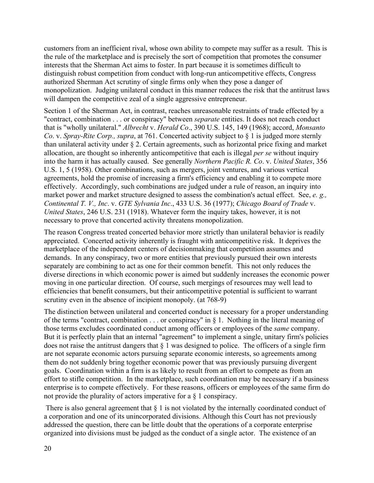customers from an inefficient rival, whose own ability to compete may suffer as a result. This is the rule of the marketplace and is precisely the sort of competition that promotes the consumer interests that the Sherman Act aims to foster. In part because it is sometimes difficult to distinguish robust competition from conduct with long-run anticompetitive effects, Congress authorized Sherman Act scrutiny of single firms only when they pose a danger of monopolization. Judging unilateral conduct in this manner reduces the risk that the antitrust laws will dampen the competitive zeal of a single aggressive entrepreneur.

Section 1 of the Sherman Act, in contrast, reaches unreasonable restraints of trade effected by a "contract, combination . . . or conspiracy" between *separate* entities. It does not reach conduct that is "wholly unilateral." *Albrecht* v. *Herald Co*., 390 U.S. 145, 149 (1968); accord, *Monsanto Co*. v. *Spray-Rite Corp., supra*, at 761. Concerted activity subject to § 1 is judged more sternly than unilateral activity under § 2. Certain agreements, such as horizontal price fixing and market allocation, are thought so inherently anticompetitive that each is illegal *per se* without inquiry into the harm it has actually caused. See generally *Northern Pacific R. Co*. v. *United States*, 356 U.S. 1, 5 (1958). Other combinations, such as mergers, joint ventures, and various vertical agreements, hold the promise of increasing a firm's efficiency and enabling it to compete more effectively. Accordingly, such combinations are judged under a rule of reason, an inquiry into market power and market structure designed to assess the combination's actual effect. See, *e. g., Continental T. V., Inc*. v. *GTE Sylvania Inc*., 433 U.S. 36 (1977); *Chicago Board of Trade* v. *United States*, 246 U.S. 231 (1918). Whatever form the inquiry takes, however, it is not necessary to prove that concerted activity threatens monopolization.

The reason Congress treated concerted behavior more strictly than unilateral behavior is readily appreciated. Concerted activity inherently is fraught with anticompetitive risk. It deprives the marketplace of the independent centers of decisionmaking that competition assumes and demands. In any conspiracy, two or more entities that previously pursued their own interests separately are combining to act as one for their common benefit. This not only reduces the diverse directions in which economic power is aimed but suddenly increases the economic power moving in one particular direction. Of course, such mergings of resources may well lead to efficiencies that benefit consumers, but their anticompetitive potential is sufficient to warrant scrutiny even in the absence of incipient monopoly. (at 768-9)

The distinction between unilateral and concerted conduct is necessary for a proper understanding of the terms "contract, combination . . . or conspiracy" in § 1. Nothing in the literal meaning of those terms excludes coordinated conduct among officers or employees of the *same* company. But it is perfectly plain that an internal "agreement" to implement a single, unitary firm's policies does not raise the antitrust dangers that § 1 was designed to police. The officers of a single firm are not separate economic actors pursuing separate economic interests, so agreements among them do not suddenly bring together economic power that was previously pursuing divergent goals. Coordination within a firm is as likely to result from an effort to compete as from an effort to stifle competition. In the marketplace, such coordination may be necessary if a business enterprise is to compete effectively. For these reasons, officers or employees of the same firm do not provide the plurality of actors imperative for a § 1 conspiracy.

There is also general agreement that  $\S$  1 is not violated by the internally coordinated conduct of a corporation and one of its unincorporated divisions. Although this Court has not previously addressed the question, there can be little doubt that the operations of a corporate enterprise organized into divisions must be judged as the conduct of a single actor. The existence of an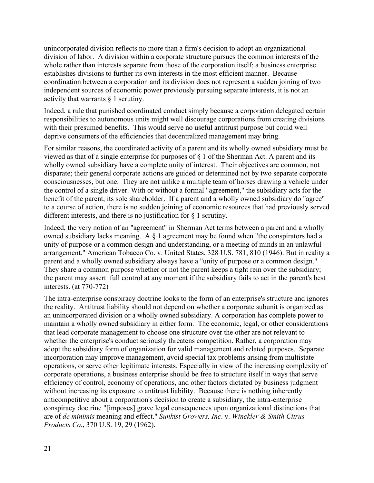unincorporated division reflects no more than a firm's decision to adopt an organizational division of labor. A division within a corporate structure pursues the common interests of the whole rather than interests separate from those of the corporation itself; a business enterprise establishes divisions to further its own interests in the most efficient manner. Because coordination between a corporation and its division does not represent a sudden joining of two independent sources of economic power previously pursuing separate interests, it is not an activity that warrants § 1 scrutiny.

Indeed, a rule that punished coordinated conduct simply because a corporation delegated certain responsibilities to autonomous units might well discourage corporations from creating divisions with their presumed benefits. This would serve no useful antitrust purpose but could well deprive consumers of the efficiencies that decentralized management may bring.

For similar reasons, the coordinated activity of a parent and its wholly owned subsidiary must be viewed as that of a single enterprise for purposes of § 1 of the Sherman Act. A parent and its wholly owned subsidiary have a complete unity of interest. Their objectives are common, not disparate; their general corporate actions are guided or determined not by two separate corporate consciousnesses, but one. They are not unlike a multiple team of horses drawing a vehicle under the control of a single driver. With or without a formal "agreement," the subsidiary acts for the benefit of the parent, its sole shareholder. If a parent and a wholly owned subsidiary do "agree" to a course of action, there is no sudden joining of economic resources that had previously served different interests, and there is no justification for § 1 scrutiny.

Indeed, the very notion of an "agreement" in Sherman Act terms between a parent and a wholly owned subsidiary lacks meaning. A § 1 agreement may be found when "the conspirators had a unity of purpose or a common design and understanding, or a meeting of minds in an unlawful arrangement." American Tobacco Co. v. United States, 328 U.S. 781, 810 (1946). But in reality a parent and a wholly owned subsidiary always have a "unity of purpose or a common design." They share a common purpose whether or not the parent keeps a tight rein over the subsidiary; the parent may assert full control at any moment if the subsidiary fails to act in the parent's best interests. (at 770-772)

The intra-enterprise conspiracy doctrine looks to the form of an enterprise's structure and ignores the reality. Antitrust liability should not depend on whether a corporate subunit is organized as an unincorporated division or a wholly owned subsidiary. A corporation has complete power to maintain a wholly owned subsidiary in either form. The economic, legal, or other considerations that lead corporate management to choose one structure over the other are not relevant to whether the enterprise's conduct seriously threatens competition. Rather, a corporation may adopt the subsidiary form of organization for valid management and related purposes. Separate incorporation may improve management, avoid special tax problems arising from multistate operations, or serve other legitimate interests. Especially in view of the increasing complexity of corporate operations, a business enterprise should be free to structure itself in ways that serve efficiency of control, economy of operations, and other factors dictated by business judgment without increasing its exposure to antitrust liability. Because there is nothing inherently anticompetitive about a corporation's decision to create a subsidiary, the intra-enterprise conspiracy doctrine "[imposes] grave legal consequences upon organizational distinctions that are of *de minimis* meaning and effect." *Sunkist Growers, Inc*. v. *Winckler & Smith Citrus Products Co*., 370 U.S. 19, 29 (1962).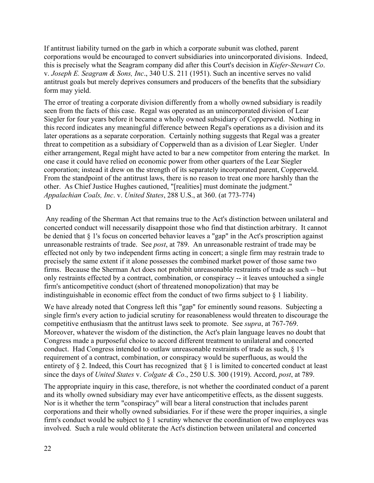If antitrust liability turned on the garb in which a corporate subunit was clothed, parent corporations would be encouraged to convert subsidiaries into unincorporated divisions. Indeed, this is precisely what the Seagram company did after this Court's decision in *Kiefer-Stewart Co*. v. *Joseph E. Seagram & Sons, Inc*., 340 U.S. 211 (1951). Such an incentive serves no valid antitrust goals but merely deprives consumers and producers of the benefits that the subsidiary form may yield.

The error of treating a corporate division differently from a wholly owned subsidiary is readily seen from the facts of this case. Regal was operated as an unincorporated division of Lear Siegler for four years before it became a wholly owned subsidiary of Copperweld. Nothing in this record indicates any meaningful difference between Regal's operations as a division and its later operations as a separate corporation. Certainly nothing suggests that Regal was a greater threat to competition as a subsidiary of Copperweld than as a division of Lear Siegler. Under either arrangement, Regal might have acted to bar a new competitor from entering the market. In one case it could have relied on economic power from other quarters of the Lear Siegler corporation; instead it drew on the strength of its separately incorporated parent, Copperweld. From the standpoint of the antitrust laws, there is no reason to treat one more harshly than the other. As Chief Justice Hughes cautioned, "[realities] must dominate the judgment." *Appalachian Coals, Inc*. v. *United States*, 288 U.S., at 360. (at 773-774)

D

Any reading of the Sherman Act that remains true to the Act's distinction between unilateral and concerted conduct will necessarily disappoint those who find that distinction arbitrary. It cannot be denied that § 1's focus on concerted behavior leaves a "gap" in the Act's proscription against unreasonable restraints of trade. See *post*, at 789. An unreasonable restraint of trade may be effected not only by two independent firms acting in concert; a single firm may restrain trade to precisely the same extent if it alone possesses the combined market power of those same two firms. Because the Sherman Act does not prohibit unreasonable restraints of trade as such -- but only restraints effected by a contract, combination, or conspiracy -- it leaves untouched a single firm's anticompetitive conduct (short of threatened monopolization) that may be indistinguishable in economic effect from the conduct of two firms subject to § 1 liability.

We have already noted that Congress left this "gap" for eminently sound reasons. Subjecting a single firm's every action to judicial scrutiny for reasonableness would threaten to discourage the competitive enthusiasm that the antitrust laws seek to promote. See *supra*, at 767-769. Moreover, whatever the wisdom of the distinction, the Act's plain language leaves no doubt that Congress made a purposeful choice to accord different treatment to unilateral and concerted conduct. Had Congress intended to outlaw unreasonable restraints of trade as such, § 1's requirement of a contract, combination, or conspiracy would be superfluous, as would the entirety of § 2. Indeed, this Court has recognized that § 1 is limited to concerted conduct at least since the days of *United States* v. *Colgate & Co*., 250 U.S. 300 (1919). Accord, *post*, at 789.

The appropriate inquiry in this case, therefore, is not whether the coordinated conduct of a parent and its wholly owned subsidiary may ever have anticompetitive effects, as the dissent suggests. Nor is it whether the term "conspiracy" will bear a literal construction that includes parent corporations and their wholly owned subsidiaries. For if these were the proper inquiries, a single firm's conduct would be subject to  $\S$  1 scrutiny whenever the coordination of two employees was involved. Such a rule would obliterate the Act's distinction between unilateral and concerted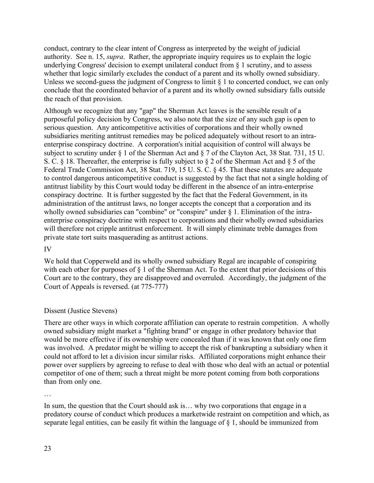conduct, contrary to the clear intent of Congress as interpreted by the weight of judicial authority. See n. 15, *supra*. Rather, the appropriate inquiry requires us to explain the logic underlying Congress' decision to exempt unilateral conduct from § 1 scrutiny, and to assess whether that logic similarly excludes the conduct of a parent and its wholly owned subsidiary. Unless we second-guess the judgment of Congress to limit  $\S$  1 to concerted conduct, we can only conclude that the coordinated behavior of a parent and its wholly owned subsidiary falls outside the reach of that provision.

Although we recognize that any "gap" the Sherman Act leaves is the sensible result of a purposeful policy decision by Congress, we also note that the size of any such gap is open to serious question. Any anticompetitive activities of corporations and their wholly owned subsidiaries meriting antitrust remedies may be policed adequately without resort to an intraenterprise conspiracy doctrine. A corporation's initial acquisition of control will always be subject to scrutiny under § 1 of the Sherman Act and § 7 of the Clayton Act, 38 Stat. 731, 15 U. S. C. § 18. Thereafter, the enterprise is fully subject to § 2 of the Sherman Act and § 5 of the Federal Trade Commission Act, 38 Stat. 719, 15 U. S. C. § 45. That these statutes are adequate to control dangerous anticompetitive conduct is suggested by the fact that not a single holding of antitrust liability by this Court would today be different in the absence of an intra-enterprise conspiracy doctrine. It is further suggested by the fact that the Federal Government, in its administration of the antitrust laws, no longer accepts the concept that a corporation and its wholly owned subsidiaries can "combine" or "conspire" under  $\S$  1. Elimination of the intraenterprise conspiracy doctrine with respect to corporations and their wholly owned subsidiaries will therefore not cripple antitrust enforcement. It will simply eliminate treble damages from private state tort suits masquerading as antitrust actions.

#### IV

We hold that Copperweld and its wholly owned subsidiary Regal are incapable of conspiring with each other for purposes of § 1 of the Sherman Act. To the extent that prior decisions of this Court are to the contrary, they are disapproved and overruled. Accordingly, the judgment of the Court of Appeals is reversed. (at 775-777)

#### Dissent (Justice Stevens)

There are other ways in which corporate affiliation can operate to restrain competition. A wholly owned subsidiary might market a "fighting brand" or engage in other predatory behavior that would be more effective if its ownership were concealed than if it was known that only one firm was involved. A predator might be willing to accept the risk of bankrupting a subsidiary when it could not afford to let a division incur similar risks. Affiliated corporations might enhance their power over suppliers by agreeing to refuse to deal with those who deal with an actual or potential competitor of one of them; such a threat might be more potent coming from both corporations than from only one.

…

In sum, the question that the Court should ask is... why two corporations that engage in a predatory course of conduct which produces a marketwide restraint on competition and which, as separate legal entities, can be easily fit within the language of § 1, should be immunized from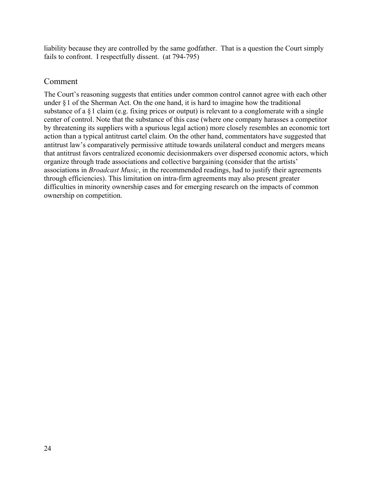liability because they are controlled by the same godfather. That is a question the Court simply fails to confront. I respectfully dissent. (at 794-795)

### Comment

The Court's reasoning suggests that entities under common control cannot agree with each other under §1 of the Sherman Act. On the one hand, it is hard to imagine how the traditional substance of a §1 claim (e.g. fixing prices or output) is relevant to a conglomerate with a single center of control. Note that the substance of this case (where one company harasses a competitor by threatening its suppliers with a spurious legal action) more closely resembles an economic tort action than a typical antitrust cartel claim. On the other hand, commentators have suggested that antitrust law's comparatively permissive attitude towards unilateral conduct and mergers means that antitrust favors centralized economic decisionmakers over dispersed economic actors, which organize through trade associations and collective bargaining (consider that the artists' associations in *Broadcast Music*, in the recommended readings, had to justify their agreements through efficiencies). This limitation on intra-firm agreements may also present greater difficulties in minority ownership cases and for emerging research on the impacts of common ownership on competition.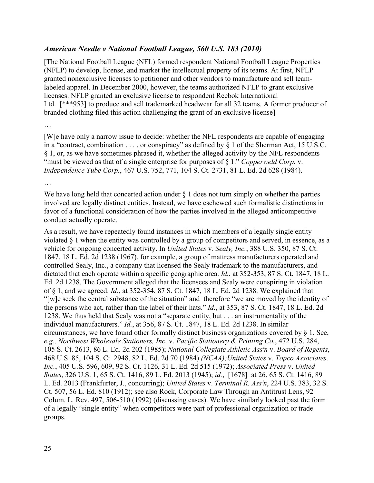### *American Needle v National Football League, 560 U.S. 183 (2010)*

[The National Football League (NFL) formed respondent National Football League Properties (NFLP) to develop, license, and market the intellectual property of its teams. At first, NFLP granted nonexclusive licenses to petitioner and other vendors to manufacture and sell teamlabeled apparel. In December 2000, however, the teams authorized NFLP to grant exclusive licenses. NFLP granted an exclusive license to respondent Reebok International Ltd. [\*\*\*953] to produce and sell trademarked headwear for all 32 teams. A former producer of branded clothing filed this action challenging the grant of an exclusive license]

…

[W]e have only a narrow issue to decide: whether the NFL respondents are capable of engaging in a "contract, combination . . . , or conspiracy" as defined by § 1 of the Sherman Act, 15 U.S.C. § 1, or, as we have sometimes phrased it, whether the alleged activity by the NFL respondents "must be viewed as that of a single enterprise for purposes of § 1." *Copperweld Corp.* v. *Independence Tube Corp.*, 467 U.S. 752, 771, 104 S. Ct. 2731, 81 L. Ed. 2d 628 (1984).

…

We have long held that concerted action under § 1 does not turn simply on whether the parties involved are legally distinct entities. Instead, we have eschewed such formalistic distinctions in favor of a functional consideration of how the parties involved in the alleged anticompetitive conduct actually operate.

As a result, we have repeatedly found instances in which members of a legally single entity violated § 1 when the entity was controlled by a group of competitors and served, in essence, as a vehicle for ongoing concerted activity. In *United States* v. *Sealy, Inc.*, 388 U.S. 350, 87 S. Ct. 1847, 18 L. Ed. 2d 1238 (1967), for example, a group of mattress manufacturers operated and controlled Sealy, Inc., a company that licensed the Sealy trademark to the manufacturers, and dictated that each operate within a specific geographic area. *Id.*, at 352-353, 87 S. Ct. 1847, 18 L. Ed. 2d 1238. The Government alleged that the licensees and Sealy were conspiring in violation of § 1, and we agreed. *Id.*, at 352-354, 87 S. Ct. 1847, 18 L. Ed. 2d 1238. We explained that "[w]e seek the central substance of the situation" and therefore "we are moved by the identity of the persons who act, rather than the label of their hats." *Id.*, at 353, 87 S. Ct. 1847, 18 L. Ed. 2d 1238. We thus held that Sealy was not a "separate entity, but . . . an instrumentality of the individual manufacturers." *Id.*, at 356, 87 S. Ct. 1847, 18 L. Ed. 2d 1238. In similar circumstances, we have found other formally distinct business organizations covered by § 1. See, *e.g., Northwest Wholesale Stationers, Inc.* v. *Pacific Stationery & Printing Co.*, 472 U.S. 284, 105 S. Ct. 2613, 86 L. Ed. 2d 202 (1985); *National Collegiate Athletic Ass'n* v. *Board of Regents*, 468 U.S. 85, 104 S. Ct. 2948, 82 L. Ed. 2d 70 (1984) *(NCAA);United States* v. *Topco Associates, Inc.*, 405 U.S. 596, 609, 92 S. Ct. 1126, 31 L. Ed. 2d 515 (1972); *Associated Press* v. *United States*, 326 U.S. 1, 65 S. Ct. 1416, 89 L. Ed. 2013 (1945); *id.*, [1678] at 26, 65 S. Ct. 1416, 89 L. Ed. 2013 (Frankfurter, J., concurring); *United States* v. *Terminal R. Ass'n*, 224 U.S. 383, 32 S. Ct. 507, 56 L. Ed. 810 (1912); see also Rock, Corporate Law Through an Antitrust Lens, 92 Colum. L. Rev. 497, 506-510 (1992) (discussing cases). We have similarly looked past the form of a legally "single entity" when competitors were part of professional organization or trade groups.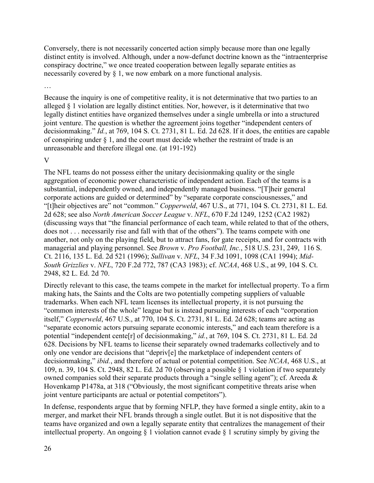Conversely, there is not necessarily concerted action simply because more than one legally distinct entity is involved. Although, under a now-defunct doctrine known as the "intraenterprise conspiracy doctrine," we once treated cooperation between legally separate entities as necessarily covered by § 1, we now embark on a more functional analysis.

…

Because the inquiry is one of competitive reality, it is not determinative that two parties to an alleged  $\S$  1 violation are legally distinct entities. Nor, however, is it determinative that two legally distinct entities have organized themselves under a single umbrella or into a structured joint venture. The question is whether the agreement joins together "independent centers of decisionmaking." *Id.*, at 769, 104 S. Ct. 2731, 81 L. Ed. 2d 628. If it does, the entities are capable of conspiring under § 1, and the court must decide whether the restraint of trade is an unreasonable and therefore illegal one. (at 191-192)

V

The NFL teams do not possess either the unitary decisionmaking quality or the single aggregation of economic power characteristic of independent action. Each of the teams is a substantial, independently owned, and independently managed business. "[T]heir general corporate actions are guided or determined" by "separate corporate consciousnesses," and "[t]heir objectives are" not "common." *Copperweld*, 467 U.S., at 771, 104 S. Ct. 2731, 81 L. Ed. 2d 628; see also *North American Soccer League* v. *NFL*, 670 F.2d 1249, 1252 (CA2 1982) (discussing ways that "the financial performance of each team, while related to that of the others, does not . . . necessarily rise and fall with that of the others"). The teams compete with one another, not only on the playing field, but to attract fans, for gate receipts, and for contracts with managerial and playing personnel. See *Brown* v. *Pro Football, Inc.*, 518 U.S. 231, 249, 116 S. Ct. 2116, 135 L. Ed. 2d 521 (1996); *Sullivan* v. *NFL*, 34 F.3d 1091, 1098 (CA1 1994); *Mid-South Grizzlies* v. *NFL*, 720 F.2d 772, 787 (CA3 1983); cf. *NCAA*, 468 U.S., at 99, 104 S. Ct. 2948, 82 L. Ed. 2d 70.

Directly relevant to this case, the teams compete in the market for intellectual property. To a firm making hats, the Saints and the Colts are two potentially competing suppliers of valuable trademarks. When each NFL team licenses its intellectual property, it is not pursuing the "common interests of the whole" league but is instead pursuing interests of each "corporation itself," *Copperweld*, 467 U.S., at 770, 104 S. Ct. 2731, 81 L. Ed. 2d 628; teams are acting as "separate economic actors pursuing separate economic interests," and each team therefore is a potential "independent cente[r] of decisionmaking," *id.*, at 769, 104 S. Ct. 2731, 81 L. Ed. 2d 628. Decisions by NFL teams to license their separately owned trademarks collectively and to only one vendor are decisions that "depriv[e] the marketplace of independent centers of decisionmaking," *ibid.*, and therefore of actual or potential competition. See *NCAA*, 468 U.S., at 109, n. 39, 104 S. Ct. 2948, 82 L. Ed. 2d 70 (observing a possible § 1 violation if two separately owned companies sold their separate products through a "single selling agent"); cf. Areeda & Hovenkamp P1478a, at 318 ("Obviously, the most significant competitive threats arise when joint venture participants are actual or potential competitors").

In defense, respondents argue that by forming NFLP, they have formed a single entity, akin to a merger, and market their NFL brands through a single outlet. But it is not dispositive that the teams have organized and own a legally separate entity that centralizes the management of their intellectual property. An ongoing § 1 violation cannot evade § 1 scrutiny simply by giving the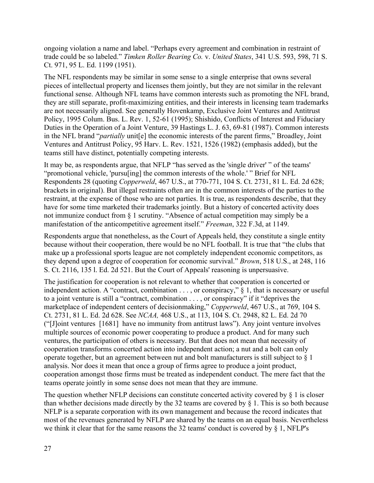ongoing violation a name and label. "Perhaps every agreement and combination in restraint of trade could be so labeled." *Timken Roller Bearing Co.* v. *United States*, 341 U.S. 593, 598, 71 S. Ct. 971, 95 L. Ed. 1199 (1951).

The NFL respondents may be similar in some sense to a single enterprise that owns several pieces of intellectual property and licenses them jointly, but they are not similar in the relevant functional sense. Although NFL teams have common interests such as promoting the NFL brand, they are still separate, profit-maximizing entities, and their interests in licensing team trademarks are not necessarily aligned. See generally Hovenkamp, Exclusive Joint Ventures and Antitrust Policy, 1995 Colum. Bus. L. Rev. 1, 52-61 (1995); Shishido, Conflicts of Interest and Fiduciary Duties in the Operation of a Joint Venture, 39 Hastings L. J. 63, 69-81 (1987). Common interests in the NFL brand "*partially* unit[e] the economic interests of the parent firms," Broadley, Joint Ventures and Antitrust Policy, 95 Harv. L. Rev. 1521, 1526 (1982) (emphasis added), but the teams still have distinct, potentially competing interests.

It may be, as respondents argue, that NFLP "has served as the 'single driver' " of the teams' "promotional vehicle, 'pursu[ing] the common interests of the whole.' " Brief for NFL Respondents 28 (quoting *Copperweld*, 467 U.S., at 770-771, 104 S. Ct. 2731, 81 L. Ed. 2d 628; brackets in original). But illegal restraints often are in the common interests of the parties to the restraint, at the expense of those who are not parties. It is true, as respondents describe, that they have for some time marketed their trademarks jointly. But a history of concerted activity does not immunize conduct from § 1 scrutiny. "Absence of actual competition may simply be a manifestation of the anticompetitive agreement itself." *Freeman*, 322 F.3d, at 1149.

Respondents argue that nonetheless, as the Court of Appeals held, they constitute a single entity because without their cooperation, there would be no NFL football. It is true that "the clubs that make up a professional sports league are not completely independent economic competitors, as they depend upon a degree of cooperation for economic survival." *Brown*, 518 U.S., at 248, 116 S. Ct. 2116, 135 l. Ed. 2d 521. But the Court of Appeals' reasoning is unpersuasive.

The justification for cooperation is not relevant to whether that cooperation is concerted or independent action. A "contract, combination . . . , or conspiracy," § 1, that is necessary or useful to a joint venture is still a "contract, combination . . . , or conspiracy" if it "deprives the marketplace of independent centers of decisionmaking," *Copperweld*, 467 U.S., at 769, 104 S. Ct. 2731, 81 L. Ed. 2d 628. See *NCAA,* 468 U.S., at 113, 104 S. Ct. 2948, 82 L. Ed. 2d 70 ("[J]oint ventures [1681] have no immunity from antitrust laws"). Any joint venture involves multiple sources of economic power cooperating to produce a product. And for many such ventures, the participation of others is necessary. But that does not mean that necessity of cooperation transforms concerted action into independent action; a nut and a bolt can only operate together, but an agreement between nut and bolt manufacturers is still subject to § 1 analysis. Nor does it mean that once a group of firms agree to produce a joint product, cooperation amongst those firms must be treated as independent conduct. The mere fact that the teams operate jointly in some sense does not mean that they are immune.

The question whether NFLP decisions can constitute concerted activity covered by § 1 is closer than whether decisions made directly by the 32 teams are covered by § 1. This is so both because NFLP is a separate corporation with its own management and because the record indicates that most of the revenues generated by NFLP are shared by the teams on an equal basis. Nevertheless we think it clear that for the same reasons the 32 teams' conduct is covered by § 1, NFLP's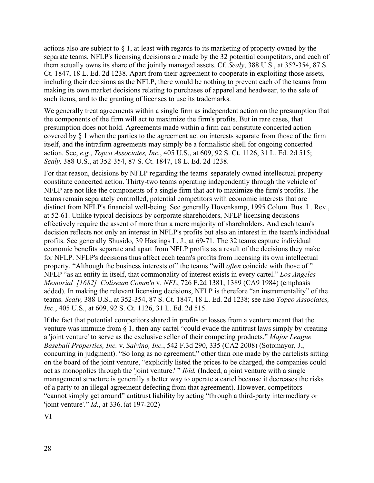actions also are subject to  $\S$  1, at least with regards to its marketing of property owned by the separate teams. NFLP's licensing decisions are made by the 32 potential competitors, and each of them actually owns its share of the jointly managed assets. Cf. *Sealy*, 388 U.S., at 352-354, 87 S. Ct. 1847, 18 L. Ed. 2d 1238. Apart from their agreement to cooperate in exploiting those assets, including their decisions as the NFLP, there would be nothing to prevent each of the teams from making its own market decisions relating to purchases of apparel and headwear, to the sale of such items, and to the granting of licenses to use its trademarks.

We generally treat agreements within a single firm as independent action on the presumption that the components of the firm will act to maximize the firm's profits. But in rare cases, that presumption does not hold. Agreements made within a firm can constitute concerted action covered by § 1 when the parties to the agreement act on interests separate from those of the firm itself, and the intrafirm agreements may simply be a formalistic shell for ongoing concerted action. See, *e.g.*, *Topco Associates, Inc.*, 405 U.S., at 609, 92 S. Ct. 1126, 31 L. Ed. 2d 515; *Sealy,* 388 U.S., at 352-354, 87 S. Ct. 1847, 18 L. Ed. 2d 1238.

For that reason, decisions by NFLP regarding the teams' separately owned intellectual property constitute concerted action. Thirty-two teams operating independently through the vehicle of NFLP are not like the components of a single firm that act to maximize the firm's profits. The teams remain separately controlled, potential competitors with economic interests that are distinct from NFLP's financial well-being. See generally Hovenkamp, 1995 Colum. Bus. L. Rev., at 52-61. Unlike typical decisions by corporate shareholders, NFLP licensing decisions effectively require the assent of more than a mere majority of shareholders. And each team's decision reflects not only an interest in NFLP's profits but also an interest in the team's individual profits. See generally Shusido*,* 39 Hastings L. J., at 69-71. The 32 teams capture individual economic benefits separate and apart from NFLP profits as a result of the decisions they make for NFLP. NFLP's decisions thus affect each team's profits from licensing its own intellectual property. "Although the business interests of" the teams "will *often* coincide with those of " NFLP "as an entity in itself, that commonality of interest exists in every cartel." *Los Angeles Memorial [1682] Coliseum Comm'n* v. *NFL*, 726 F.2d 1381, 1389 (CA9 1984) (emphasis added). In making the relevant licensing decisions, NFLP is therefore "an instrumentality" of the teams. *Sealy,* 388 U.S., at 352-354, 87 S. Ct. 1847, 18 L. Ed. 2d 1238; see also *Topco Associates, Inc.*, 405 U.S., at 609, 92 S. Ct. 1126, 31 L. Ed. 2d 515.

If the fact that potential competitors shared in profits or losses from a venture meant that the venture was immune from § 1, then any cartel "could evade the antitrust laws simply by creating a 'joint venture' to serve as the exclusive seller of their competing products." *Major League Baseball Properties, Inc.* v. *Salvino, Inc.*, 542 F.3d 290, 335 (CA2 2008) (Sotomayor, J., concurring in judgment). "So long as no agreement," other than one made by the cartelists sitting on the board of the joint venture, "explicitly listed the prices to be charged, the companies could act as monopolies through the 'joint venture.' " *Ibid.* (Indeed, a joint venture with a single management structure is generally a better way to operate a cartel because it decreases the risks of a party to an illegal agreement defecting from that agreement). However, competitors "cannot simply get around" antitrust liability by acting "through a third-party intermediary or 'joint venture'." *Id.*, at 336. (at 197-202)

VI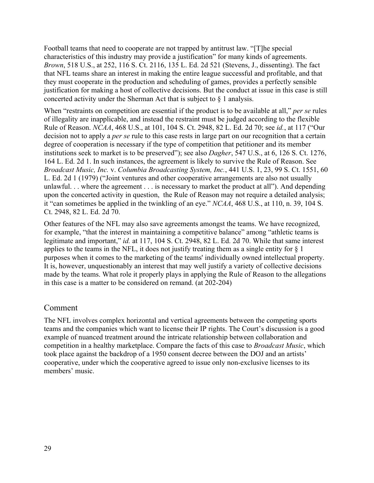Football teams that need to cooperate are not trapped by antitrust law. "[T]he special characteristics of this industry may provide a justification" for many kinds of agreements. *Brown*, 518 U.S., at 252, 116 S. Ct. 2116, 135 L. Ed. 2d 521 (Stevens, J., dissenting). The fact that NFL teams share an interest in making the entire league successful and profitable, and that they must cooperate in the production and scheduling of games, provides a perfectly sensible justification for making a host of collective decisions. But the conduct at issue in this case is still concerted activity under the Sherman Act that is subject to  $\S$  1 analysis.

When "restraints on competition are essential if the product is to be available at all," *per se* rules of illegality are inapplicable, and instead the restraint must be judged according to the flexible Rule of Reason. *NCAA*, 468 U.S., at 101, 104 S. Ct. 2948, 82 L. Ed. 2d 70; see *id.*, at 117 ("Our decision not to apply a *per se* rule to this case rests in large part on our recognition that a certain degree of cooperation is necessary if the type of competition that petitioner and its member institutions seek to market is to be preserved"); see also *Dagher*, 547 U.S., at 6, 126 S. Ct. 1276, 164 L. Ed. 2d 1. In such instances, the agreement is likely to survive the Rule of Reason. See *Broadcast Music, Inc.* v. *Columbia Broadcasting System, Inc.*, 441 U.S. 1, 23, 99 S. Ct. 1551, 60 L. Ed. 2d 1 (1979) ("Joint ventures and other cooperative arrangements are also not usually unlawful. . . where the agreement . . . is necessary to market the product at all"). And depending upon the concerted activity in question, the Rule of Reason may not require a detailed analysis; it "can sometimes be applied in the twinkling of an eye." *NCAA*, 468 U.S., at 110, n. 39, 104 S. Ct. 2948, 82 L. Ed. 2d 70.

Other features of the NFL may also save agreements amongst the teams. We have recognized, for example, "that the interest in maintaining a competitive balance" among "athletic teams is legitimate and important," *id.* at 117, 104 S. Ct. 2948, 82 L. Ed. 2d 70. While that same interest applies to the teams in the NFL, it does not justify treating them as a single entity for  $\S$  1 purposes when it comes to the marketing of the teams' individually owned intellectual property. It is, however, unquestionably an interest that may well justify a variety of collective decisions made by the teams. What role it properly plays in applying the Rule of Reason to the allegations in this case is a matter to be considered on remand. (at 202-204)

### Comment

The NFL involves complex horizontal and vertical agreements between the competing sports teams and the companies which want to license their IP rights. The Court's discussion is a good example of nuanced treatment around the intricate relationship between collaboration and competition in a healthy marketplace. Compare the facts of this case to *Broadcast Music*, which took place against the backdrop of a 1950 consent decree between the DOJ and an artists' cooperative, under which the cooperative agreed to issue only non-exclusive licenses to its members' music.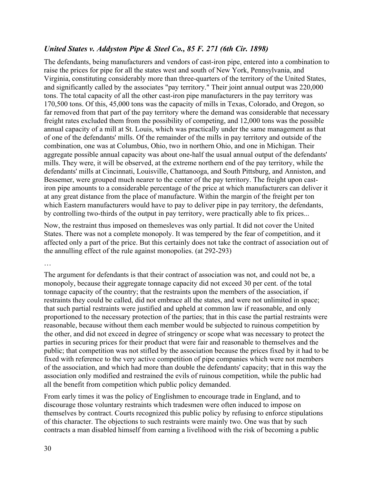### *United States v. Addyston Pipe & Steel Co., 85 F. 271 (6th Cir. 1898)*

The defendants, being manufacturers and vendors of cast-iron pipe, entered into a combination to raise the prices for pipe for all the states west and south of New York, Pennsylvania, and Virginia, constituting considerably more than three-quarters of the territory of the United States, and significantly called by the associates "pay territory." Their joint annual output was 220,000 tons. The total capacity of all the other cast-iron pipe manufacturers in the pay territory was 170,500 tons. Of this, 45,000 tons was the capacity of mills in Texas, Colorado, and Oregon, so far removed from that part of the pay territory where the demand was considerable that necessary freight rates excluded them from the possibility of competing, and 12,000 tons was the possible annual capacity of a mill at St. Louis, which was practically under the same management as that of one of the defendants' mills. Of the remainder of the mills in pay territory and outside of the combination, one was at Columbus, Ohio, two in northern Ohio, and one in Michigan. Their aggregate possible annual capacity was about one-half the usual annual output of the defendants' mills. They were, it will be observed, at the extreme northern end of the pay territory, while the defendants' mills at Cincinnati, Louisville, Chattanooga, and South Pittsburg, and Anniston, and Bessemer, were grouped much nearer to the center of the pay territory. The freight upon castiron pipe amounts to a considerable percentage of the price at which manufacturers can deliver it at any great distance from the place of manufacture. Within the margin of the freight per ton which Eastern manufacturers would have to pay to deliver pipe in pay territory, the defendants, by controlling two-thirds of the output in pay territory, were practically able to fix prices...

Now, the restraint thus imposed on themesleves was only partial. It did not cover the United States. There was not a complete monopoly. It was tempered by the fear of competition, and it affected only a part of the price. But this certainly does not take the contract of association out of the annulling effect of the rule against monopolies. (at 292-293)

…

The argument for defendants is that their contract of association was not, and could not be, a monopoly, because their aggregate tonnage capacity did not exceed 30 per cent. of the total tonnage capacity of the country; that the restraints upon the members of the association, if restraints they could be called, did not embrace all the states, and were not unlimited in space; that such partial restraints were justified and upheld at common law if reasonable, and only proportioned to the necessary protection of the parties; that in this case the partial restraints were reasonable, because without them each member would be subjected to ruinous competition by the other, and did not exceed in degree of stringency or scope what was necessary to protect the parties in securing prices for their product that were fair and reasonable to themselves and the public; that competition was not stifled by the association because the prices fixed by it had to be fixed with reference to the very active competition of pipe companies which were not members of the association, and which had more than double the defendants' capacity; that in this way the association only modified and restrained the evils of ruinous competition, while the public had all the benefit from competition which public policy demanded.

From early times it was the policy of Englishmen to encourage trade in England, and to discourage those voluntary restraints which tradesmen were often induced to impose on themselves by contract. Courts recognized this public policy by refusing to enforce stipulations of this character. The objections to such restraints were mainly two. One was that by such contracts a man disabled himself from earning a livelihood with the risk of becoming a public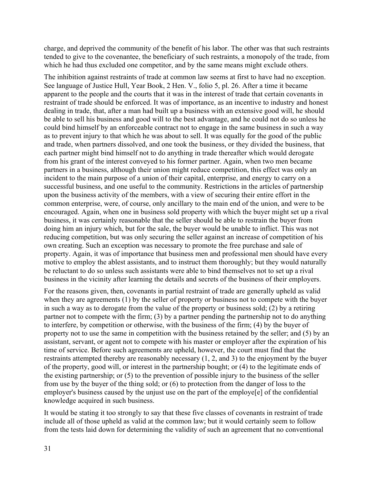charge, and deprived the community of the benefit of his labor. The other was that such restraints tended to give to the covenantee, the beneficiary of such restraints, a monopoly of the trade, from which he had thus excluded one competitor, and by the same means might exclude others.

The inhibition against restraints of trade at common law seems at first to have had no exception. See language of Justice Hull, Year Book, 2 Hen. V., folio 5, pl. 26. After a time it became apparent to the people and the courts that it was in the interest of trade that certain covenants in restraint of trade should be enforced. It was of importance, as an incentive to industry and honest dealing in trade, that, after a man had built up a business with an extensive good will, he should be able to sell his business and good will to the best advantage, and he could not do so unless he could bind himself by an enforceable contract not to engage in the same business in such a way as to prevent injury to that which he was about to sell. It was equally for the good of the public and trade, when partners dissolved, and one took the business, or they divided the business, that each partner might bind himself not to do anything in trade thereafter which would derogate from his grant of the interest conveyed to his former partner. Again, when two men became partners in a business, although their union might reduce competition, this effect was only an incident to the main purpose of a union of their capital, enterprise, and energy to carry on a successful business, and one useful to the community. Restrictions in the articles of partnership upon the business activity of the members, with a view of securing their entire effort in the common enterprise, were, of course, only ancillary to the main end of the union, and were to be encouraged. Again, when one in business sold property with which the buyer might set up a rival business, it was certainly reasonable that the seller should be able to restrain the buyer from doing him an injury which, but for the sale, the buyer would be unable to inflict. This was not reducing competition, but was only securing the seller against an increase of competition of his own creating. Such an exception was necessary to promote the free purchase and sale of property. Again, it was of importance that business men and professional men should have every motive to employ the ablest assistants, and to instruct them thoroughly; but they would naturally be reluctant to do so unless such assistants were able to bind themselves not to set up a rival business in the vicinity after learning the details and secrets of the business of their employers.

For the reasons given, then, covenants in partial restraint of trade are generally upheld as valid when they are agreements (1) by the seller of property or business not to compete with the buyer in such a way as to derogate from the value of the property or business sold;  $(2)$  by a retiring partner not to compete with the firm; (3) by a partner pending the partnership not to do anything to interfere, by competition or otherwise, with the business of the firm; (4) by the buyer of property not to use the same in competition with the business retained by the seller; and (5) by an assistant, servant, or agent not to compete with his master or employer after the expiration of his time of service. Before such agreements are upheld, however, the court must find that the restraints attempted thereby are reasonably necessary (1, 2, and 3) to the enjoyment by the buyer of the property, good will, or interest in the partnership bought; or (4) to the legitimate ends of the existing partnership; or (5) to the prevention of possible injury to the business of the seller from use by the buyer of the thing sold; or (6) to protection from the danger of loss to the employer's business caused by the unjust use on the part of the employe[e] of the confidential knowledge acquired in such business.

It would be stating it too strongly to say that these five classes of covenants in restraint of trade include all of those upheld as valid at the common law; but it would certainly seem to follow from the tests laid down for determining the validity of such an agreement that no conventional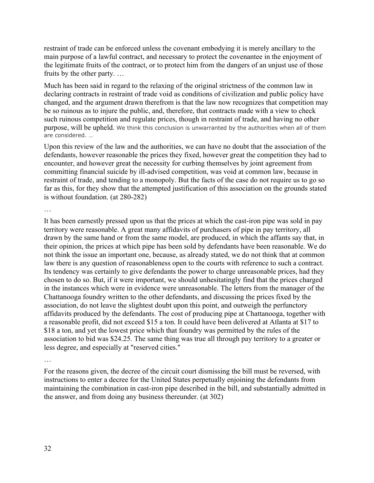restraint of trade can be enforced unless the covenant embodying it is merely ancillary to the main purpose of a lawful contract, and necessary to protect the covenantee in the enjoyment of the legitimate fruits of the contract, or to protect him from the dangers of an unjust use of those fruits by the other party. …

Much has been said in regard to the relaxing of the original strictness of the common law in declaring contracts in restraint of trade void as conditions of civilization and public policy have changed, and the argument drawn therefrom is that the law now recognizes that competition may be so ruinous as to injure the public, and, therefore, that contracts made with a view to check such ruinous competition and regulate prices, though in restraint of trade, and having no other purpose, will be upheld. We think this conclusion is unwarranted by the authorities when all of them are considered. …

Upon this review of the law and the authorities, we can have no doubt that the association of the defendants, however reasonable the prices they fixed, however great the competition they had to encounter, and however great the necessity for curbing themselves by joint agreement from committing financial suicide by ill-advised competition, was void at common law, because in restraint of trade, and tending to a monopoly. But the facts of the case do not require us to go so far as this, for they show that the attempted justification of this association on the grounds stated is without foundation. (at 280-282)

…

It has been earnestly pressed upon us that the prices at which the cast-iron pipe was sold in pay territory were reasonable. A great many affidavits of purchasers of pipe in pay territory, all drawn by the same hand or from the same model, are produced, in which the affants say that, in their opinion, the prices at which pipe has been sold by defendants have been reasonable. We do not think the issue an important one, because, as already stated, we do not think that at common law there is any question of reasonableness open to the courts with reference to such a contract. Its tendency was certainly to give defendants the power to charge unreasonable prices, had they chosen to do so. But, if it were important, we should unhesitatingly find that the prices charged in the instances which were in evidence were unreasonable. The letters from the manager of the Chattanooga foundry written to the other defendants, and discussing the prices fixed by the association, do not leave the slightest doubt upon this point, and outweigh the perfunctory affidavits produced by the defendants. The cost of producing pipe at Chattanooga, together with a reasonable profit, did not exceed \$15 a ton. It could have been delivered at Atlanta at \$17 to \$18 a ton, and yet the lowest price which that foundry was permitted by the rules of the association to bid was \$24.25. The same thing was true all through pay territory to a greater or less degree, and especially at "reserved cities."

…

For the reasons given, the decree of the circuit court dismissing the bill must be reversed, with instructions to enter a decree for the United States perpetually enjoining the defendants from maintaining the combination in cast-iron pipe described in the bill, and substantially admitted in the answer, and from doing any business thereunder. (at 302)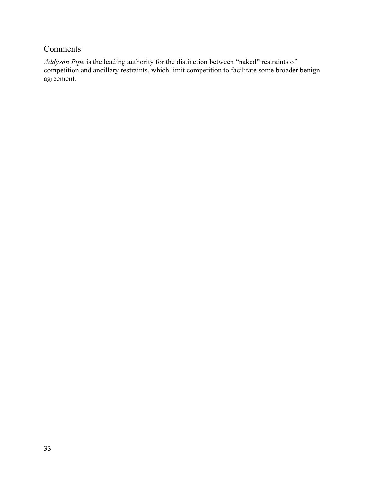### Comments

*Addyson Pipe* is the leading authority for the distinction between "naked" restraints of competition and ancillary restraints, which limit competition to facilitate some broader benign agreement.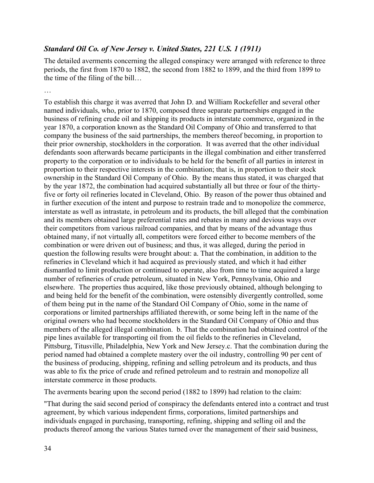#### *Standard Oil Co. of New Jersey v. United States, 221 U.S. 1 (1911)*

The detailed averments concerning the alleged conspiracy were arranged with reference to three periods, the first from 1870 to 1882, the second from 1882 to 1899, and the third from 1899 to the time of the filing of the bill…

…

To establish this charge it was averred that John D. and William Rockefeller and several other named individuals, who, prior to 1870, composed three separate partnerships engaged in the business of refining crude oil and shipping its products in interstate commerce, organized in the year 1870, a corporation known as the Standard Oil Company of Ohio and transferred to that company the business of the said partnerships, the members thereof becoming, in proportion to their prior ownership, stockholders in the corporation. It was averred that the other individual defendants soon afterwards became participants in the illegal combination and either transferred property to the corporation or to individuals to be held for the benefit of all parties in interest in proportion to their respective interests in the combination; that is, in proportion to their stock ownership in the Standard Oil Company of Ohio. By the means thus stated, it was charged that by the year 1872, the combination had acquired substantially all but three or four of the thirtyfive or forty oil refineries located in Cleveland, Ohio. By reason of the power thus obtained and in further execution of the intent and purpose to restrain trade and to monopolize the commerce, interstate as well as intrastate, in petroleum and its products, the bill alleged that the combination and its members obtained large preferential rates and rebates in many and devious ways over their competitors from various railroad companies, and that by means of the advantage thus obtained many, if not virtually all, competitors were forced either to become members of the combination or were driven out of business; and thus, it was alleged, during the period in question the following results were brought about: a. That the combination, in addition to the refineries in Cleveland which it had acquired as previously stated, and which it had either dismantled to limit production or continued to operate, also from time to time acquired a large number of refineries of crude petroleum, situated in New York, Pennsylvania, Ohio and elsewhere. The properties thus acquired, like those previously obtained, although belonging to and being held for the benefit of the combination, were ostensibly divergently controlled, some of them being put in the name of the Standard Oil Company of Ohio, some in the name of corporations or limited partnerships affiliated therewith, or some being left in the name of the original owners who had become stockholders in the Standard Oil Company of Ohio and thus members of the alleged illegal combination. b. That the combination had obtained control of the pipe lines available for transporting oil from the oil fields to the refineries in Cleveland, Pittsburg, Titusville, Philadelphia, New York and New Jersey.c. That the combination during the period named had obtained a complete mastery over the oil industry, controlling 90 per cent of the business of producing, shipping, refining and selling petroleum and its products, and thus was able to fix the price of crude and refined petroleum and to restrain and monopolize all interstate commerce in those products.

The averments bearing upon the second period (1882 to 1899) had relation to the claim:

"That during the said second period of conspiracy the defendants entered into a contract and trust agreement, by which various independent firms, corporations, limited partnerships and individuals engaged in purchasing, transporting, refining, shipping and selling oil and the products thereof among the various States turned over the management of their said business,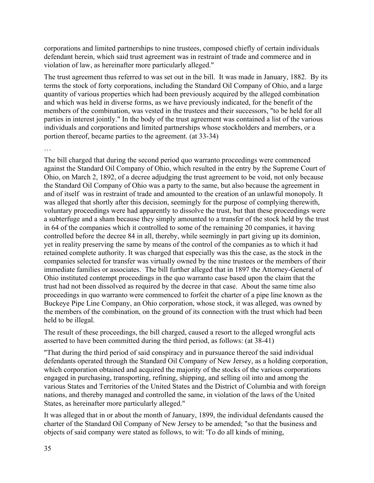corporations and limited partnerships to nine trustees, composed chiefly of certain individuals defendant herein, which said trust agreement was in restraint of trade and commerce and in violation of law, as hereinafter more particularly alleged."

The trust agreement thus referred to was set out in the bill. It was made in January, 1882. By its terms the stock of forty corporations, including the Standard Oil Company of Ohio, and a large quantity of various properties which had been previously acquired by the alleged combination and which was held in diverse forms, as we have previously indicated, for the benefit of the members of the combination, was vested in the trustees and their successors, "to be held for all parties in interest jointly." In the body of the trust agreement was contained a list of the various individuals and corporations and limited partnerships whose stockholders and members, or a portion thereof, became parties to the agreement. (at 33-34)

…

The bill charged that during the second period quo warranto proceedings were commenced against the Standard Oil Company of Ohio, which resulted in the entry by the Supreme Court of Ohio, on March 2, 1892, of a decree adjudging the trust agreement to be void, not only because the Standard Oil Company of Ohio was a party to the same, but also because the agreement in and of itself was in restraint of trade and amounted to the creation of an unlawful monopoly. It was alleged that shortly after this decision, seemingly for the purpose of complying therewith, voluntary proceedings were had apparently to dissolve the trust, but that these proceedings were a subterfuge and a sham because they simply amounted to a transfer of the stock held by the trust in 64 of the companies which it controlled to some of the remaining 20 companies, it having controlled before the decree 84 in all, thereby, while seemingly in part giving up its dominion, yet in reality preserving the same by means of the control of the companies as to which it had retained complete authority. It was charged that especially was this the case, as the stock in the companies selected for transfer was virtually owned by the nine trustees or the members of their immediate families or associates. The bill further alleged that in 1897 the Attorney-General of Ohio instituted contempt proceedings in the quo warranto case based upon the claim that the trust had not been dissolved as required by the decree in that case. About the same time also proceedings in quo warranto were commenced to forfeit the charter of a pipe line known as the Buckeye Pipe Line Company, an Ohio corporation, whose stock, it was alleged, was owned by the members of the combination, on the ground of its connection with the trust which had been held to be illegal.

The result of these proceedings, the bill charged, caused a resort to the alleged wrongful acts asserted to have been committed during the third period, as follows: (at 38-41)

"That during the third period of said conspiracy and in pursuance thereof the said individual defendants operated through the Standard Oil Company of New Jersey, as a holding corporation, which corporation obtained and acquired the majority of the stocks of the various corporations engaged in purchasing, transporting, refining, shipping, and selling oil into and among the various States and Territories of the United States and the District of Columbia and with foreign nations, and thereby managed and controlled the same, in violation of the laws of the United States, as hereinafter more particularly alleged."

It was alleged that in or about the month of January, 1899, the individual defendants caused the charter of the Standard Oil Company of New Jersey to be amended; "so that the business and objects of said company were stated as follows, to wit: 'To do all kinds of mining,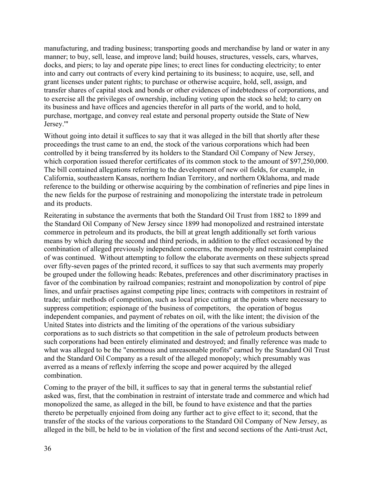manufacturing, and trading business; transporting goods and merchandise by land or water in any manner; to buy, sell, lease, and improve land; build houses, structures, vessels, cars, wharves, docks, and piers; to lay and operate pipe lines; to erect lines for conducting electricity; to enter into and carry out contracts of every kind pertaining to its business; to acquire, use, sell, and grant licenses under patent rights; to purchase or otherwise acquire, hold, sell, assign, and transfer shares of capital stock and bonds or other evidences of indebtedness of corporations, and to exercise all the privileges of ownership, including voting upon the stock so held; to carry on its business and have offices and agencies therefor in all parts of the world, and to hold, purchase, mortgage, and convey real estate and personal property outside the State of New Jersey.'"

Without going into detail it suffices to say that it was alleged in the bill that shortly after these proceedings the trust came to an end, the stock of the various corporations which had been controlled by it being transferred by its holders to the Standard Oil Company of New Jersey, which corporation issued therefor certificates of its common stock to the amount of \$97,250,000. The bill contained allegations referring to the development of new oil fields, for example, in California, southeastern Kansas, northern Indian Territory, and northern Oklahoma, and made reference to the building or otherwise acquiring by the combination of refineries and pipe lines in the new fields for the purpose of restraining and monopolizing the interstate trade in petroleum and its products.

Reiterating in substance the averments that both the Standard Oil Trust from 1882 to 1899 and the Standard Oil Company of New Jersey since 1899 had monopolized and restrained interstate commerce in petroleum and its products, the bill at great length additionally set forth various means by which during the second and third periods, in addition to the effect occasioned by the combination of alleged previously independent concerns, the monopoly and restraint complained of was continued. Without attempting to follow the elaborate averments on these subjects spread over fifty-seven pages of the printed record, it suffices to say that such averments may properly be grouped under the following heads: Rebates, preferences and other discriminatory practises in favor of the combination by railroad companies; restraint and monopolization by control of pipe lines, and unfair practises against competing pipe lines; contracts with competitors in restraint of trade; unfair methods of competition, such as local price cutting at the points where necessary to suppress competition; espionage of the business of competitors, the operation of bogus independent companies, and payment of rebates on oil, with the like intent; the division of the United States into districts and the limiting of the operations of the various subsidiary corporations as to such districts so that competition in the sale of petroleum products between such corporations had been entirely eliminated and destroyed; and finally reference was made to what was alleged to be the "enormous and unreasonable profits" earned by the Standard Oil Trust and the Standard Oil Company as a result of the alleged monopoly; which presumably was averred as a means of reflexly inferring the scope and power acquired by the alleged combination.

Coming to the prayer of the bill, it suffices to say that in general terms the substantial relief asked was, first, that the combination in restraint of interstate trade and commerce and which had monopolized the same, as alleged in the bill, be found to have existence and that the parties thereto be perpetually enjoined from doing any further act to give effect to it; second, that the transfer of the stocks of the various corporations to the Standard Oil Company of New Jersey, as alleged in the bill, be held to be in violation of the first and second sections of the Anti-trust Act,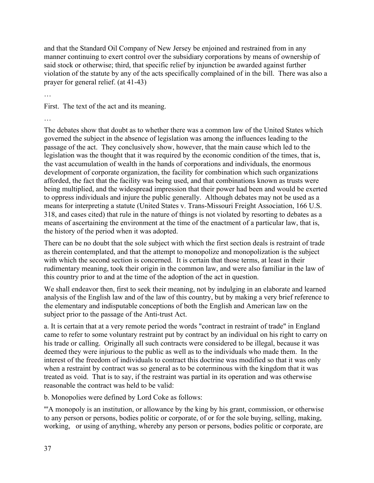and that the Standard Oil Company of New Jersey be enjoined and restrained from in any manner continuing to exert control over the subsidiary corporations by means of ownership of said stock or otherwise; third, that specific relief by injunction be awarded against further violation of the statute by any of the acts specifically complained of in the bill. There was also a prayer for general relief. (at 41-43)

…

First. The text of the act and its meaning.

…

The debates show that doubt as to whether there was a common law of the United States which governed the subject in the absence of legislation was among the influences leading to the passage of the act. They conclusively show, however, that the main cause which led to the legislation was the thought that it was required by the economic condition of the times, that is, the vast accumulation of wealth in the hands of corporations and individuals, the enormous development of corporate organization, the facility for combination which such organizations afforded, the fact that the facility was being used, and that combinations known as trusts were being multiplied, and the widespread impression that their power had been and would be exerted to oppress individuals and injure the public generally. Although debates may not be used as a means for interpreting a statute (United States v. Trans-Missouri Freight Association, 166 U.S. 318, and cases cited) that rule in the nature of things is not violated by resorting to debates as a means of ascertaining the environment at the time of the enactment of a particular law, that is, the history of the period when it was adopted.

There can be no doubt that the sole subject with which the first section deals is restraint of trade as therein contemplated, and that the attempt to monopolize and monopolization is the subject with which the second section is concerned. It is certain that those terms, at least in their rudimentary meaning, took their origin in the common law, and were also familiar in the law of this country prior to and at the time of the adoption of the act in question.

We shall endeavor then, first to seek their meaning, not by indulging in an elaborate and learned analysis of the English law and of the law of this country, but by making a very brief reference to the elementary and indisputable conceptions of both the English and American law on the subject prior to the passage of the Anti-trust Act.

a. It is certain that at a very remote period the words "contract in restraint of trade" in England came to refer to some voluntary restraint put by contract by an individual on his right to carry on his trade or calling. Originally all such contracts were considered to be illegal, because it was deemed they were injurious to the public as well as to the individuals who made them. In the interest of the freedom of individuals to contract this doctrine was modified so that it was only when a restraint by contract was so general as to be coterminous with the kingdom that it was treated as void. That is to say, if the restraint was partial in its operation and was otherwise reasonable the contract was held to be valid:

b. Monopolies were defined by Lord Coke as follows:

"'A monopoly is an institution, or allowance by the king by his grant, commission, or otherwise to any person or persons, bodies politic or corporate, of or for the sole buying, selling, making, working, or using of anything, whereby any person or persons, bodies politic or corporate, are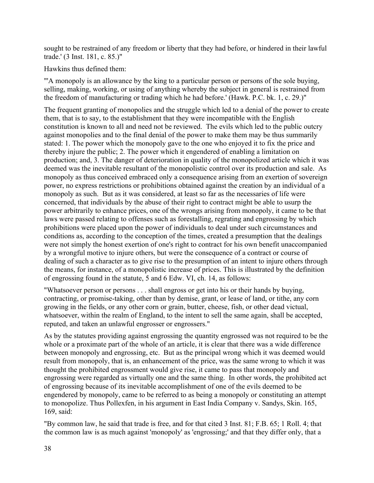sought to be restrained of any freedom or liberty that they had before, or hindered in their lawful trade.' (3 Inst. 181, c. 85.)"

Hawkins thus defined them:

"'A monopoly is an allowance by the king to a particular person or persons of the sole buying, selling, making, working, or using of anything whereby the subject in general is restrained from the freedom of manufacturing or trading which he had before.' (Hawk. P.C. bk. 1, c. 29.)"

The frequent granting of monopolies and the struggle which led to a denial of the power to create them, that is to say, to the establishment that they were incompatible with the English constitution is known to all and need not be reviewed. The evils which led to the public outcry against monopolies and to the final denial of the power to make them may be thus summarily stated: 1. The power which the monopoly gave to the one who enjoyed it to fix the price and thereby injure the public; 2. The power which it engendered of enabling a limitation on production; and, 3. The danger of deterioration in quality of the monopolized article which it was deemed was the inevitable resultant of the monopolistic control over its production and sale. As monopoly as thus conceived embraced only a consequence arising from an exertion of sovereign power, no express restrictions or prohibitions obtained against the creation by an individual of a monopoly as such. But as it was considered, at least so far as the necessaries of life were concerned, that individuals by the abuse of their right to contract might be able to usurp the power arbitrarily to enhance prices, one of the wrongs arising from monopoly, it came to be that laws were passed relating to offenses such as forestalling, regrating and engrossing by which prohibitions were placed upon the power of individuals to deal under such circumstances and conditions as, according to the conception of the times, created a presumption that the dealings were not simply the honest exertion of one's right to contract for his own benefit unaccompanied by a wrongful motive to injure others, but were the consequence of a contract or course of dealing of such a character as to give rise to the presumption of an intent to injure others through the means, for instance, of a monopolistic increase of prices. This is illustrated by the definition of engrossing found in the statute, 5 and 6 Edw. VI, ch. 14, as follows:

"Whatsoever person or persons . . . shall engross or get into his or their hands by buying, contracting, or promise-taking, other than by demise, grant, or lease of land, or tithe, any corn growing in the fields, or any other corn or grain, butter, cheese, fish, or other dead victual, whatsoever, within the realm of England, to the intent to sell the same again, shall be accepted, reputed, and taken an unlawful engrosser or engrossers."

As by the statutes providing against engrossing the quantity engrossed was not required to be the whole or a proximate part of the whole of an article, it is clear that there was a wide difference between monopoly and engrossing, etc. But as the principal wrong which it was deemed would result from monopoly, that is, an enhancement of the price, was the same wrong to which it was thought the prohibited engrossment would give rise, it came to pass that monopoly and engrossing were regarded as virtually one and the same thing. In other words, the prohibited act of engrossing because of its inevitable accomplishment of one of the evils deemed to be engendered by monopoly, came to be referred to as being a monopoly or constituting an attempt to monopolize. Thus Pollexfen, in his argument in East India Company v. Sandys, Skin. 165, 169, said:

"By common law, he said that trade is free, and for that cited 3 Inst. 81; F.B. 65; 1 Roll. 4; that the common law is as much against 'monopoly' as 'engrossing;' and that they differ only, that a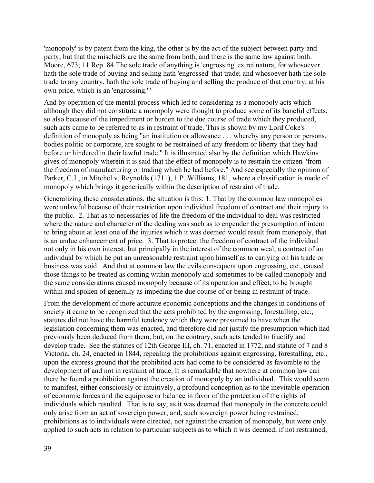'monopoly' is by patent from the king, the other is by the act of the subject between party and party; but that the mischiefs are the same from both, and there is the same law against both. Moore, 673; 11 Rep. 84.The sole trade of anything is 'engrossing' ex rei natura, for whosoever hath the sole trade of buying and selling hath 'engrossed' that trade; and whosoever hath the sole trade to any country, hath the sole trade of buying and selling the produce of that country, at his own price, which is an 'engrossing.'"

And by operation of the mental process which led to considering as a monopoly acts which although they did not constitute a monopoly were thought to produce some of its baneful effects, so also because of the impediment or burden to the due course of trade which they produced, such acts came to be referred to as in restraint of trade. This is shown by my Lord Coke's definition of monopoly as being "an institution or allowance . . . whereby any person or persons, bodies politic or corporate, are sought to be restrained of any freedom or liberty that they had before or hindered in their lawful trade." It is illustrated also by the definition which Hawkins gives of monopoly wherein it is said that the effect of monopoly is to restrain the citizen "from the freedom of manufacturing or trading which he had before." And see especially the opinion of Parker, C.J., in Mitchel v. Reynolds (1711), 1 P. Williams, 181, where a classification is made of monopoly which brings it generically within the description of restraint of trade.

Generalizing these considerations, the situation is this: 1. That by the common law monopolies were unlawful because of their restriction upon individual freedom of contract and their injury to the public. 2. That as to necessaries of life the freedom of the individual to deal was restricted where the nature and character of the dealing was such as to engender the presumption of intent to bring about at least one of the injuries which it was deemed would result from monopoly, that is an undue enhancement of price. 3. That to protect the freedom of contract of the individual not only in his own interest, but principally in the interest of the common weal, a contract of an individual by which he put an unreasonable restraint upon himself as to carrying on his trade or business was void. And that at common law the evils consequent upon engrossing, etc., caused those things to be treated as coming within monopoly and sometimes to be called monopoly and the same considerations caused monopoly because of its operation and effect, to be brought within and spoken of generally as impeding the due course of or being in restraint of trade.

From the development of more accurate economic conceptions and the changes in conditions of society it came to be recognized that the acts prohibited by the engrossing, forestalling, etc., statutes did not have the harmful tendency which they were presumed to have when the legislation concerning them was enacted, and therefore did not justify the presumption which had previously been deduced from them, but, on the contrary, such acts tended to fructify and develop trade. See the statutes of 12th George III, ch. 71, enacted in 1772, and statute of 7 and 8 Victoria, ch. 24, enacted in 1844, repealing the prohibitions against engrossing, forestalling, etc., upon the express ground that the prohibited acts had come to be considered as favorable to the development of and not in restraint of trade. It is remarkable that nowhere at common law can there be found a prohibition against the creation of monopoly by an individual. This would seem to manifest, either consciously or intuitively, a profound conception as to the inevitable operation of economic forces and the equipoise or balance in favor of the protection of the rights of individuals which resulted. That is to say, as it was deemed that monopoly in the concrete could only arise from an act of sovereign power, and, such sovereign power being restrained, prohibitions as to individuals were directed, not against the creation of monopoly, but were only applied to such acts in relation to particular subjects as to which it was deemed, if not restrained,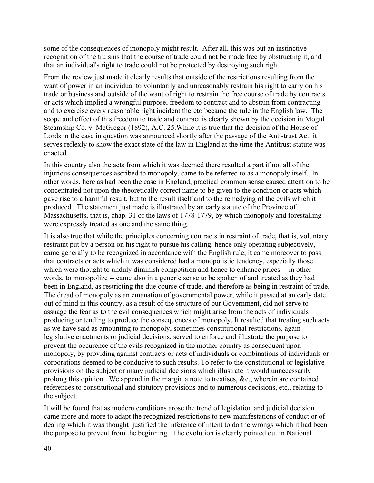some of the consequences of monopoly might result. After all, this was but an instinctive recognition of the truisms that the course of trade could not be made free by obstructing it, and that an individual's right to trade could not be protected by destroying such right.

From the review just made it clearly results that outside of the restrictions resulting from the want of power in an individual to voluntarily and unreasonably restrain his right to carry on his trade or business and outside of the want of right to restrain the free course of trade by contracts or acts which implied a wrongful purpose, freedom to contract and to abstain from contracting and to exercise every reasonable right incident thereto became the rule in the English law. The scope and effect of this freedom to trade and contract is clearly shown by the decision in Mogul Steamship Co. v. McGregor (1892), A.C. 25.While it is true that the decision of the House of Lords in the case in question was announced shortly after the passage of the Anti-trust Act, it serves reflexly to show the exact state of the law in England at the time the Antitrust statute was enacted.

In this country also the acts from which it was deemed there resulted a part if not all of the injurious consequences ascribed to monopoly, came to be referred to as a monopoly itself. In other words, here as had been the case in England, practical common sense caused attention to be concentrated not upon the theoretically correct name to be given to the condition or acts which gave rise to a harmful result, but to the result itself and to the remedying of the evils which it produced. The statement just made is illustrated by an early statute of the Province of Massachusetts, that is, chap. 31 of the laws of 1778-1779, by which monopoly and forestalling were expressly treated as one and the same thing.

It is also true that while the principles concerning contracts in restraint of trade, that is, voluntary restraint put by a person on his right to pursue his calling, hence only operating subjectively, came generally to be recognized in accordance with the English rule, it came moreover to pass that contracts or acts which it was considered had a monopolistic tendency, especially those which were thought to unduly diminish competition and hence to enhance prices -- in other words, to monopolize -- came also in a generic sense to be spoken of and treated as they had been in England, as restricting the due course of trade, and therefore as being in restraint of trade. The dread of monopoly as an emanation of governmental power, while it passed at an early date out of mind in this country, as a result of the structure of our Government, did not serve to assuage the fear as to the evil consequences which might arise from the acts of individuals producing or tending to produce the consequences of monopoly. It resulted that treating such acts as we have said as amounting to monopoly, sometimes constitutional restrictions, again legislative enactments or judicial decisions, served to enforce and illustrate the purpose to prevent the occurence of the evils recognized in the mother country as consequent upon monopoly, by providing against contracts or acts of individuals or combinations of individuals or corporations deemed to be conducive to such results. To refer to the constitutional or legislative provisions on the subject or many judicial decisions which illustrate it would unnecessarily prolong this opinion. We append in the margin a note to treatises, &c., wherein are contained references to constitutional and statutory provisions and to numerous decisions, etc., relating to the subject.

It will be found that as modern conditions arose the trend of legislation and judicial decision came more and more to adapt the recognized restrictions to new manifestations of conduct or of dealing which it was thought justified the inference of intent to do the wrongs which it had been the purpose to prevent from the beginning. The evolution is clearly pointed out in National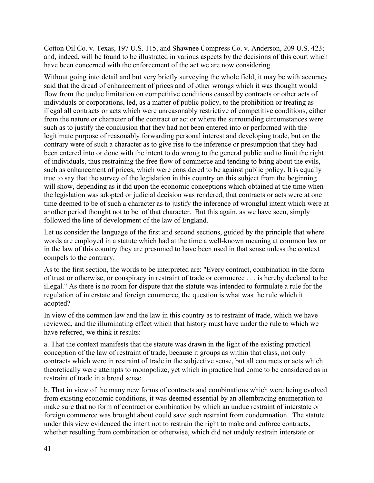Cotton Oil Co. v. Texas, 197 U.S. 115, and Shawnee Compress Co. v. Anderson, 209 U.S. 423; and, indeed, will be found to be illustrated in various aspects by the decisions of this court which have been concerned with the enforcement of the act we are now considering.

Without going into detail and but very briefly surveying the whole field, it may be with accuracy said that the dread of enhancement of prices and of other wrongs which it was thought would flow from the undue limitation on competitive conditions caused by contracts or other acts of individuals or corporations, led, as a matter of public policy, to the prohibition or treating as illegal all contracts or acts which were unreasonably restrictive of competitive conditions, either from the nature or character of the contract or act or where the surrounding circumstances were such as to justify the conclusion that they had not been entered into or performed with the legitimate purpose of reasonably forwarding personal interest and developing trade, but on the contrary were of such a character as to give rise to the inference or presumption that they had been entered into or done with the intent to do wrong to the general public and to limit the right of individuals, thus restraining the free flow of commerce and tending to bring about the evils, such as enhancement of prices, which were considered to be against public policy. It is equally true to say that the survey of the legislation in this country on this subject from the beginning will show, depending as it did upon the economic conceptions which obtained at the time when the legislation was adopted or judicial decision was rendered, that contracts or acts were at one time deemed to be of such a character as to justify the inference of wrongful intent which were at another period thought not to be of that character. But this again, as we have seen, simply followed the line of development of the law of England.

Let us consider the language of the first and second sections, guided by the principle that where words are employed in a statute which had at the time a well-known meaning at common law or in the law of this country they are presumed to have been used in that sense unless the context compels to the contrary.

As to the first section, the words to be interpreted are: "Every contract, combination in the form of trust or otherwise, or conspiracy in restraint of trade or commerce . . . is hereby declared to be illegal." As there is no room for dispute that the statute was intended to formulate a rule for the regulation of interstate and foreign commerce, the question is what was the rule which it adopted?

In view of the common law and the law in this country as to restraint of trade, which we have reviewed, and the illuminating effect which that history must have under the rule to which we have referred, we think it results:

a. That the context manifests that the statute was drawn in the light of the existing practical conception of the law of restraint of trade, because it groups as within that class, not only contracts which were in restraint of trade in the subjective sense, but all contracts or acts which theoretically were attempts to monopolize, yet which in practice had come to be considered as in restraint of trade in a broad sense.

b. That in view of the many new forms of contracts and combinations which were being evolved from existing economic conditions, it was deemed essential by an allembracing enumeration to make sure that no form of contract or combination by which an undue restraint of interstate or foreign commerce was brought about could save such restraint from condemnation. The statute under this view evidenced the intent not to restrain the right to make and enforce contracts, whether resulting from combination or otherwise, which did not unduly restrain interstate or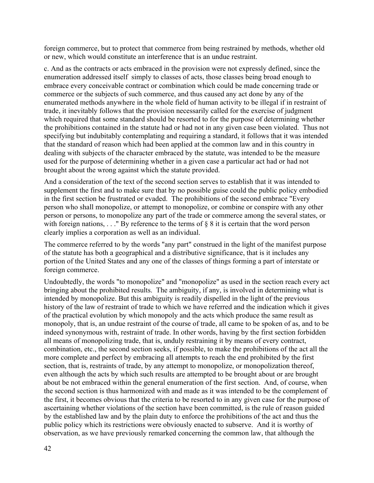foreign commerce, but to protect that commerce from being restrained by methods, whether old or new, which would constitute an interference that is an undue restraint.

c. And as the contracts or acts embraced in the provision were not expressly defined, since the enumeration addressed itself simply to classes of acts, those classes being broad enough to embrace every conceivable contract or combination which could be made concerning trade or commerce or the subjects of such commerce, and thus caused any act done by any of the enumerated methods anywhere in the whole field of human activity to be illegal if in restraint of trade, it inevitably follows that the provision necessarily called for the exercise of judgment which required that some standard should be resorted to for the purpose of determining whether the prohibitions contained in the statute had or had not in any given case been violated. Thus not specifying but indubitably contemplating and requiring a standard, it follows that it was intended that the standard of reason which had been applied at the common law and in this country in dealing with subjects of the character embraced by the statute, was intended to be the measure used for the purpose of determining whether in a given case a particular act had or had not brought about the wrong against which the statute provided.

And a consideration of the text of the second section serves to establish that it was intended to supplement the first and to make sure that by no possible guise could the public policy embodied in the first section be frustrated or evaded. The prohibitions of the second embrace "Every person who shall monopolize, or attempt to monopolize, or combine or conspire with any other person or persons, to monopolize any part of the trade or commerce among the several states, or with foreign nations,  $\dots$  " By reference to the terms of § 8 it is certain that the word person clearly implies a corporation as well as an individual.

The commerce referred to by the words "any part" construed in the light of the manifest purpose of the statute has both a geographical and a distributive significance, that is it includes any portion of the United States and any one of the classes of things forming a part of interstate or foreign commerce.

Undoubtedly, the words "to monopolize" and "monopolize" as used in the section reach every act bringing about the prohibited results. The ambiguity, if any, is involved in determining what is intended by monopolize. But this ambiguity is readily dispelled in the light of the previous history of the law of restraint of trade to which we have referred and the indication which it gives of the practical evolution by which monopoly and the acts which produce the same result as monopoly, that is, an undue restraint of the course of trade, all came to be spoken of as, and to be indeed synonymous with, restraint of trade. In other words, having by the first section forbidden all means of monopolizing trade, that is, unduly restraining it by means of every contract, combination, etc., the second section seeks, if possible, to make the prohibitions of the act all the more complete and perfect by embracing all attempts to reach the end prohibited by the first section, that is, restraints of trade, by any attempt to monopolize, or monopolization thereof, even although the acts by which such results are attempted to be brought about or are brought about be not embraced within the general enumeration of the first section. And, of course, when the second section is thus harmonized with and made as it was intended to be the complement of the first, it becomes obvious that the criteria to be resorted to in any given case for the purpose of ascertaining whether violations of the section have been committed, is the rule of reason guided by the established law and by the plain duty to enforce the prohibitions of the act and thus the public policy which its restrictions were obviously enacted to subserve. And it is worthy of observation, as we have previously remarked concerning the common law, that although the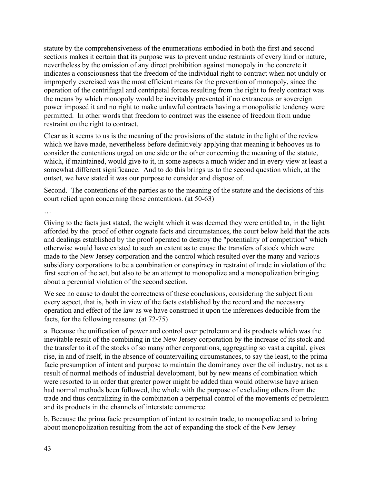statute by the comprehensiveness of the enumerations embodied in both the first and second sections makes it certain that its purpose was to prevent undue restraints of every kind or nature, nevertheless by the omission of any direct prohibition against monopoly in the concrete it indicates a consciousness that the freedom of the individual right to contract when not unduly or improperly exercised was the most efficient means for the prevention of monopoly, since the operation of the centrifugal and centripetal forces resulting from the right to freely contract was the means by which monopoly would be inevitably prevented if no extraneous or sovereign power imposed it and no right to make unlawful contracts having a monopolistic tendency were permitted. In other words that freedom to contract was the essence of freedom from undue restraint on the right to contract.

Clear as it seems to us is the meaning of the provisions of the statute in the light of the review which we have made, nevertheless before definitively applying that meaning it behooves us to consider the contentions urged on one side or the other concerning the meaning of the statute, which, if maintained, would give to it, in some aspects a much wider and in every view at least a somewhat different significance. And to do this brings us to the second question which, at the outset, we have stated it was our purpose to consider and dispose of.

Second. The contentions of the parties as to the meaning of the statute and the decisions of this court relied upon concerning those contentions. (at 50-63)

…

Giving to the facts just stated, the weight which it was deemed they were entitled to, in the light afforded by the proof of other cognate facts and circumstances, the court below held that the acts and dealings established by the proof operated to destroy the "potentiality of competition" which otherwise would have existed to such an extent as to cause the transfers of stock which were made to the New Jersey corporation and the control which resulted over the many and various subsidiary corporations to be a combination or conspiracy in restraint of trade in violation of the first section of the act, but also to be an attempt to monopolize and a monopolization bringing about a perennial violation of the second section.

We see no cause to doubt the correctness of these conclusions, considering the subject from every aspect, that is, both in view of the facts established by the record and the necessary operation and effect of the law as we have construed it upon the inferences deducible from the facts, for the following reasons: (at 72-75)

a. Because the unification of power and control over petroleum and its products which was the inevitable result of the combining in the New Jersey corporation by the increase of its stock and the transfer to it of the stocks of so many other corporations, aggregating so vast a capital, gives rise, in and of itself, in the absence of countervailing circumstances, to say the least, to the prima facie presumption of intent and purpose to maintain the dominancy over the oil industry, not as a result of normal methods of industrial development, but by new means of combination which were resorted to in order that greater power might be added than would otherwise have arisen had normal methods been followed, the whole with the purpose of excluding others from the trade and thus centralizing in the combination a perpetual control of the movements of petroleum and its products in the channels of interstate commerce.

b. Because the prima facie presumption of intent to restrain trade, to monopolize and to bring about monopolization resulting from the act of expanding the stock of the New Jersey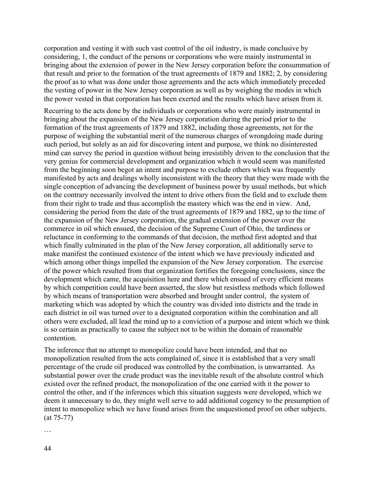corporation and vesting it with such vast control of the oil industry, is made conclusive by considering, 1, the conduct of the persons or corporations who were mainly instrumental in bringing about the extension of power in the New Jersey corporation before the consummation of that result and prior to the formation of the trust agreements of 1879 and 1882; 2, by considering the proof as to what was done under those agreements and the acts which immediately preceded the vesting of power in the New Jersey corporation as well as by weighing the modes in which the power vested in that corporation has been exerted and the results which have arisen from it.

Recurring to the acts done by the individuals or corporations who were mainly instrumental in bringing about the expansion of the New Jersey corporation during the period prior to the formation of the trust agreements of 1879 and 1882, including those agreements, not for the purpose of weighing the substantial merit of the numerous charges of wrongdoing made during such period, but solely as an aid for discovering intent and purpose, we think no disinterested mind can survey the period in question without being irresistibly driven to the conclusion that the very genius for commercial development and organization which it would seem was manifested from the beginning soon begot an intent and purpose to exclude others which was frequently manifested by acts and dealings wholly inconsistent with the theory that they were made with the single conception of advancing the development of business power by usual methods, but which on the contrary necessarily involved the intent to drive others from the field and to exclude them from their right to trade and thus accomplish the mastery which was the end in view. And, considering the period from the date of the trust agreements of 1879 and 1882, up to the time of the expansion of the New Jersey corporation, the gradual extension of the power over the commerce in oil which ensued, the decision of the Supreme Court of Ohio, the tardiness or reluctance in conforming to the commands of that decision, the method first adopted and that which finally culminated in the plan of the New Jersey corporation, all additionally serve to make manifest the continued existence of the intent which we have previously indicated and which among other things impelled the expansion of the New Jersey corporation. The exercise of the power which resulted from that organization fortifies the foregoing conclusions, since the development which came, the acquisition here and there which ensued of every efficient means by which competition could have been asserted, the slow but resistless methods which followed by which means of transportation were absorbed and brought under control, the system of marketing which was adopted by which the country was divided into districts and the trade in each district in oil was turned over to a designated corporation within the combination and all others were excluded, all lead the mind up to a conviction of a purpose and intent which we think is so certain as practically to cause the subject not to be within the domain of reasonable contention.

The inference that no attempt to monopolize could have been intended, and that no monopolization resulted from the acts complained of, since it is established that a very small percentage of the crude oil produced was controlled by the combination, is unwarranted. As substantial power over the crude product was the inevitable result of the absolute control which existed over the refined product, the monopolization of the one carried with it the power to control the other, and if the inferences which this situation suggests were developed, which we deem it unnecessary to do, they might well serve to add additional cogency to the presumption of intent to monopolize which we have found arises from the unquestioned proof on other subjects. (at 75-77)

…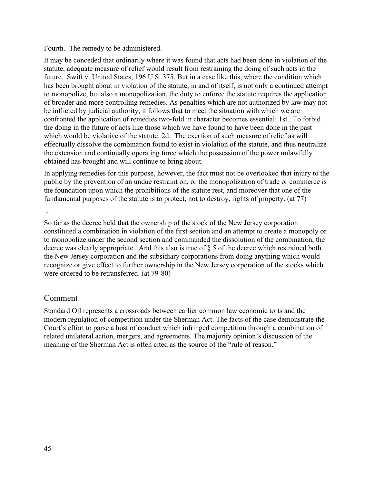Fourth. The remedy to be administered.

It may be conceded that ordinarily where it was found that acts had been done in violation of the statute, adequate measure of relief would result from restraining the doing of such acts in the future. Swift v. United States, 196 U.S. 375. But in a case like this, where the condition which has been brought about in violation of the statute, in and of itself, is not only a continued attempt to monopolize, but also a monopolization, the duty to enforce the statute requires the application of broader and more controlling remedies. As penalties which are not authorized by law may not be inflicted by judicial authority, it follows that to meet the situation with which we are confronted the application of remedies two-fold in character becomes essential: 1st. To forbid the doing in the future of acts like those which we have found to have been done in the past which would be violative of the statute. 2d. The exertion of such measure of relief as will effectually dissolve the combination found to exist in violation of the statute, and thus neutralize the extension and continually operating force which the possession of the power unlawfully obtained has brought and will continue to bring about.

In applying remedies for this purpose, however, the fact must not be overlooked that injury to the public by the prevention of an undue restraint on, or the monopolization of trade or commerce is the foundation upon which the prohibitions of the statute rest, and moreover that one of the fundamental purposes of the statute is to protect, not to destroy, rights of property. (at 77)

…

So far as the decree held that the ownership of the stock of the New Jersey corporation constituted a combination in violation of the first section and an attempt to create a monopoly or to monopolize under the second section and commanded the dissolution of the combination, the decree was clearly appropriate. And this also is true of § 5 of the decree which restrained both the New Jersey corporation and the subsidiary corporations from doing anything which would recognize or give effect to further ownership in the New Jersey corporation of the stocks which were ordered to be retransferred. (at 79-80)

# Comment

Standard Oil represents a crossroads between earlier common law economic torts and the modern regulation of competition under the Sherman Act. The facts of the case demonstrate the Court's effort to parse a host of conduct which infringed competition through a combination of related unilateral action, mergers, and agreements. The majority opinion's discussion of the meaning of the Sherman Act is often cited as the source of the "rule of reason."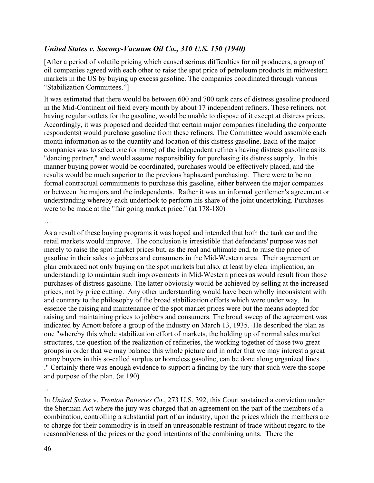# *United States v. Socony-Vacuum Oil Co., 310 U.S. 150 (1940)*

[After a period of volatile pricing which caused serious difficulties for oil producers, a group of oil companies agreed with each other to raise the spot price of petroleum products in midwestern markets in the US by buying up excess gasoline. The companies coordinated through various "Stabilization Committees."]

It was estimated that there would be between 600 and 700 tank cars of distress gasoline produced in the Mid-Continent oil field every month by about 17 independent refiners. These refiners, not having regular outlets for the gasoline, would be unable to dispose of it except at distress prices. Accordingly, it was proposed and decided that certain major companies (including the corporate respondents) would purchase gasoline from these refiners. The Committee would assemble each month information as to the quantity and location of this distress gasoline. Each of the major companies was to select one (or more) of the independent refiners having distress gasoline as its "dancing partner," and would assume responsibility for purchasing its distress supply. In this manner buying power would be coordinated, purchases would be effectively placed, and the results would be much superior to the previous haphazard purchasing. There were to be no formal contractual commitments to purchase this gasoline, either between the major companies or between the majors and the independents. Rather it was an informal gentlemen's agreement or understanding whereby each undertook to perform his share of the joint undertaking. Purchases were to be made at the "fair going market price." (at 178-180)

…

As a result of these buying programs it was hoped and intended that both the tank car and the retail markets would improve. The conclusion is irresistible that defendants' purpose was not merely to raise the spot market prices but, as the real and ultimate end, to raise the price of gasoline in their sales to jobbers and consumers in the Mid-Western area. Their agreement or plan embraced not only buying on the spot markets but also, at least by clear implication, an understanding to maintain such improvements in Mid-Western prices as would result from those purchases of distress gasoline. The latter obviously would be achieved by selling at the increased prices, not by price cutting. Any other understanding would have been wholly inconsistent with and contrary to the philosophy of the broad stabilization efforts which were under way. In essence the raising and maintenance of the spot market prices were but the means adopted for raising and maintaining prices to jobbers and consumers. The broad sweep of the agreement was indicated by Arnott before a group of the industry on March 13, 1935. He described the plan as one "whereby this whole stabilization effort of markets, the holding up of normal sales market structures, the question of the realization of refineries, the working together of those two great groups in order that we may balance this whole picture and in order that we may interest a great many buyers in this so-called surplus or homeless gasoline, can be done along organized lines. . . ." Certainly there was enough evidence to support a finding by the jury that such were the scope and purpose of the plan. (at 190)

…

In *United States* v. *Trenton Potteries Co*., 273 U.S. 392, this Court sustained a conviction under the Sherman Act where the jury was charged that an agreement on the part of the members of a combination, controlling a substantial part of an industry, upon the prices which the members are to charge for their commodity is in itself an unreasonable restraint of trade without regard to the reasonableness of the prices or the good intentions of the combining units. There the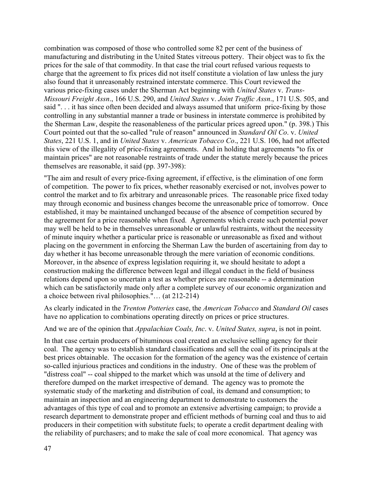combination was composed of those who controlled some 82 per cent of the business of manufacturing and distributing in the United States vitreous pottery. Their object was to fix the prices for the sale of that commodity. In that case the trial court refused various requests to charge that the agreement to fix prices did not itself constitute a violation of law unless the jury also found that it unreasonably restrained interstate commerce. This Court reviewed the various price-fixing cases under the Sherman Act beginning with *United States* v. *Trans-Missouri Freight Assn*., 166 U.S. 290, and *United States* v. *Joint Traffic Assn*., 171 U.S. 505, and said ". . . it has since often been decided and always assumed that uniform price-fixing by those controlling in any substantial manner a trade or business in interstate commerce is prohibited by the Sherman Law, despite the reasonableness of the particular prices agreed upon." (p. 398.) This Court pointed out that the so-called "rule of reason" announced in *Standard Oil Co*. v. *United States*, 221 U.S. 1, and in *United States* v. *American Tobacco Co*., 221 U.S. 106, had not affected this view of the illegality of price-fixing agreements. And in holding that agreements "to fix or maintain prices" are not reasonable restraints of trade under the statute merely because the prices themselves are reasonable, it said (pp. 397-398):

"The aim and result of every price-fixing agreement, if effective, is the elimination of one form of competition. The power to fix prices, whether reasonably exercised or not, involves power to control the market and to fix arbitrary and unreasonable prices. The reasonable price fixed today may through economic and business changes become the unreasonable price of tomorrow. Once established, it may be maintained unchanged because of the absence of competition secured by the agreement for a price reasonable when fixed. Agreements which create such potential power may well be held to be in themselves unreasonable or unlawful restraints, without the necessity of minute inquiry whether a particular price is reasonable or unreasonable as fixed and without placing on the government in enforcing the Sherman Law the burden of ascertaining from day to day whether it has become unreasonable through the mere variation of economic conditions. Moreover, in the absence of express legislation requiring it, we should hesitate to adopt a construction making the difference between legal and illegal conduct in the field of business relations depend upon so uncertain a test as whether prices are reasonable -- a determination which can be satisfactorily made only after a complete survey of our economic organization and a choice between rival philosophies."… (at 212-214)

As clearly indicated in the *Trenton Potteries* case, the *American Tobacco* and *Standard Oil* cases have no application to combinations operating directly on prices or price structures.

And we are of the opinion that *Appalachian Coals, Inc*. v. *United States, supra*, is not in point.

In that case certain producers of bituminous coal created an exclusive selling agency for their coal. The agency was to establish standard classifications and sell the coal of its principals at the best prices obtainable. The occasion for the formation of the agency was the existence of certain so-called injurious practices and conditions in the industry. One of these was the problem of "distress coal" -- coal shipped to the market which was unsold at the time of delivery and therefore dumped on the market irrespective of demand. The agency was to promote the systematic study of the marketing and distribution of coal, its demand and consumption; to maintain an inspection and an engineering department to demonstrate to customers the advantages of this type of coal and to promote an extensive advertising campaign; to provide a research department to demonstrate proper and efficient methods of burning coal and thus to aid producers in their competition with substitute fuels; to operate a credit department dealing with the reliability of purchasers; and to make the sale of coal more economical. That agency was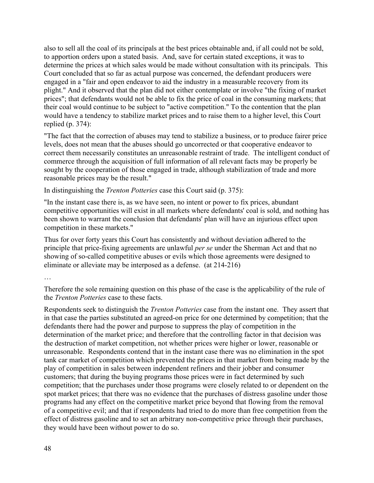also to sell all the coal of its principals at the best prices obtainable and, if all could not be sold, to apportion orders upon a stated basis. And, save for certain stated exceptions, it was to determine the prices at which sales would be made without consultation with its principals. This Court concluded that so far as actual purpose was concerned, the defendant producers were engaged in a "fair and open endeavor to aid the industry in a measurable recovery from its plight." And it observed that the plan did not either contemplate or involve "the fixing of market prices"; that defendants would not be able to fix the price of coal in the consuming markets; that their coal would continue to be subject to "active competition." To the contention that the plan would have a tendency to stabilize market prices and to raise them to a higher level, this Court replied (p. 374):

"The fact that the correction of abuses may tend to stabilize a business, or to produce fairer price levels, does not mean that the abuses should go uncorrected or that cooperative endeavor to correct them necessarily constitutes an unreasonable restraint of trade. The intelligent conduct of commerce through the acquisition of full information of all relevant facts may be properly be sought by the cooperation of those engaged in trade, although stabilization of trade and more reasonable prices may be the result."

In distinguishing the *Trenton Potteries* case this Court said (p. 375):

"In the instant case there is, as we have seen, no intent or power to fix prices, abundant competitive opportunities will exist in all markets where defendants' coal is sold, and nothing has been shown to warrant the conclusion that defendants' plan will have an injurious effect upon competition in these markets."

Thus for over forty years this Court has consistently and without deviation adhered to the principle that price-fixing agreements are unlawful *per se* under the Sherman Act and that no showing of so-called competitive abuses or evils which those agreements were designed to eliminate or alleviate may be interposed as a defense. (at 214-216)

…

Therefore the sole remaining question on this phase of the case is the applicability of the rule of the *Trenton Potteries* case to these facts.

Respondents seek to distinguish the *Trenton Potteries* case from the instant one. They assert that in that case the parties substituted an agreed-on price for one determined by competition; that the defendants there had the power and purpose to suppress the play of competition in the determination of the market price; and therefore that the controlling factor in that decision was the destruction of market competition, not whether prices were higher or lower, reasonable or unreasonable. Respondents contend that in the instant case there was no elimination in the spot tank car market of competition which prevented the prices in that market from being made by the play of competition in sales between independent refiners and their jobber and consumer customers; that during the buying programs those prices were in fact determined by such competition; that the purchases under those programs were closely related to or dependent on the spot market prices; that there was no evidence that the purchases of distress gasoline under those programs had any effect on the competitive market price beyond that flowing from the removal of a competitive evil; and that if respondents had tried to do more than free competition from the effect of distress gasoline and to set an arbitrary non-competitive price through their purchases, they would have been without power to do so.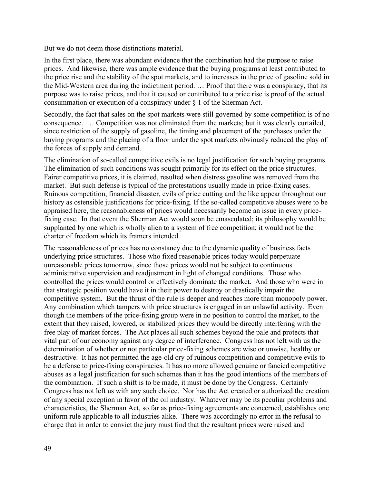But we do not deem those distinctions material.

In the first place, there was abundant evidence that the combination had the purpose to raise prices. And likewise, there was ample evidence that the buying programs at least contributed to the price rise and the stability of the spot markets, and to increases in the price of gasoline sold in the Mid-Western area during the indictment period. … Proof that there was a conspiracy, that its purpose was to raise prices, and that it caused or contributed to a price rise is proof of the actual consummation or execution of a conspiracy under § 1 of the Sherman Act.

Secondly, the fact that sales on the spot markets were still governed by some competition is of no consequence. … Competition was not eliminated from the markets; but it was clearly curtailed, since restriction of the supply of gasoline, the timing and placement of the purchases under the buying programs and the placing of a floor under the spot markets obviously reduced the play of the forces of supply and demand.

The elimination of so-called competitive evils is no legal justification for such buying programs. The elimination of such conditions was sought primarily for its effect on the price structures. Fairer competitive prices, it is claimed, resulted when distress gasoline was removed from the market. But such defense is typical of the protestations usually made in price-fixing cases. Ruinous competition, financial disaster, evils of price cutting and the like appear throughout our history as ostensible justifications for price-fixing. If the so-called competitive abuses were to be appraised here, the reasonableness of prices would necessarily become an issue in every pricefixing case. In that event the Sherman Act would soon be emasculated; its philosophy would be supplanted by one which is wholly alien to a system of free competition; it would not be the charter of freedom which its framers intended.

The reasonableness of prices has no constancy due to the dynamic quality of business facts underlying price structures. Those who fixed reasonable prices today would perpetuate unreasonable prices tomorrow, since those prices would not be subject to continuous administrative supervision and readjustment in light of changed conditions. Those who controlled the prices would control or effectively dominate the market. And those who were in that strategic position would have it in their power to destroy or drastically impair the competitive system. But the thrust of the rule is deeper and reaches more than monopoly power. Any combination which tampers with price structures is engaged in an unlawful activity. Even though the members of the price-fixing group were in no position to control the market, to the extent that they raised, lowered, or stabilized prices they would be directly interfering with the free play of market forces. The Act places all such schemes beyond the pale and protects that vital part of our economy against any degree of interference. Congress has not left with us the determination of whether or not particular price-fixing schemes are wise or unwise, healthy or destructive. It has not permitted the age-old cry of ruinous competition and competitive evils to be a defense to price-fixing conspiracies. It has no more allowed genuine or fancied competitive abuses as a legal justification for such schemes than it has the good intentions of the members of the combination. If such a shift is to be made, it must be done by the Congress. Certainly Congress has not left us with any such choice. Nor has the Act created or authorized the creation of any special exception in favor of the oil industry. Whatever may be its peculiar problems and characteristics, the Sherman Act, so far as price-fixing agreements are concerned, establishes one uniform rule applicable to all industries alike. There was accordingly no error in the refusal to charge that in order to convict the jury must find that the resultant prices were raised and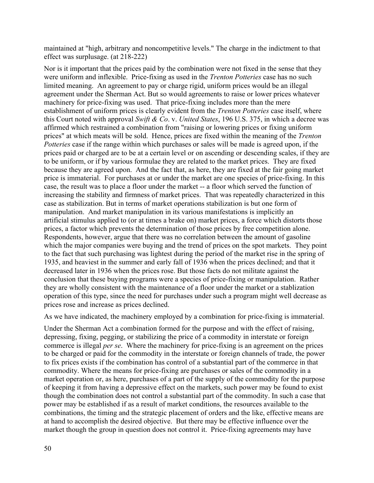maintained at "high, arbitrary and noncompetitive levels." The charge in the indictment to that effect was surplusage. (at 218-222)

Nor is it important that the prices paid by the combination were not fixed in the sense that they were uniform and inflexible. Price-fixing as used in the *Trenton Potteries* case has no such limited meaning. An agreement to pay or charge rigid, uniform prices would be an illegal agreement under the Sherman Act. But so would agreements to raise or lower prices whatever machinery for price-fixing was used. That price-fixing includes more than the mere establishment of uniform prices is clearly evident from the *Trenton Potteries* case itself, where this Court noted with approval *Swift & Co*. v. *United States*, 196 U.S. 375, in which a decree was affirmed which restrained a combination from "raising or lowering prices or fixing uniform prices" at which meats will be sold. Hence, prices are fixed within the meaning of the *Trenton Potteries* case if the range within which purchases or sales will be made is agreed upon, if the prices paid or charged are to be at a certain level or on ascending or descending scales, if they are to be uniform, or if by various formulae they are related to the market prices. They are fixed because they are agreed upon. And the fact that, as here, they are fixed at the fair going market price is immaterial. For purchases at or under the market are one species of price-fixing. In this case, the result was to place a floor under the market -- a floor which served the function of increasing the stability and firmness of market prices. That was repeatedly characterized in this case as stabilization. But in terms of market operations stabilization is but one form of manipulation. And market manipulation in its various manifestations is implicitly an artificial stimulus applied to (or at times a brake on) market prices, a force which distorts those prices, a factor which prevents the determination of those prices by free competition alone. Respondents, however, argue that there was no correlation between the amount of gasoline which the major companies were buying and the trend of prices on the spot markets. They point to the fact that such purchasing was lightest during the period of the market rise in the spring of 1935, and heaviest in the summer and early fall of 1936 when the prices declined; and that it decreased later in 1936 when the prices rose. But those facts do not militate against the conclusion that these buying programs were a species of price-fixing or manipulation. Rather they are wholly consistent with the maintenance of a floor under the market or a stablization operation of this type, since the need for purchases under such a program might well decrease as prices rose and increase as prices declined.

As we have indicated, the machinery employed by a combination for price-fixing is immaterial.

Under the Sherman Act a combination formed for the purpose and with the effect of raising, depressing, fixing, pegging, or stabilizing the price of a commodity in interstate or foreign commerce is illegal *per se*. Where the machinery for price-fixing is an agreement on the prices to be charged or paid for the commodity in the interstate or foreign channels of trade, the power to fix prices exists if the combination has control of a substantial part of the commerce in that commodity. Where the means for price-fixing are purchases or sales of the commodity in a market operation or, as here, purchases of a part of the supply of the commodity for the purpose of keeping it from having a depressive effect on the markets, such power may be found to exist though the combination does not control a substantial part of the commodity. In such a case that power may be established if as a result of market conditions, the resources available to the combinations, the timing and the strategic placement of orders and the like, effective means are at hand to accomplish the desired objective. But there may be effective influence over the market though the group in question does not control it. Price-fixing agreements may have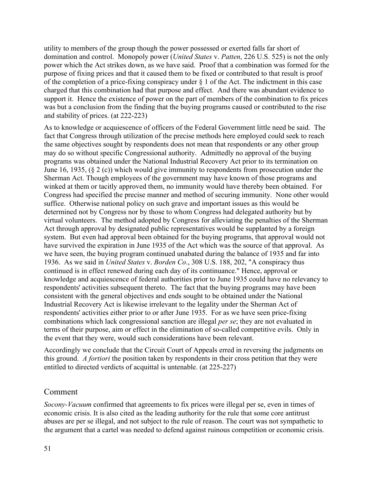utility to members of the group though the power possessed or exerted falls far short of domination and control. Monopoly power (*United States* v. *Patten*, 226 U.S. 525) is not the only power which the Act strikes down, as we have said. Proof that a combination was formed for the purpose of fixing prices and that it caused them to be fixed or contributed to that result is proof of the completion of a price-fixing conspiracy under  $\S$  1 of the Act. The indictment in this case charged that this combination had that purpose and effect. And there was abundant evidence to support it. Hence the existence of power on the part of members of the combination to fix prices was but a conclusion from the finding that the buying programs caused or contributed to the rise and stability of prices. (at 222-223)

As to knowledge or acquiescence of officers of the Federal Government little need be said. The fact that Congress through utilization of the precise methods here employed could seek to reach the same objectives sought by respondents does not mean that respondents or any other group may do so without specific Congressional authority. Admittedly no approval of the buying programs was obtained under the National Industrial Recovery Act prior to its termination on June 16, 1935, (§ 2 (c)) which would give immunity to respondents from prosecution under the Sherman Act. Though employees of the government may have known of those programs and winked at them or tacitly approved them, no immunity would have thereby been obtained. For Congress had specified the precise manner and method of securing immunity. None other would suffice. Otherwise national policy on such grave and important issues as this would be determined not by Congress nor by those to whom Congress had delegated authority but by virtual volunteers. The method adopted by Congress for alleviating the penalties of the Sherman Act through approval by designated public representatives would be supplanted by a foreign system. But even had approval been obtained for the buying programs, that approval would not have survived the expiration in June 1935 of the Act which was the source of that approval. As we have seen, the buying program continued unabated during the balance of 1935 and far into 1936. As we said in *United States* v. *Borden Co*., 308 U.S. 188, 202, "A conspiracy thus continued is in effect renewed during each day of its continuance." Hence, approval or knowledge and acquiescence of federal authorities prior to June 1935 could have no relevancy to respondents' activities subsequent thereto. The fact that the buying programs may have been consistent with the general objectives and ends sought to be obtained under the National Industrial Recovery Act is likewise irrelevant to the legality under the Sherman Act of respondents' activities either prior to or after June 1935. For as we have seen price-fixing combinations which lack congressional sanction are illegal *per se*; they are not evaluated in terms of their purpose, aim or effect in the elimination of so-called competitive evils. Only in the event that they were, would such considerations have been relevant.

Accordingly we conclude that the Circuit Court of Appeals erred in reversing the judgments on this ground. *A fortiori* the position taken by respondents in their cross petition that they were entitled to directed verdicts of acquittal is untenable. (at 225-227)

### Comment

*Socony-Vacuum* confirmed that agreements to fix prices were illegal per se, even in times of economic crisis. It is also cited as the leading authority for the rule that some core antitrust abuses are per se illegal, and not subject to the rule of reason. The court was not sympathetic to the argument that a cartel was needed to defend against ruinous competition or economic crisis.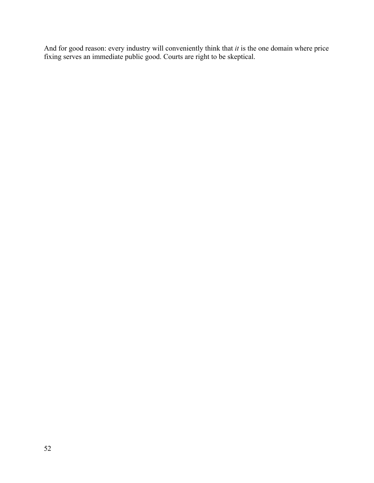And for good reason: every industry will conveniently think that *it* is the one domain where price fixing serves an immediate public good. Courts are right to be skeptical.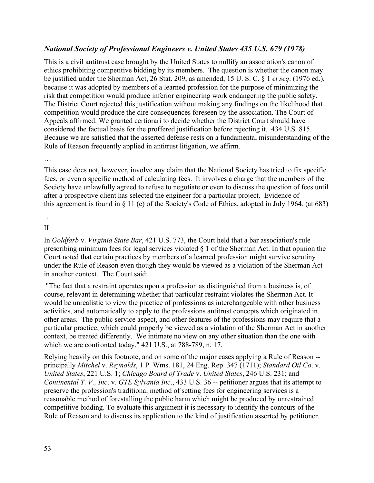## *National Society of Professional Engineers v. United States 435 U.S. 679 (1978)*

This is a civil antitrust case brought by the United States to nullify an association's canon of ethics prohibiting competitive bidding by its members. The question is whether the canon may be justified under the Sherman Act, 26 Stat. 209, as amended, 15 U. S. C. § 1 *et seq*. (1976 ed.), because it was adopted by members of a learned profession for the purpose of minimizing the risk that competition would produce inferior engineering work endangering the public safety. The District Court rejected this justification without making any findings on the likelihood that competition would produce the dire consequences foreseen by the association. The Court of Appeals affirmed. We granted certiorari to decide whether the District Court should have considered the factual basis for the proffered justification before rejecting it. 434 U.S. 815. Because we are satisfied that the asserted defense rests on a fundamental misunderstanding of the Rule of Reason frequently applied in antitrust litigation, we affirm.

…

This case does not, however, involve any claim that the National Society has tried to fix specific fees, or even a specific method of calculating fees. It involves a charge that the members of the Society have unlawfully agreed to refuse to negotiate or even to discuss the question of fees until after a prospective client has selected the engineer for a particular project. Evidence of this agreement is found in § 11 (c) of the Society's Code of Ethics, adopted in July 1964. (at 683)

…

#### II

In *Goldfarb* v. *Virginia State Bar*, 421 U.S. 773, the Court held that a bar association's rule prescribing minimum fees for legal services violated § 1 of the Sherman Act. In that opinion the Court noted that certain practices by members of a learned profession might survive scrutiny under the Rule of Reason even though they would be viewed as a violation of the Sherman Act in another context. The Court said:

"The fact that a restraint operates upon a profession as distinguished from a business is, of course, relevant in determining whether that particular restraint violates the Sherman Act. It would be unrealistic to view the practice of professions as interchangeable with other business activities, and automatically to apply to the professions antitrust concepts which originated in other areas. The public service aspect, and other features of the professions may require that a particular practice, which could properly be viewed as a violation of the Sherman Act in another context, be treated differently. We intimate no view on any other situation than the one with which we are confronted today." 421 U.S., at 788-789, n. 17.

Relying heavily on this footnote, and on some of the major cases applying a Rule of Reason - principally *Mitchel* v. *Reynolds*, 1 P. Wms. 181, 24 Eng. Rep. 347 (1711); *Standard Oil Co*. v. *United States*, 221 U.S. 1; *Chicago Board of Trade* v. *United States*, 246 U.S. 231; and *Continental T. V., Inc*. v. *GTE Sylvania Inc*., 433 U.S. 36 -- petitioner argues that its attempt to preserve the profession's traditional method of setting fees for engineering services is a reasonable method of forestalling the public harm which might be produced by unrestrained competitive bidding. To evaluate this argument it is necessary to identify the contours of the Rule of Reason and to discuss its application to the kind of justification asserted by petitioner.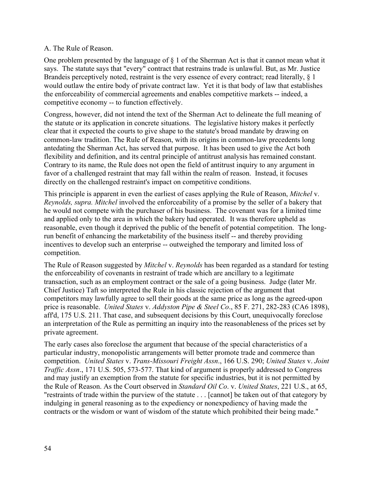#### A. The Rule of Reason.

One problem presented by the language of § 1 of the Sherman Act is that it cannot mean what it says. The statute says that "every" contract that restrains trade is unlawful. But, as Mr. Justice Brandeis perceptively noted, restraint is the very essence of every contract; read literally, § 1 would outlaw the entire body of private contract law. Yet it is that body of law that establishes the enforceability of commercial agreements and enables competitive markets -- indeed, a competitive economy -- to function effectively.

Congress, however, did not intend the text of the Sherman Act to delineate the full meaning of the statute or its application in concrete situations. The legislative history makes it perfectly clear that it expected the courts to give shape to the statute's broad mandate by drawing on common-law tradition. The Rule of Reason, with its origins in common-law precedents long antedating the Sherman Act, has served that purpose. It has been used to give the Act both flexibility and definition, and its central principle of antitrust analysis has remained constant. Contrary to its name, the Rule does not open the field of antitrust inquiry to any argument in favor of a challenged restraint that may fall within the realm of reason. Instead, it focuses directly on the challenged restraint's impact on competitive conditions.

This principle is apparent in even the earliest of cases applying the Rule of Reason, *Mitchel* v. *Reynolds, supra. Mitchel* involved the enforceability of a promise by the seller of a bakery that he would not compete with the purchaser of his business. The covenant was for a limited time and applied only to the area in which the bakery had operated. It was therefore upheld as reasonable, even though it deprived the public of the benefit of potential competition. The longrun benefit of enhancing the marketability of the business itself -- and thereby providing incentives to develop such an enterprise -- outweighed the temporary and limited loss of competition.

The Rule of Reason suggested by *Mitchel* v. *Reynolds* has been regarded as a standard for testing the enforceability of covenants in restraint of trade which are ancillary to a legitimate transaction, such as an employment contract or the sale of a going business. Judge (later Mr. Chief Justice) Taft so interpreted the Rule in his classic rejection of the argument that competitors may lawfully agree to sell their goods at the same price as long as the agreed-upon price is reasonable. *United States* v. *Addyston Pipe & Steel Co*., 85 F. 271, 282-283 (CA6 1898), aff'd, 175 U.S. 211. That case, and subsequent decisions by this Court, unequivocally foreclose an interpretation of the Rule as permitting an inquiry into the reasonableness of the prices set by private agreement.

The early cases also foreclose the argument that because of the special characteristics of a particular industry, monopolistic arrangements will better promote trade and commerce than competition. *United States* v. *Trans-Missouri Freight Assn*., 166 U.S. 290; *United States* v. *Joint Traffic Assn*., 171 U.S. 505, 573-577. That kind of argument is properly addressed to Congress and may justify an exemption from the statute for specific industries, but it is not permitted by the Rule of Reason. As the Court observed in *Standard Oil Co*. v. *United States*, 221 U.S., at 65, "restraints of trade within the purview of the statute . . . [cannot] be taken out of that category by indulging in general reasoning as to the expediency or nonexpediency of having made the contracts or the wisdom or want of wisdom of the statute which prohibited their being made."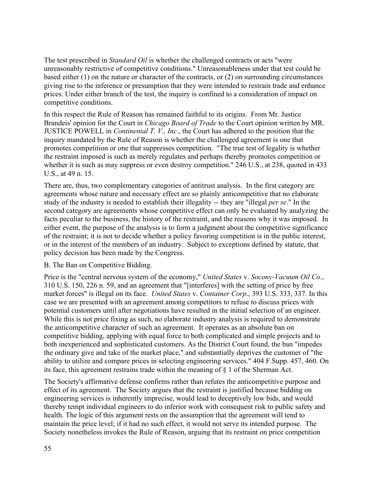The test prescribed in *Standard Oil* is whether the challenged contracts or acts "were unreasonably restrictive of competitive conditions." Unreasonableness under that test could be based either (1) on the nature or character of the contracts, or (2) on surrounding circumstances giving rise to the inference or presumption that they were intended to restrain trade and enhance prices. Under either branch of the test, the inquiry is confined to a consideration of impact on competitive conditions.

In this respect the Rule of Reason has remained faithful to its origins. From Mr. Justice Brandeis' opinion for the Court in *Chicago Board of Trade* to the Court opinion written by MR. JUSTICE POWELL in *Continental T. V., Inc*., the Court has adhered to the position that the inquiry mandated by the Rule of Reason is whether the challenged agreement is one that promotes competition or one that suppresses competition. "The true test of legality is whether the restraint imposed is such as merely regulates and perhaps thereby promotes competition or whether it is such as may suppress or even destroy competition." 246 U.S., at 238, quoted in 433 U.S., at 49 n. 15.

There are, thus, two complementary categories of antitrust analysis. In the first category are agreements whose nature and necessary effect are so plainly anticompetitive that no elaborate study of the industry is needed to establish their illegality -- they are "illegal *per se*." In the second category are agreements whose competitive effect can only be evaluated by analyzing the facts peculiar to the business, the history of the restraint, and the reasons why it was imposed. In either event, the purpose of the analysis is to form a judgment about the competitive significance of the restraint; it is not to decide whether a policy favoring competition is in the public interest, or in the interest of the members of an industry. Subject to exceptions defined by statute, that policy decision has been made by the Congress.

#### B. The Ban on Competitive Bidding.

Price is the "central nervous system of the economy," *United States* v. *Socony-Vacuum Oil Co*., 310 U.S. 150, 226 n. 59, and an agreement that "[interferes] with the setting of price by free market forces" is illegal on its face. *United States* v. *Container Corp*., 393 U.S. 333, 337. In this case we are presented with an agreement among competitors to refuse to discuss prices with potential customers until after negotiations have resulted in the initial selection of an engineer. While this is not price fixing as such, no elaborate industry analysis is required to demonstrate the anticompetitive character of such an agreement. It operates as an absolute ban on competitive bidding, applying with equal force to both complicated and simple projects and to both inexperienced and sophisticated customers. As the District Court found, the ban "impedes the ordinary give and take of the market place," and substantially deprives the customer of "the ability to utilize and compare prices in selecting engineering services." 404 F.Supp. 457, 460. On its face, this agreement restrains trade within the meaning of § 1 of the Sherman Act.

The Society's affirmative defense confirms rather than refutes the anticompetitive purpose and effect of its agreement. The Society argues that the restraint is justified because bidding on engineering services is inherently imprecise, would lead to deceptively low bids, and would thereby tempt individual engineers to do inferior work with consequent risk to public safety and health. The logic of this argument rests on the assumption that the agreement will tend to maintain the price level; if it had no such effect, it would not serve its intended purpose. The Society nonetheless invokes the Rule of Reason, arguing that its restraint on price competition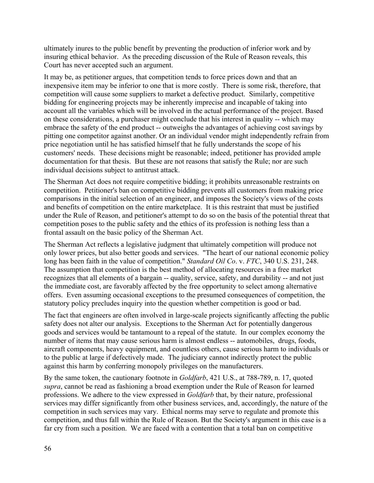ultimately inures to the public benefit by preventing the production of inferior work and by insuring ethical behavior. As the preceding discussion of the Rule of Reason reveals, this Court has never accepted such an argument.

It may be, as petitioner argues, that competition tends to force prices down and that an inexpensive item may be inferior to one that is more costly. There is some risk, therefore, that competition will cause some suppliers to market a defective product. Similarly, competitive bidding for engineering projects may be inherently imprecise and incapable of taking into account all the variables which will be involved in the actual performance of the project. Based on these considerations, a purchaser might conclude that his interest in quality -- which may embrace the safety of the end product -- outweighs the advantages of achieving cost savings by pitting one competitor against another. Or an individual vendor might independently refrain from price negotiation until he has satisfied himself that he fully understands the scope of his customers' needs. These decisions might be reasonable; indeed, petitioner has provided ample documentation for that thesis. But these are not reasons that satisfy the Rule; nor are such individual decisions subject to antitrust attack.

The Sherman Act does not require competitive bidding; it prohibits unreasonable restraints on competition. Petitioner's ban on competitive bidding prevents all customers from making price comparisons in the initial selection of an engineer, and imposes the Society's views of the costs and benefits of competition on the entire marketplace. It is this restraint that must be justified under the Rule of Reason, and petitioner's attempt to do so on the basis of the potential threat that competition poses to the public safety and the ethics of its profession is nothing less than a frontal assault on the basic policy of the Sherman Act.

The Sherman Act reflects a legislative judgment that ultimately competition will produce not only lower prices, but also better goods and services. "The heart of our national economic policy long has been faith in the value of competition." *Standard Oil Co*. v. *FTC*, 340 U.S. 231, 248. The assumption that competition is the best method of allocating resources in a free market recognizes that all elements of a bargain -- quality, service, safety, and durability -- and not just the immediate cost, are favorably affected by the free opportunity to select among alternative offers. Even assuming occasional exceptions to the presumed consequences of competition, the statutory policy precludes inquiry into the question whether competition is good or bad.

The fact that engineers are often involved in large-scale projects significantly affecting the public safety does not alter our analysis. Exceptions to the Sherman Act for potentially dangerous goods and services would be tantamount to a repeal of the statute. In our complex economy the number of items that may cause serious harm is almost endless -- automobiles, drugs, foods, aircraft components, heavy equipment, and countless others, cause serious harm to individuals or to the public at large if defectively made. The judiciary cannot indirectly protect the public against this harm by conferring monopoly privileges on the manufacturers.

By the same token, the cautionary footnote in *Goldfarb*, 421 U.S., at 788-789, n. 17, quoted *supra*, cannot be read as fashioning a broad exemption under the Rule of Reason for learned professions. We adhere to the view expressed in *Goldfarb* that, by their nature, professional services may differ significantly from other business services, and, accordingly, the nature of the competition in such services may vary. Ethical norms may serve to regulate and promote this competition, and thus fall within the Rule of Reason. But the Society's argument in this case is a far cry from such a position. We are faced with a contention that a total ban on competitive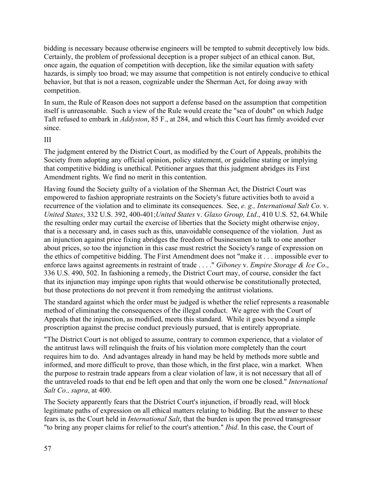bidding is necessary because otherwise engineers will be tempted to submit deceptively low bids. Certainly, the problem of professional deception is a proper subject of an ethical canon. But, once again, the equation of competition with deception, like the similar equation with safety hazards, is simply too broad; we may assume that competition is not entirely conducive to ethical behavior, but that is not a reason, cognizable under the Sherman Act, for doing away with competition.

In sum, the Rule of Reason does not support a defense based on the assumption that competition itself is unreasonable. Such a view of the Rule would create the "sea of doubt" on which Judge Taft refused to embark in *Addyston*, 85 F., at 284, and which this Court has firmly avoided ever since.

## III

The judgment entered by the District Court, as modified by the Court of Appeals, prohibits the Society from adopting any official opinion, policy statement, or guideline stating or implying that competitive bidding is unethical. Petitioner argues that this judgment abridges its First Amendment rights. We find no merit in this contention.

Having found the Society guilty of a violation of the Sherman Act, the District Court was empowered to fashion appropriate restraints on the Society's future activities both to avoid a recurrence of the violation and to eliminate its consequences. See, *e. g., International Salt Co*. v. *United States*, 332 U.S. 392, 400-401;*United States* v. *Glaxo Group, Ltd*., 410 U.S. 52, 64.While the resulting order may curtail the exercise of liberties that the Society might otherwise enjoy, that is a necessary and, in cases such as this, unavoidable consequence of the violation. Just as an injunction against price fixing abridges the freedom of businessmen to talk to one another about prices, so too the injunction in this case must restrict the Society's range of expression on the ethics of competitive bidding. The First Amendment does not "make it . . . impossible ever to enforce laws against agreements in restraint of trade . . . ." *Giboney* v. *Empire Storage & Ice Co*., 336 U.S. 490, 502. In fashioning a remedy, the District Court may, of course, consider the fact that its injunction may impinge upon rights that would otherwise be constitutionally protected, but those protections do not prevent it from remedying the antitrust violations.

The standard against which the order must be judged is whether the relief represents a reasonable method of eliminating the consequences of the illegal conduct. We agree with the Court of Appeals that the injunction, as modified, meets this standard. While it goes beyond a simple proscription against the precise conduct previously pursued, that is entirely appropriate.

"The District Court is not obliged to assume, contrary to common experience, that a violator of the antitrust laws will relinquish the fruits of his violation more completely than the court requires him to do. And advantages already in hand may be held by methods more subtle and informed, and more difficult to prove, than those which, in the first place, win a market. When the purpose to restrain trade appears from a clear violation of law, it is not necessary that all of the untraveled roads to that end be left open and that only the worn one be closed." *International Salt Co., supra*, at 400.

The Society apparently fears that the District Court's injunction, if broadly read, will block legitimate paths of expression on all ethical matters relating to bidding. But the answer to these fears is, as the Court held in *International Salt*, that the burden is upon the proved transgressor "to bring any proper claims for relief to the court's attention." *Ibid*. In this case, the Court of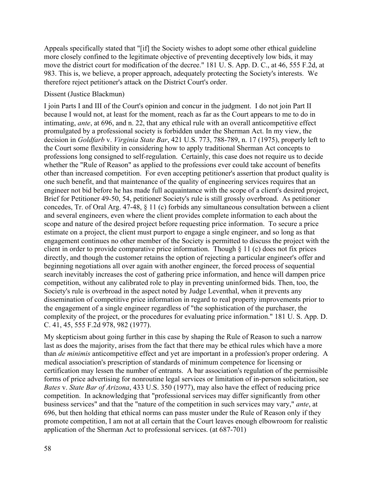Appeals specifically stated that "[if] the Society wishes to adopt some other ethical guideline more closely confined to the legitimate objective of preventing deceptively low bids, it may move the district court for modification of the decree." 181 U. S. App. D. C., at 46, 555 F.2d, at 983. This is, we believe, a proper approach, adequately protecting the Society's interests. We therefore reject petitioner's attack on the District Court's order.

#### Dissent (Justice Blackmun)

I join Parts I and III of the Court's opinion and concur in the judgment. I do not join Part II because I would not, at least for the moment, reach as far as the Court appears to me to do in intimating, *ante*, at 696, and n. 22, that any ethical rule with an overall anticompetitive effect promulgated by a professional society is forbidden under the Sherman Act. In my view, the decision in *Goldfarb* v. *Virginia State Bar*, 421 U.S. 773, 788-789, n. 17 (1975), properly left to the Court some flexibility in considering how to apply traditional Sherman Act concepts to professions long consigned to self-regulation. Certainly, this case does not require us to decide whether the "Rule of Reason" as applied to the professions ever could take account of benefits other than increased competition. For even accepting petitioner's assertion that product quality is one such benefit, and that maintenance of the quality of engineering services requires that an engineer not bid before he has made full acquaintance with the scope of a client's desired project, Brief for Petitioner 49-50, 54, petitioner Society's rule is still grossly overbroad. As petitioner concedes, Tr. of Oral Arg. 47-48, § 11 (c) forbids any simultaneous consultation between a client and several engineers, even where the client provides complete information to each about the scope and nature of the desired project before requesting price information. To secure a price estimate on a project, the client must purport to engage a single engineer, and so long as that engagement continues no other member of the Society is permitted to discuss the project with the client in order to provide comparative price information. Though  $\S 11$  (c) does not fix prices directly, and though the customer retains the option of rejecting a particular engineer's offer and beginning negotiations all over again with another engineer, the forced process of sequential search inevitably increases the cost of gathering price information, and hence will dampen price competition, without any calibrated role to play in preventing uninformed bids. Then, too, the Society's rule is overbroad in the aspect noted by Judge Leventhal, when it prevents any dissemination of competitive price information in regard to real property improvements prior to the engagement of a single engineer regardless of "the sophistication of the purchaser, the complexity of the project, or the procedures for evaluating price information." 181 U. S. App. D. C. 41, 45, 555 F.2d 978, 982 (1977).

My skepticism about going further in this case by shaping the Rule of Reason to such a narrow last as does the majority, arises from the fact that there may be ethical rules which have a more than *de minimis* anticompetitive effect and yet are important in a profession's proper ordering. A medical association's prescription of standards of minimum competence for licensing or certification may lessen the number of entrants. A bar association's regulation of the permissible forms of price advertising for nonroutine legal services or limitation of in-person solicitation, see *Bates* v. *State Bar of Arizona*, 433 U.S. 350 (1977), may also have the effect of reducing price competition. In acknowledging that "professional services may differ significantly from other business services" and that the "nature of the competition in such services may vary," *ante*, at 696, but then holding that ethical norms can pass muster under the Rule of Reason only if they promote competition, I am not at all certain that the Court leaves enough elbowroom for realistic application of the Sherman Act to professional services. (at 687-701)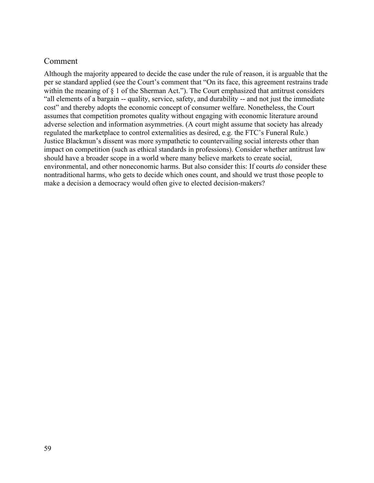# Comment

Although the majority appeared to decide the case under the rule of reason, it is arguable that the per se standard applied (see the Court's comment that "On its face, this agreement restrains trade within the meaning of  $\S$  1 of the Sherman Act."). The Court emphasized that antitrust considers "all elements of a bargain -- quality, service, safety, and durability -- and not just the immediate cost" and thereby adopts the economic concept of consumer welfare. Nonetheless, the Court assumes that competition promotes quality without engaging with economic literature around adverse selection and information asymmetries. (A court might assume that society has already regulated the marketplace to control externalities as desired, e.g. the FTC's Funeral Rule.) Justice Blackmun's dissent was more sympathetic to countervailing social interests other than impact on competition (such as ethical standards in professions). Consider whether antitrust law should have a broader scope in a world where many believe markets to create social, environmental, and other noneconomic harms. But also consider this: If courts *do* consider these nontraditional harms, who gets to decide which ones count, and should we trust those people to make a decision a democracy would often give to elected decision-makers?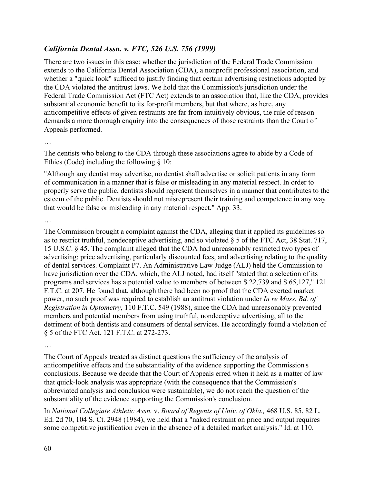# *California Dental Assn. v. FTC, 526 U.S. 756 (1999)*

There are two issues in this case: whether the jurisdiction of the Federal Trade Commission extends to the California Dental Association (CDA), a nonprofit professional association, and whether a "quick look" sufficed to justify finding that certain advertising restrictions adopted by the CDA violated the antitrust laws. We hold that the Commission's jurisdiction under the Federal Trade Commission Act (FTC Act) extends to an association that, like the CDA, provides substantial economic benefit to its for-profit members, but that where, as here, any anticompetitive effects of given restraints are far from intuitively obvious, the rule of reason demands a more thorough enquiry into the consequences of those restraints than the Court of Appeals performed.

…

The dentists who belong to the CDA through these associations agree to abide by a Code of Ethics (Code) including the following  $\S$  10:

"Although any dentist may advertise, no dentist shall advertise or solicit patients in any form of communication in a manner that is false or misleading in any material respect. In order to properly serve the public, dentists should represent themselves in a manner that contributes to the esteem of the public. Dentists should not misrepresent their training and competence in any way that would be false or misleading in any material respect." App. 33.

…

The Commission brought a complaint against the CDA, alleging that it applied its guidelines so as to restrict truthful, nondeceptive advertising, and so violated § 5 of the FTC Act, 38 Stat. 717, 15 U.S.C. § 45. The complaint alleged that the CDA had unreasonably restricted two types of advertising: price advertising, particularly discounted fees, and advertising relating to the quality of dental services. Complaint P7. An Administrative Law Judge (ALJ) held the Commission to have jurisdiction over the CDA, which, the ALJ noted, had itself "stated that a selection of its programs and services has a potential value to members of between \$ 22,739 and \$ 65,127," 121 F.T.C. at 207. He found that, although there had been no proof that the CDA exerted market power, no such proof was required to establish an antitrust violation under *In re Mass. Bd. of Registration in Optometry*, 110 F.T.C. 549 (1988), since the CDA had unreasonably prevented members and potential members from using truthful, nondeceptive advertising, all to the detriment of both dentists and consumers of dental services. He accordingly found a violation of § 5 of the FTC Act. 121 F.T.C. at 272-273.

…

The Court of Appeals treated as distinct questions the sufficiency of the analysis of anticompetitive effects and the substantiality of the evidence supporting the Commission's conclusions. Because we decide that the Court of Appeals erred when it held as a matter of law that quick-look analysis was appropriate (with the consequence that the Commission's abbreviated analysis and conclusion were sustainable), we do not reach the question of the substantiality of the evidence supporting the Commission's conclusion.

In *National Collegiate Athletic Assn.* v. *Board of Regents of Univ. of Okla.,* 468 U.S. 85, 82 L. Ed. 2d 70, 104 S. Ct. 2948 (1984), we held that a "naked restraint on price and output requires some competitive justification even in the absence of a detailed market analysis." Id. at 110.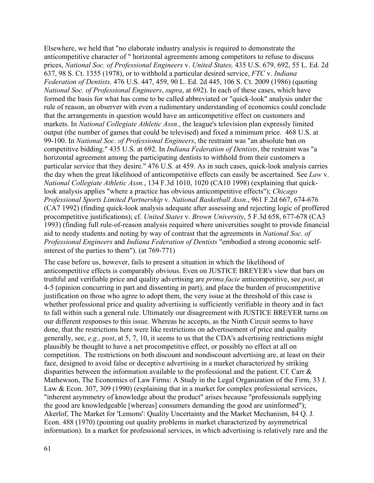Elsewhere, we held that "no elaborate industry analysis is required to demonstrate the anticompetitive character of " horizontal agreements among competitors to refuse to discuss prices, *National Soc. of Professional Engineers* v. *United States,* 435 U.S. 679, 692, 55 L. Ed. 2d 637, 98 S. Ct. 1355 (1978), or to withhold a particular desired service, *FTC* v. *Indiana Federation of Dentists,* 476 U.S. 447, 459, 90 L. Ed. 2d 445, 106 S. Ct. 2009 (1986) (quoting *National Soc. of Professional Engineers*, *supra*, at 692). In each of these cases, which have formed the basis for what has come to be called abbreviated or "quick-look" analysis under the rule of reason, an observer with even a rudimentary understanding of economics could conclude that the arrangements in question would have an anticompetitive effect on customers and markets. In *National Collegiate Athletic Assn.*, the league's television plan expressly limited output (the number of games that could be televised) and fixed a minimum price. 468 U.S. at 99-100. In *National Soc. of Professional Engineers*, the restraint was "an absolute ban on competitive bidding." 435 U.S. at 692. In *Indiana Federation of Dentists*, the restraint was "a horizontal agreement among the participating dentists to withhold from their customers a particular service that they desire." 476 U.S. at 459. As in such cases, quick-look analysis carries the day when the great likelihood of anticompetitive effects can easily be ascertained. See *Law* v. *National Collegiate Athletic Assn.*, 134 F.3d 1010, 1020 (CA10 1998) (explaining that quicklook analysis applies "where a practice has obvious anticompetitive effects"); *Chicago Professional Sports Limited Partnership* v. *National Basketball Assn.*, 961 F.2d 667, 674-676 (CA7 1992) (finding quick-look analysis adequate after assessing and rejecting logic of proffered procompetitive justifications); cf. *United States* v. *Brown University*, 5 F.3d 658, 677-678 (CA3 1993) (finding full rule-of-reason analysis required where universities sought to provide financial aid to needy students and noting by way of contrast that the agreements in *National Soc. of Professional Engineers* and *Indiana Federation of Dentists* "embodied a strong economic selfinterest of the parties to them"). (at 769-771)

The case before us, however, fails to present a situation in which the likelihood of anticompetitive effects is comparably obvious. Even on JUSTICE BREYER's view that bars on truthful and verifiable price and quality advertising are *prima facie* anticompetitive, see *post*, at 4-5 (opinion concurring in part and dissenting in part), and place the burden of procompetitive justification on those who agree to adopt them, the very issue at the threshold of this case is whether professional price and quality advertising is sufficiently verifiable in theory and in fact to fall within such a general rule. Ultimately our disagreement with JUSTICE BREYER turns on our different responses to this issue. Whereas he accepts, as the Ninth Circuit seems to have done, that the restrictions here were like restrictions on advertisement of price and quality generally, see, *e.g., post*, at 5, 7, 10, it seems to us that the CDA's advertising restrictions might plausibly be thought to have a net procompetitive effect, or possibly no effect at all on competition. The restrictions on both discount and nondiscount advertising are, at least on their face, designed to avoid false or deceptive advertising in a market characterized by striking disparities between the information available to the professional and the patient. Cf. Carr & Mathewson, The Economics of Law Firms: A Study in the Legal Organization of the Firm, 33 J. Law & Econ. 307, 309 (1990) (explaining that in a market for complex professional services, "inherent asymmetry of knowledge about the product" arises because "professionals supplying the good are knowledgeable [whereas] consumers demanding the good are uninformed"); Akerlof, The Market for 'Lemons': Quality Uncertainty and the Market Mechanism, 84 Q. J. Econ. 488 (1970) (pointing out quality problems in market characterized by asymmetrical information). In a market for professional services, in which advertising is relatively rare and the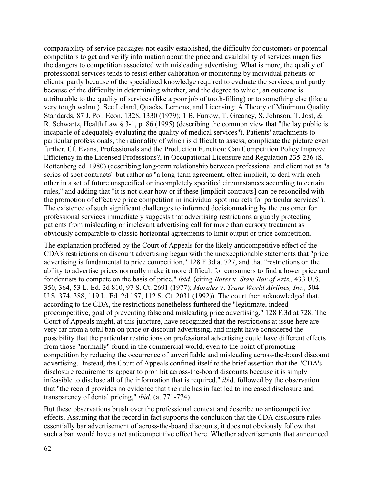comparability of service packages not easily established, the difficulty for customers or potential competitors to get and verify information about the price and availability of services magnifies the dangers to competition associated with misleading advertising. What is more, the quality of professional services tends to resist either calibration or monitoring by individual patients or clients, partly because of the specialized knowledge required to evaluate the services, and partly because of the difficulty in determining whether, and the degree to which, an outcome is attributable to the quality of services (like a poor job of tooth-filling) or to something else (like a very tough walnut). See Leland, Quacks, Lemons, and Licensing: A Theory of Minimum Quality Standards, 87 J. Pol. Econ. 1328, 1330 (1979); 1 B. Furrow, T. Greaney, S. Johnson, T. Jost, & R. Schwartz, Health Law § 3-1, p. 86 (1995) (describing the common view that "the lay public is incapable of adequately evaluating the quality of medical services"). Patients' attachments to particular professionals, the rationality of which is difficult to assess, complicate the picture even further. Cf. Evans, Professionals and the Production Function: Can Competition Policy Improve Efficiency in the Licensed Professions?, in Occupational Licensure and Regulation 235-236 (S. Rottenberg ed. 1980) (describing long-term relationship between professional and client not as "a series of spot contracts" but rather as "a long-term agreement, often implicit, to deal with each other in a set of future unspecified or incompletely specified circumstances according to certain rules," and adding that "it is not clear how or if these [implicit contracts] can be reconciled with the promotion of effective price competition in individual spot markets for particular services"). The existence of such significant challenges to informed decisionmaking by the customer for professional services immediately suggests that advertising restrictions arguably protecting patients from misleading or irrelevant advertising call for more than cursory treatment as obviously comparable to classic horizontal agreements to limit output or price competition.

The explanation proffered by the Court of Appeals for the likely anticompetitive effect of the CDA's restrictions on discount advertising began with the unexceptionable statements that "price advertising is fundamental to price competition," 128 F.3d at 727, and that "restrictions on the ability to advertise prices normally make it more difficult for consumers to find a lower price and for dentists to compete on the basis of price," *ibid*. (citing *Bates* v. *State Bar of Ariz.,* 433 U.S. 350, 364, 53 L. Ed. 2d 810, 97 S. Ct. 2691 (1977); *Morales* v. *Trans World Airlines, Inc.,* 504 U.S. 374, 388, 119 L. Ed. 2d 157, 112 S. Ct. 2031 (1992)). The court then acknowledged that, according to the CDA, the restrictions nonetheless furthered the "legitimate, indeed procompetitive, goal of preventing false and misleading price advertising." 128 F.3d at 728. The Court of Appeals might, at this juncture, have recognized that the restrictions at issue here are very far from a total ban on price or discount advertising, and might have considered the possibility that the particular restrictions on professional advertising could have different effects from those "normally" found in the commercial world, even to the point of promoting competition by reducing the occurrence of unverifiable and misleading across-the-board discount advertising. Instead, the Court of Appeals confined itself to the brief assertion that the "CDA's disclosure requirements appear to prohibit across-the-board discounts because it is simply infeasible to disclose all of the information that is required," *ib*id. followed by the observation that "the record provides no evidence that the rule has in fact led to increased disclosure and transparency of dental pricing," *ibid*. (at 771-774)

But these observations brush over the professional context and describe no anticompetitive effects. Assuming that the record in fact supports the conclusion that the CDA disclosure rules essentially bar advertisement of across-the-board discounts, it does not obviously follow that such a ban would have a net anticompetitive effect here. Whether advertisements that announced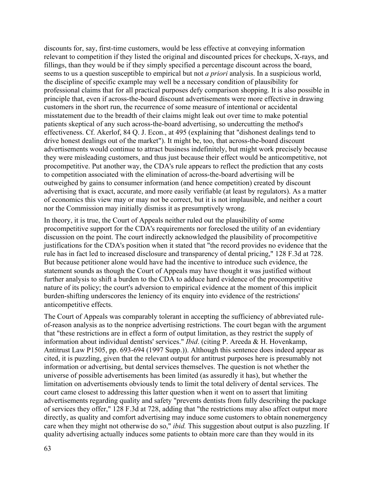discounts for, say, first-time customers, would be less effective at conveying information relevant to competition if they listed the original and discounted prices for checkups, X-rays, and fillings, than they would be if they simply specified a percentage discount across the board, seems to us a question susceptible to empirical but not *a priori* analysis. In a suspicious world, the discipline of specific example may well be a necessary condition of plausibility for professional claims that for all practical purposes defy comparison shopping. It is also possible in principle that, even if across-the-board discount advertisements were more effective in drawing customers in the short run, the recurrence of some measure of intentional or accidental misstatement due to the breadth of their claims might leak out over time to make potential patients skeptical of any such across-the-board advertising, so undercutting the method's effectiveness. Cf. Akerlof, 84 Q. J. Econ., at 495 (explaining that "dishonest dealings tend to drive honest dealings out of the market"). It might be, too, that across-the-board discount advertisements would continue to attract business indefinitely, but might work precisely because they were misleading customers, and thus just because their effect would be anticompetitive, not procompetitive. Put another way, the CDA's rule appears to reflect the prediction that any costs to competition associated with the elimination of across-the-board advertising will be outweighed by gains to consumer information (and hence competition) created by discount advertising that is exact, accurate, and more easily verifiable (at least by regulators). As a matter of economics this view may or may not be correct, but it is not implausible, and neither a court nor the Commission may initially dismiss it as presumptively wrong.

In theory, it is true, the Court of Appeals neither ruled out the plausibility of some procompetitive support for the CDA's requirements nor foreclosed the utility of an evidentiary discussion on the point. The court indirectly acknowledged the plausibility of procompetitive justifications for the CDA's position when it stated that "the record provides no evidence that the rule has in fact led to increased disclosure and transparency of dental pricing," 128 F.3d at 728. But because petitioner alone would have had the incentive to introduce such evidence, the statement sounds as though the Court of Appeals may have thought it was justified without further analysis to shift a burden to the CDA to adduce hard evidence of the procompetitive nature of its policy; the court's adversion to empirical evidence at the moment of this implicit burden-shifting underscores the leniency of its enquiry into evidence of the restrictions' anticompetitive effects.

The Court of Appeals was comparably tolerant in accepting the sufficiency of abbreviated ruleof-reason analysis as to the nonprice advertising restrictions. The court began with the argument that "these restrictions are in effect a form of output limitation, as they restrict the supply of information about individual dentists' services." *Ibid*. (citing P. Areeda & H. Hovenkamp, Antitrust Law P1505, pp. 693-694 (1997 Supp.)). Although this sentence does indeed appear as cited, it is puzzling, given that the relevant output for antitrust purposes here is presumably not information or advertising, but dental services themselves. The question is not whether the universe of possible advertisements has been limited (as assuredly it has), but whether the limitation on advertisements obviously tends to limit the total delivery of dental services. The court came closest to addressing this latter question when it went on to assert that limiting advertisements regarding quality and safety "prevents dentists from fully describing the package of services they offer," 128 F.3d at 728, adding that "the restrictions may also affect output more directly, as quality and comfort advertising may induce some customers to obtain nonemergency care when they might not otherwise do so," *ibid.* This suggestion about output is also puzzling. If quality advertising actually induces some patients to obtain more care than they would in its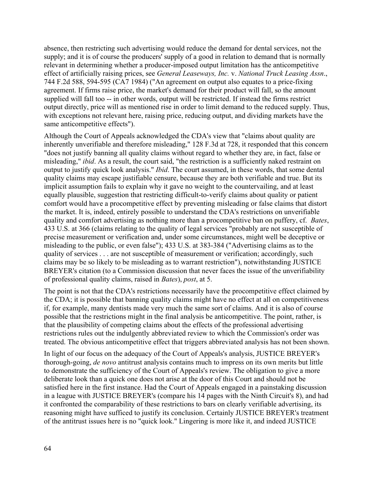absence, then restricting such advertising would reduce the demand for dental services, not the supply; and it is of course the producers' supply of a good in relation to demand that is normally relevant in determining whether a producer-imposed output limitation has the anticompetitive effect of artificially raising prices, see *General Leaseways, Inc.* v. *National Truck Leasing Assn*., 744 F.2d 588, 594-595 (CA7 1984) ("An agreement on output also equates to a price-fixing agreement. If firms raise price, the market's demand for their product will fall, so the amount supplied will fall too -- in other words, output will be restricted. If instead the firms restrict output directly, price will as mentioned rise in order to limit demand to the reduced supply. Thus, with exceptions not relevant here, raising price, reducing output, and dividing markets have the same anticompetitive effects").

Although the Court of Appeals acknowledged the CDA's view that "claims about quality are inherently unverifiable and therefore misleading," 128 F.3d at 728, it responded that this concern "does not justify banning all quality claims without regard to whether they are, in fact, false or misleading," *ibid*. As a result, the court said, "the restriction is a sufficiently naked restraint on output to justify quick look analysis." *Ibid*. The court assumed, in these words, that some dental quality claims may escape justifiable censure, because they are both verifiable and true. But its implicit assumption fails to explain why it gave no weight to the countervailing, and at least equally plausible, suggestion that restricting difficult-to-verify claims about quality or patient comfort would have a procompetitive effect by preventing misleading or false claims that distort the market. It is, indeed, entirely possible to understand the CDA's restrictions on unverifiable quality and comfort advertising as nothing more than a procompetitive ban on puffery, cf. *Bates*, 433 U.S. at 366 (claims relating to the quality of legal services "probably are not susceptible of precise measurement or verification and, under some circumstances, might well be deceptive or misleading to the public, or even false"); 433 U.S. at 383-384 ("Advertising claims as to the quality of services . . . are not susceptible of measurement or verification; accordingly, such claims may be so likely to be misleading as to warrant restriction"), notwithstanding JUSTICE BREYER's citation (to a Commission discussion that never faces the issue of the unverifiability of professional quality claims, raised in *Bates*), *post*, at 5.

The point is not that the CDA's restrictions necessarily have the procompetitive effect claimed by the CDA; it is possible that banning quality claims might have no effect at all on competitiveness if, for example, many dentists made very much the same sort of claims. And it is also of course possible that the restrictions might in the final analysis be anticompetitive. The point, rather, is that the plausibility of competing claims about the effects of the professional advertising restrictions rules out the indulgently abbreviated review to which the Commission's order was treated. The obvious anticompetitive effect that triggers abbreviated analysis has not been shown.

In light of our focus on the adequacy of the Court of Appeals's analysis, JUSTICE BREYER's thorough-going, *de novo* antitrust analysis contains much to impress on its own merits but little to demonstrate the sufficiency of the Court of Appeals's review. The obligation to give a more deliberate look than a quick one does not arise at the door of this Court and should not be satisfied here in the first instance. Had the Court of Appeals engaged in a painstaking discussion in a league with JUSTICE BREYER's (compare his 14 pages with the Ninth Circuit's 8), and had it confronted the comparability of these restrictions to bars on clearly verifiable advertising, its reasoning might have sufficed to justify its conclusion. Certainly JUSTICE BREYER's treatment of the antitrust issues here is no "quick look." Lingering is more like it, and indeed JUSTICE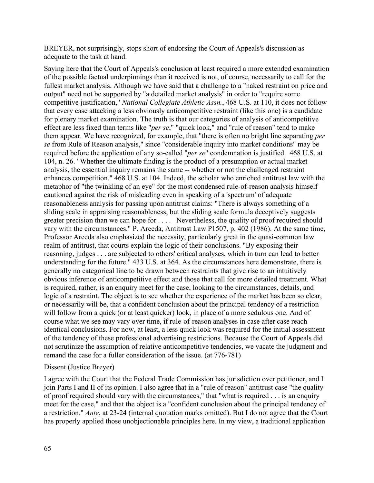BREYER, not surprisingly, stops short of endorsing the Court of Appeals's discussion as adequate to the task at hand.

Saying here that the Court of Appeals's conclusion at least required a more extended examination of the possible factual underpinnings than it received is not, of course, necessarily to call for the fullest market analysis. Although we have said that a challenge to a "naked restraint on price and output" need not be supported by "a detailed market analysis" in order to "require some competitive justification," *National Collegiate Athletic Assn.*, 468 U.S. at 110, it does not follow that every case attacking a less obviously anticompetitive restraint (like this one) is a candidate for plenary market examination. The truth is that our categories of analysis of anticompetitive effect are less fixed than terms like "*per se*," "quick look," and "rule of reason" tend to make them appear. We have recognized, for example, that "there is often no bright line separating *per se* from Rule of Reason analysis," since "considerable inquiry into market conditions" may be required before the application of any so-called "*per se*" condemnation is justified. 468 U.S. at 104, n. 26. "Whether the ultimate finding is the product of a presumption or actual market analysis, the essential inquiry remains the same -- whether or not the challenged restraint enhances competition." 468 U.S. at 104. Indeed, the scholar who enriched antitrust law with the metaphor of "the twinkling of an eye" for the most condensed rule-of-reason analysis himself cautioned against the risk of misleading even in speaking of a 'spectrum' of adequate reasonableness analysis for passing upon antitrust claims: "There is always something of a sliding scale in appraising reasonableness, but the sliding scale formula deceptively suggests greater precision than we can hope for . . . . Nevertheless, the quality of proof required should vary with the circumstances." P. Areeda, Antitrust Law P1507, p. 402 (1986). At the same time, Professor Areeda also emphasized the necessity, particularly great in the quasi-common law realm of antitrust, that courts explain the logic of their conclusions. "By exposing their reasoning, judges . . . are subjected to others' critical analyses, which in turn can lead to better understanding for the future." 433 U.S. at 364. As the circumstances here demonstrate, there is generally no categorical line to be drawn between restraints that give rise to an intuitively obvious inference of anticompetitive effect and those that call for more detailed treatment. What is required, rather, is an enquiry meet for the case, looking to the circumstances, details, and logic of a restraint. The object is to see whether the experience of the market has been so clear, or necessarily will be, that a confident conclusion about the principal tendency of a restriction will follow from a quick (or at least quicker) look, in place of a more sedulous one. And of course what we see may vary over time, if rule-of-reason analyses in case after case reach identical conclusions. For now, at least, a less quick look was required for the initial assessment of the tendency of these professional advertising restrictions. Because the Court of Appeals did not scrutinize the assumption of relative anticompetitive tendencies, we vacate the judgment and remand the case for a fuller consideration of the issue. (at 776-781)

#### Dissent (Justice Breyer)

I agree with the Court that the Federal Trade Commission has jurisdiction over petitioner, and I join Parts I and II of its opinion. I also agree that in a "rule of reason" antitrust case "the quality of proof required should vary with the circumstances," that "what is required . . . is an enquiry meet for the case," and that the object is a "confident conclusion about the principal tendency of a restriction." *Ante*, at 23-24 (internal quotation marks omitted). But I do not agree that the Court has properly applied those unobjectionable principles here. In my view, a traditional application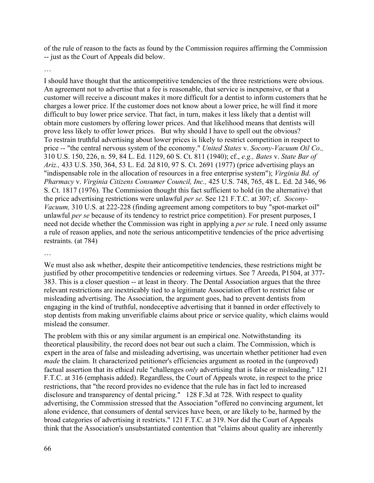of the rule of reason to the facts as found by the Commission requires affirming the Commission -- just as the Court of Appeals did below.

…

I should have thought that the anticompetitive tendencies of the three restrictions were obvious. An agreement not to advertise that a fee is reasonable, that service is inexpensive, or that a customer will receive a discount makes it more difficult for a dentist to inform customers that he charges a lower price. If the customer does not know about a lower price, he will find it more difficult to buy lower price service. That fact, in turn, makes it less likely that a dentist will obtain more customers by offering lower prices. And that likelihood means that dentists will prove less likely to offer lower prices. But why should I have to spell out the obvious? To restrain truthful advertising about lower prices is likely to restrict competition in respect to price -- "the central nervous system of the economy." *United States* v. *Socony-Vacuum Oil Co.,* 310 U.S. 150, 226, n. 59, 84 L. Ed. 1129, 60 S. Ct. 811 (1940); cf., *e.g., Bates* v. *State Bar of Ariz.,* 433 U.S. 350, 364, 53 L. Ed. 2d 810, 97 S. Ct. 2691 (1977) (price advertising plays an "indispensable role in the allocation of resources in a free enterprise system"); *Virginia Bd. of Pharmacy* v. *Virginia Citizens Consumer Council, Inc.,* 425 U.S. 748, 765, 48 L. Ed. 2d 346, 96 S. Ct. 1817 (1976). The Commission thought this fact sufficient to hold (in the alternative) that the price advertising restrictions were unlawful *per se*. See 121 F.T.C. at 307; cf. *Socony-Vacuum,* 310 U.S. at 222-228 (finding agreement among competitors to buy "spot-market oil" unlawful *per se* because of its tendency to restrict price competition). For present purposes, I need not decide whether the Commission was right in applying a *per se* rule. I need only assume a rule of reason applies, and note the serious anticompetitive tendencies of the price advertising restraints. (at 784)

…

We must also ask whether, despite their anticompetitive tendencies, these restrictions might be justified by other procompetitive tendencies or redeeming virtues. See 7 Areeda, P1504, at 377- 383. This is a closer question -- at least in theory. The Dental Association argues that the three relevant restrictions are inextricably tied to a legitimate Association effort to restrict false or misleading advertising. The Association, the argument goes, had to prevent dentists from engaging in the kind of truthful, nondeceptive advertising that it banned in order effectively to stop dentists from making unverifiable claims about price or service quality, which claims would mislead the consumer.

The problem with this or any similar argument is an empirical one. Notwithstanding its theoretical plausibility, the record does not bear out such a claim. The Commission, which is expert in the area of false and misleading advertising, was uncertain whether petitioner had even *made* the claim. It characterized petitioner's efficiencies argument as rooted in the (unproved) factual assertion that its ethical rule "challenges *only* advertising that is false or misleading." 121 F.T.C. at 316 (emphasis added). Regardless, the Court of Appeals wrote, in respect to the price restrictions, that "the record provides no evidence that the rule has in fact led to increased disclosure and transparency of dental pricing." 128 F.3d at 728. With respect to quality advertising, the Commission stressed that the Association "offered no convincing argument, let alone evidence, that consumers of dental services have been, or are likely to be, harmed by the broad categories of advertising it restricts." 121 F.T.C. at 319. Nor did the Court of Appeals think that the Association's unsubstantiated contention that "claims about quality are inherently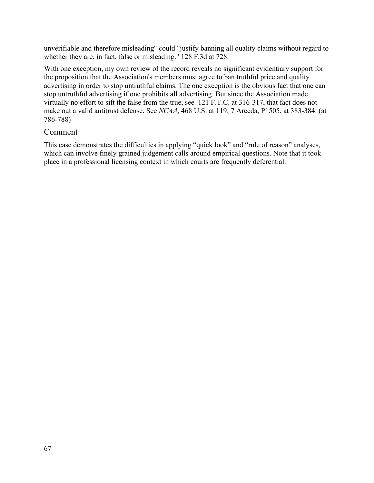unverifiable and therefore misleading" could "justify banning all quality claims without regard to whether they are, in fact, false or misleading." 128 F.3d at 728.

With one exception, my own review of the record reveals no significant evidentiary support for the proposition that the Association's members must agree to ban truthful price and quality advertising in order to stop untruthful claims. The one exception is the obvious fact that one can stop untruthful advertising if one prohibits all advertising. But since the Association made virtually no effort to sift the false from the true, see 121 F.T.C. at 316-317, that fact does not make out a valid antitrust defense. See *NCAA*, 468 U.S. at 119; 7 Areeda, P1505, at 383-384. (at 786-788)

## Comment

This case demonstrates the difficulties in applying "quick look" and "rule of reason" analyses, which can involve finely grained judgement calls around empirical questions. Note that it took place in a professional licensing context in which courts are frequently deferential.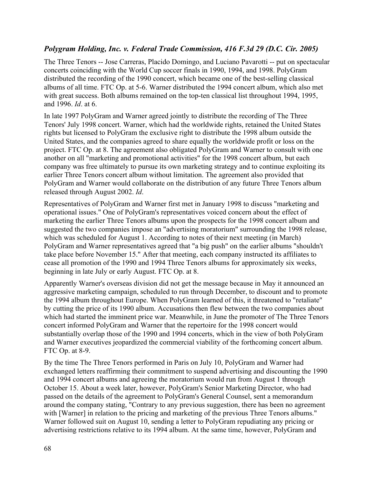## *Polygram Holding, Inc. v. Federal Trade Commission, 416 F.3d 29 (D.C. Cir. 2005)*

The Three Tenors -- Jose Carreras, Placido Domingo, and Luciano Pavarotti -- put on spectacular concerts coinciding with the World Cup soccer finals in 1990, 1994, and 1998. PolyGram distributed the recording of the 1990 concert, which became one of the best-selling classical albums of all time. FTC Op. at 5-6. Warner distributed the 1994 concert album, which also met with great success. Both albums remained on the top-ten classical list throughout 1994, 1995, and 1996. *Id*. at 6.

In late 1997 PolyGram and Warner agreed jointly to distribute the recording of The Three Tenors' July 1998 concert. Warner, which had the worldwide rights, retained the United States rights but licensed to PolyGram the exclusive right to distribute the 1998 album outside the United States, and the companies agreed to share equally the worldwide profit or loss on the project. FTC Op. at 8. The agreement also obligated PolyGram and Warner to consult with one another on all "marketing and promotional activities" for the 1998 concert album, but each company was free ultimately to pursue its own marketing strategy and to continue exploiting its earlier Three Tenors concert album without limitation. The agreement also provided that PolyGram and Warner would collaborate on the distribution of any future Three Tenors album released through August 2002. *Id*.

Representatives of PolyGram and Warner first met in January 1998 to discuss "marketing and operational issues." One of PolyGram's representatives voiced concern about the effect of marketing the earlier Three Tenors albums upon the prospects for the 1998 concert album and suggested the two companies impose an "advertising moratorium" surrounding the 1998 release, which was scheduled for August 1. According to notes of their next meeting (in March) PolyGram and Warner representatives agreed that "a big push" on the earlier albums "shouldn't take place before November 15." After that meeting, each company instructed its affiliates to cease all promotion of the 1990 and 1994 Three Tenors albums for approximately six weeks, beginning in late July or early August. FTC Op. at 8.

Apparently Warner's overseas division did not get the message because in May it announced an aggressive marketing campaign, scheduled to run through December, to discount and to promote the 1994 album throughout Europe. When PolyGram learned of this, it threatened to "retaliate" by cutting the price of its 1990 album. Accusations then flew between the two companies about which had started the imminent price war. Meanwhile, in June the promoter of The Three Tenors concert informed PolyGram and Warner that the repertoire for the 1998 concert would substantially overlap those of the 1990 and 1994 concerts, which in the view of both PolyGram and Warner executives jeopardized the commercial viability of the forthcoming concert album. FTC Op. at 8-9.

By the time The Three Tenors performed in Paris on July 10, PolyGram and Warner had exchanged letters reaffirming their commitment to suspend advertising and discounting the 1990 and 1994 concert albums and agreeing the moratorium would run from August 1 through October 15. About a week later, however, PolyGram's Senior Marketing Director, who had passed on the details of the agreement to PolyGram's General Counsel, sent a memorandum around the company stating, "Contrary to any previous suggestion, there has been no agreement with [Warner] in relation to the pricing and marketing of the previous Three Tenors albums." Warner followed suit on August 10, sending a letter to PolyGram repudiating any pricing or advertising restrictions relative to its 1994 album. At the same time, however, PolyGram and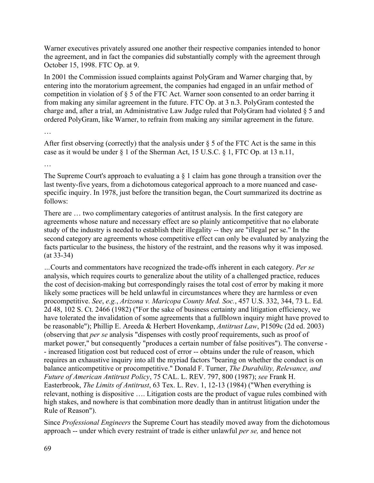Warner executives privately assured one another their respective companies intended to honor the agreement, and in fact the companies did substantially comply with the agreement through October 15, 1998. FTC Op. at 9.

In 2001 the Commission issued complaints against PolyGram and Warner charging that, by entering into the moratorium agreement, the companies had engaged in an unfair method of competition in violation of § 5 of the FTC Act. Warner soon consented to an order barring it from making any similar agreement in the future. FTC Op. at 3 n.3. PolyGram contested the charge and, after a trial, an Administrative Law Judge ruled that PolyGram had violated § 5 and ordered PolyGram, like Warner, to refrain from making any similar agreement in the future.

…

After first observing (correctly) that the analysis under  $\S$  5 of the FTC Act is the same in this case as it would be under § 1 of the Sherman Act, 15 U.S.C. § 1, FTC Op. at 13 n.11,

…

The Supreme Court's approach to evaluating a  $\S$  1 claim has gone through a transition over the last twenty-five years, from a dichotomous categorical approach to a more nuanced and casespecific inquiry. In 1978, just before the transition began, the Court summarized its doctrine as follows:

There are … two complimentary categories of antitrust analysis. In the first category are agreements whose nature and necessary effect are so plainly anticompetitive that no elaborate study of the industry is needed to establish their illegality -- they are "illegal per se." In the second category are agreements whose competitive effect can only be evaluated by analyzing the facts particular to the business, the history of the restraint, and the reasons why it was imposed. (at 33-34)

*…*Courts and commentators have recognized the trade-offs inherent in each category. *Per se* analysis, which requires courts to generalize about the utility of a challenged practice, reduces the cost of decision-making but correspondingly raises the total cost of error by making it more likely some practices will be held unlawful in circumstances where they are harmless or even procompetitive. *See*, *e.g.*, *Arizona v. Maricopa County Med. Soc.*, 457 U.S. 332, 344, 73 L. Ed. 2d 48, 102 S. Ct. 2466 (1982) ("For the sake of business certainty and litigation efficiency, we have tolerated the invalidation of some agreements that a fullblown inquiry might have proved to be reasonable"); Phillip E. Areeda & Herbert Hovenkamp, *Antitrust Law*, P1509c (2d ed. 2003) (observing that *per se* analysis "dispenses with costly proof requirements, such as proof of market power," but consequently "produces a certain number of false positives"). The converse - - increased litigation cost but reduced cost of error -- obtains under the rule of reason, which requires an exhaustive inquiry into all the myriad factors "bearing on whether the conduct is on balance anticompetitive or procompetitive." Donald F. Turner, *The Durability, Relevance, and Future of American Antitrust Policy*, 75 CAL. L. REV. 797, 800 (1987); *see* Frank H. Easterbrook, *The Limits of Antitrust*, 63 Tex. L. Rev. 1, 12-13 (1984) ("When everything is relevant, nothing is dispositive …. Litigation costs are the product of vague rules combined with high stakes, and nowhere is that combination more deadly than in antitrust litigation under the Rule of Reason").

Since *Professional Engineers* the Supreme Court has steadily moved away from the dichotomous approach -- under which every restraint of trade is either unlawful *per se,* and hence not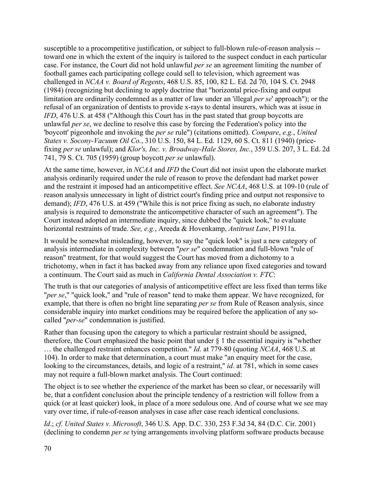susceptible to a procompetitive justification, or subject to full-blown rule-of-reason analysis - toward one in which the extent of the inquiry is tailored to the suspect conduct in each particular case. For instance, the Court did not hold unlawful *per se* an agreement limiting the number of football games each participating college could sell to television, which agreement was challenged in *NCAA v. Board of Regents*, 468 U.S. 85, 100, 82 L. Ed. 2d 70, 104 S. Ct. 2948 (1984) (recognizing but declining to apply doctrine that "horizontal price-fixing and output limitation are ordinarily condemned as a matter of law under an 'illegal *per se*' approach"); or the refusal of an organization of dentists to provide x-rays to dental insurers, which was at issue in *IFD*, 476 U.S. at 458 ("Although this Court has in the past stated that group boycotts are unlawful *per se*, we decline to resolve this case by forcing the Federation's policy into the 'boycott' pigeonhole and invoking the *per se* rule") (citations omitted). *Compare*, *e.g.*, *United States v. Socony-Vacuum Oil Co.*, 310 U.S. 150, 84 L. Ed. 1129, 60 S. Ct. 811 (1940) (pricefixing *per se* unlawful); and *Klor's, Inc. v. Broadway-Hale Stores, Inc.*, 359 U.S. 207, 3 L. Ed. 2d 741, 79 S. Ct. 705 (1959) (group boycott *per se* unlawful).

At the same time, however, in *NCAA* and *IFD* the Court did not insist upon the elaborate market analysis ordinarily required under the rule of reason to prove the defendant had market power and the restraint it imposed had an anticompetitive effect. *See NCAA*, 468 U.S. at 109-10 (rule of reason analysis unnecessary in light of district court's finding price and output not responsive to demand); *IFD*, 476 U.S. at 459 ("While this is not price fixing as such, no elaborate industry analysis is required to demonstrate the anticompetitive character of such an agreement"). The Court instead adopted an intermediate inquiry, since dubbed the "quick look," to evaluate horizontal restraints of trade. *See, e.g.*, Areeda & Hovenkamp, *Antitrust Law*, P1911a.

It would be somewhat misleading, however, to say the "quick look" is just a new category of analysis intermediate in complexity between "*per se*" condemnation and full-blown "rule of reason" treatment, for that would suggest the Court has moved from a dichotomy to a trichotomy, when in fact it has backed away from any reliance upon fixed categories and toward a continuum. The Court said as much in *California Dental Association v. FTC*:

The truth is that our categories of analysis of anticompetitive effect are less fixed than terms like "*per se*," "quick look," and "rule of reason" tend to make them appear. We have recognized, for example, that there is often no bright line separating *per se* from Rule of Reason analysis, since considerable inquiry into market conditions may be required before the application of any socalled "*per-se*" condemnation is justified.

Rather than focusing upon the category to which a particular restraint should be assigned, therefore, the Court emphasized the basic point that under  $\S$  1 the essential inquiry is "whether … the challenged restraint enhances competition." *Id*. at 779-80 (quoting *NCAA*, 468 U.S. at 104). In order to make that determination, a court must make "an enquiry meet for the case, looking to the circumstances, details, and logic of a restraint," *id*. at 781, which in some cases may not require a full-blown market analysis. The Court continued:

The object is to see whether the experience of the market has been so clear, or necessarily will be, that a confident conclusion about the principle tendency of a restriction will follow from a quick (or at least quicker) look, in place of a more sedulous one. And of course what we see may vary over time, if rule-of-reason analyses in case after case reach identical conclusions.

*Id*.; *cf. United States v. Microsoft*, 346 U.S. App. D.C. 330, 253 F.3d 34, 84 (D.C. Cir. 2001) (declining to condemn *per se* tying arrangements involving platform software products because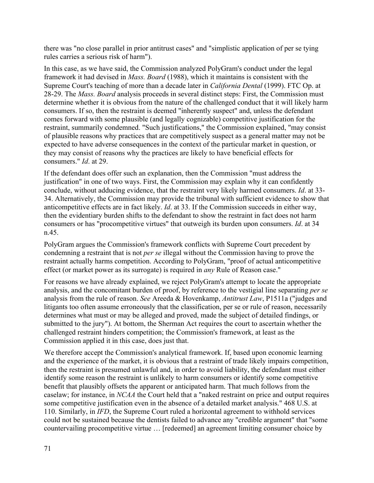there was "no close parallel in prior antitrust cases" and "simplistic application of per se tying rules carries a serious risk of harm").

In this case, as we have said, the Commission analyzed PolyGram's conduct under the legal framework it had devised in *Mass. Board* (1988), which it maintains is consistent with the Supreme Court's teaching of more than a decade later in *California Dental* (1999). FTC Op. at 28-29. The *Mass. Board* analysis proceeds in several distinct steps: First, the Commission must determine whether it is obvious from the nature of the challenged conduct that it will likely harm consumers. If so, then the restraint is deemed "inherently suspect" and, unless the defendant comes forward with some plausible (and legally cognizable) competitive justification for the restraint, summarily condemned. "Such justifications," the Commission explained, "may consist of plausible reasons why practices that are competitively suspect as a general matter may not be expected to have adverse consequences in the context of the particular market in question, or they may consist of reasons why the practices are likely to have beneficial effects for consumers." *Id*. at 29.

If the defendant does offer such an explanation, then the Commission "must address the justification" in one of two ways. First, the Commission may explain why it can confidently conclude, without adducing evidence, that the restraint very likely harmed consumers. *Id*. at 33- 34. Alternatively, the Commission may provide the tribunal with sufficient evidence to show that anticompetitive effects are in fact likely. *Id*. at 33. If the Commission succeeds in either way, then the evidentiary burden shifts to the defendant to show the restraint in fact does not harm consumers or has "procompetitive virtues" that outweigh its burden upon consumers. *Id*. at 34 n.45.

PolyGram argues the Commission's framework conflicts with Supreme Court precedent by condemning a restraint that is not *per se* illegal without the Commission having to prove the restraint actually harms competition. According to PolyGram, "proof of actual anticompetitive effect (or market power as its surrogate) is required in *any* Rule of Reason case."

For reasons we have already explained, we reject PolyGram's attempt to locate the appropriate analysis, and the concomitant burden of proof, by reference to the vestigial line separating *per se*  analysis from the rule of reason. *See* Areeda & Hovenkamp, *Antitrust Law*, P1511a ("judges and litigants too often assume erroneously that the classification, per se or rule of reason, necessarily determines what must or may be alleged and proved, made the subject of detailed findings, or submitted to the jury"). At bottom, the Sherman Act requires the court to ascertain whether the challenged restraint hinders competition; the Commission's framework, at least as the Commission applied it in this case, does just that.

We therefore accept the Commission's analytical framework. If, based upon economic learning and the experience of the market, it is obvious that a restraint of trade likely impairs competition, then the restraint is presumed unlawful and, in order to avoid liability, the defendant must either identify some reason the restraint is unlikely to harm consumers or identify some competitive benefit that plausibly offsets the apparent or anticipated harm. That much follows from the caselaw; for instance, in *NCAA* the Court held that a "naked restraint on price and output requires some competitive justification even in the absence of a detailed market analysis." 468 U.S. at 110. Similarly, in *IFD*, the Supreme Court ruled a horizontal agreement to withhold services could not be sustained because the dentists failed to advance any "credible argument" that "some countervailing procompetitive virtue … [redeemed] an agreement limiting consumer choice by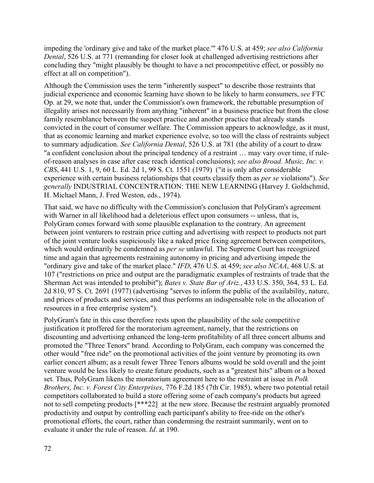impeding the 'ordinary give and take of the market place.'" 476 U.S. at 459; *see also California Dental*, 526 U.S. at 771 (remanding for closer look at challenged advertising restrictions after concluding they "might plausibly be thought to have a net procompetitive effect, or possibly no effect at all on competition").

Although the Commission uses the term "inherently suspect" to describe those restraints that judicial experience and economic learning have shown to be likely to harm consumers, *see* FTC Op. at 29, we note that, under the Commission's own framework, the rebuttable presumption of illegality arises not necessarily from anything "inherent" in a business practice but from the close family resemblance between the suspect practice and another practice that already stands convicted in the court of consumer welfare. The Commission appears to acknowledge, as it must, that as economic learning and market experience evolve, so too will the class of restraints subject to summary adjudication. *See California Dental*, 526 U.S. at 781 (the ability of a court to draw "a confident conclusion about the principal tendency of a restraint … may vary over time, if ruleof-reason analyses in case after case reach identical conclusions); *see also Broad. Music, Inc. v. CBS*, 441 U.S. 1, 9, 60 L. Ed. 2d 1, 99 S. Ct. 1551 (1979) ("it is only after considerable experience with certain business relationships that courts classify them as *per se* violations"). *See generally* INDUSTRIAL CONCENTRATION: THE NEW LEARNING (Harvey J. Goldschmid, H. Michael Mann, J. Fred Weston, eds., 1974).

That said, we have no difficulty with the Commission's conclusion that PolyGram's agreement with Warner in all likelihood had a deleterious effect upon consumers -- unless, that is, PolyGram comes forward with some plausible explanation to the contrary. An agreement between joint venturers to restrain price cutting and advertising with respect to products not part of the joint venture looks suspiciously like a naked price fixing agreement between competitors, which would ordinarily be condemned as *per se* unlawful. The Supreme Court has recognized time and again that agreements restraining autonomy in pricing and advertising impede the "ordinary give and take of the market place." *IFD*, 476 U.S. at 459; *see also NCAA*, 468 U.S. at 107 ("restrictions on price and output are the paradigmatic examples of restraints of trade that the Sherman Act was intended to prohibit"); *Bates v. State Bar of Ariz.*, 433 U.S. 350, 364, 53 L. Ed. 2d 810, 97 S. Ct. 2691 (1977) (advertising "serves to inform the public of the availability, nature, and prices of products and services, and thus performs an indispensable role in the allocation of resources in a free enterprise system").

PolyGram's fate in this case therefore rests upon the plausibility of the sole competitive justification it proffered for the moratorium agreement, namely, that the restrictions on discounting and advertising enhanced the long-term profitability of all three concert albums and promoted the "Three Tenors" brand. According to PolyGram, each company was concerned the other would "free ride" on the promotional activities of the joint venture by promoting its own earlier concert album; as a result fewer Three Tenors albums would be sold overall and the joint venture would be less likely to create future products, such as a "greatest hits" album or a boxed set. Thus, PolyGram likens the moratorium agreement here to the restraint at issue in *Polk Brothers, Inc. v. Forest City Enterprises*, 776 F.2d 185 (7th Cir. 1985), where two potential retail competitors collaborated to build a store offering some of each company's products but agreed not to sell competing products [\*\*\*22] at the new store. Because the restraint arguably promoted productivity and output by controlling each participant's ability to free-ride on the other's promotional efforts, the court, rather than condemning the restraint summarily, went on to evaluate it under the rule of reason. *Id*. at 190.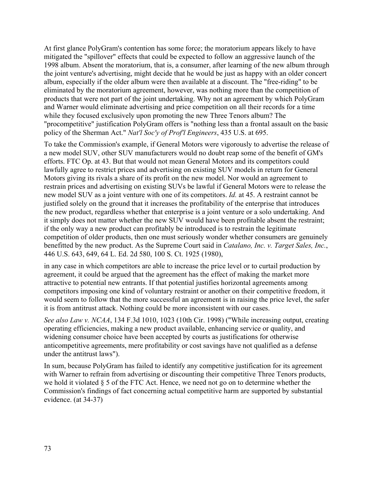At first glance PolyGram's contention has some force; the moratorium appears likely to have mitigated the "spillover" effects that could be expected to follow an aggressive launch of the 1998 album. Absent the moratorium, that is, a consumer, after learning of the new album through the joint venture's advertising, might decide that he would be just as happy with an older concert album, especially if the older album were then available at a discount. The "free-riding" to be eliminated by the moratorium agreement, however, was nothing more than the competition of products that were not part of the joint undertaking. Why not an agreement by which PolyGram and Warner would eliminate advertising and price competition on all their records for a time while they focused exclusively upon promoting the new Three Tenors album? The "procompetitive" justification PolyGram offers is "nothing less than a frontal assault on the basic policy of the Sherman Act." *Nat'l Soc'y of Prof'l Engineers*, 435 U.S. at 695.

To take the Commission's example, if General Motors were vigorously to advertise the release of a new model SUV, other SUV manufacturers would no doubt reap some of the benefit of GM's efforts. FTC Op. at 43. But that would not mean General Motors and its competitors could lawfully agree to restrict prices and advertising on existing SUV models in return for General Motors giving its rivals a share of its profit on the new model. Nor would an agreement to restrain prices and advertising on existing SUVs be lawful if General Motors were to release the new model SUV as a joint venture with one of its competitors. *Id.* at 45. A restraint cannot be justified solely on the ground that it increases the profitability of the enterprise that introduces the new product, regardless whether that enterprise is a joint venture or a solo undertaking. And it simply does not matter whether the new SUV would have been profitable absent the restraint; if the only way a new product can profitably be introduced is to restrain the legitimate competition of older products, then one must seriously wonder whether consumers are genuinely benefitted by the new product. As the Supreme Court said in *Catalano, Inc. v. Target Sales, Inc.*, 446 U.S. 643, 649, 64 L. Ed. 2d 580, 100 S. Ct. 1925 (1980),

in any case in which competitors are able to increase the price level or to curtail production by agreement, it could be argued that the agreement has the effect of making the market more attractive to potential new entrants. If that potential justifies horizontal agreements among competitors imposing one kind of voluntary restraint or another on their competitive freedom, it would seem to follow that the more successful an agreement is in raising the price level, the safer it is from antitrust attack. Nothing could be more inconsistent with our cases.

*See also Law v. NCAA*, 134 F.3d 1010, 1023 (10th Cir. 1998) ("While increasing output, creating operating efficiencies, making a new product available, enhancing service or quality, and widening consumer choice have been accepted by courts as justifications for otherwise anticompetitive agreements, mere profitability or cost savings have not qualified as a defense under the antitrust laws").

In sum, because PolyGram has failed to identify any competitive justification for its agreement with Warner to refrain from advertising or discounting their competitive Three Tenors products, we hold it violated § 5 of the FTC Act. Hence, we need not go on to determine whether the Commission's findings of fact concerning actual competitive harm are supported by substantial evidence. (at 34-37)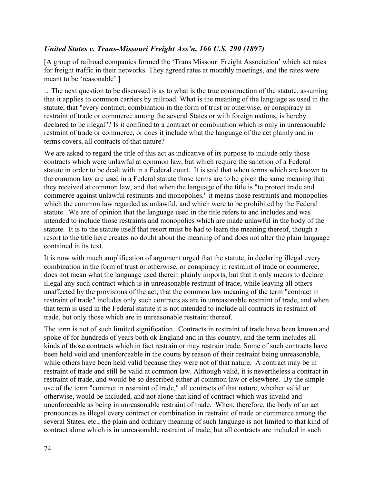# *United States v. Trans-Missouri Freight Ass'n, 166 U.S. 290 (1897)*

[A group of railroad companies formed the 'Trans Missouri Freight Association' which set rates for freight traffic in their networks. They agreed rates at monthly meetings, and the rates were meant to be 'reasonable'.]

…The next question to be discussed is as to what is the true construction of the statute, assuming that it applies to common carriers by railroad. What is the meaning of the language as used in the statute, that "every contract, combination in the form of trust or otherwise, or conspiracy in restraint of trade or commerce among the several States or with foreign nations, is hereby declared to be illegal"? Is it confined to a contract or combination which is only in unreasonable restraint of trade or commerce, or does it include what the language of the act plainly and in terms covers, all contracts of that nature?

We are asked to regard the title of this act as indicative of its purpose to include only those contracts which were unlawful at common law, but which require the sanction of a Federal statute in order to be dealt with in a Federal court. It is said that when terms which are known to the common law are used in a Federal statute those terms are to be given the same meaning that they received at common law, and that when the language of the title is "to protect trade and commerce against unlawful restraints and monopolies," it means those restraints and monopolies which the common law regarded as unlawful, and which were to be prohibited by the Federal statute. We are of opinion that the language used in the title refers to and includes and was intended to include those restraints and monopolies which are made unlawful in the body of the statute. It is to the statute itself that resort must be had to learn the meaning thereof, though a resort to the title here creates no doubt about the meaning of and does not alter the plain language contained in its text.

It is now with much amplification of argument urged that the statute, in declaring illegal every combination in the form of trust or otherwise, or conspiracy in restraint of trade or commerce, does not mean what the language used therein plainly imports, but that it only means to declare illegal any such contract which is in unreasonable restraint of trade, while leaving all others unaffected by the provisions of the act; that the common law meaning of the term "contract in restraint of trade" includes only such contracts as are in unreasonable restraint of trade, and when that term is used in the Federal statute it is not intended to include all contracts in restraint of trade, but only those which are in unreasonable restraint thereof.

The term is not of such limited signification. Contracts in restraint of trade have been known and spoke of for hundreds of years both ok England and in this country, and the term includes all kinds of those contracts which in fact restrain or may restrain trade. Some of such contracts have been held void and unenforceable in the courts by reason of their restraint being unreasonable, while others have been held valid because they were not of that nature. A contract may be in restraint of trade and still be valid at common law. Although valid, it is nevertheless a contract in restraint of trade, and would be so described either at common law or elsewhere. By the simple use of the term "contract in restraint of trade," all contracts of that nature, whether valid or otherwise, would be included, and not alone that kind of contract which was invalid and unenforceable as being in unreasonable restraint of trade. When, therefore, the body of an act pronounces as illegal every contract or combination in restraint of trade or commerce among the several States, etc., the plain and ordinary meaning of such language is not limited to that kind of contract alone which is in unreasonable restraint of trade, but all contracts are included in such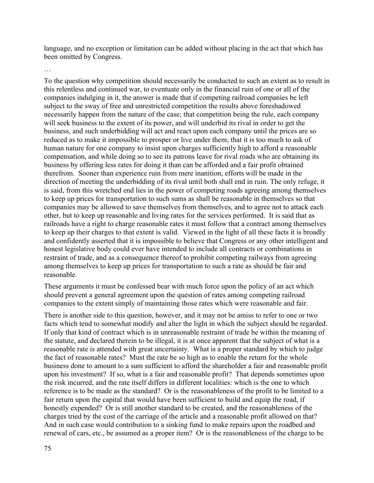language, and no exception or limitation can be added without placing in the act that which has been omitted by Congress.

…

To the question why competition should necessarily be conducted to such an extent as to result in this relentless and continued war, to eventuate only in the financial ruin of one or all of the companies indulging in it, the answer is made that if competing railroad companies be left subject to the sway of free and unrestricted competition the results above foreshadowed necessarily happen from the nature of the case; that competition being the rule, each company will seek business to the extent of its power, and will underbid its rival in order to get the business, and such underbidding will act and react upon each company until the prices are so reduced as to make it impossible to prosper or live under them; that it is too much to ask of human nature for one company to insist upon charges sufficiently high to afford a reasonable compensation, and while doing so to see its patrons leave for rival roads who are obtaining its business by offering less rates for doing it than can be afforded and a fair profit obtained therefrom. Sooner than experience ruin from mere inanition, efforts will be made in the direction of meeting the underbidding of its rival until both shall end in ruin. The only refuge, it is said, from this wretched end lies in the power of competing roads agreeing among themselves to keep up prices for transportation to such sums as shall be reasonable in themselves so that companies may be allowed to save themselves from themselves, and to agree not to attack each other, but to keep up reasonable and living rates for the services performed. It is said that as railroads have a right to charge reasonable rates it must follow that a contract among themselves to keep up their charges to that extent is valid. Viewed in the light of all these facts it is broadly and confidently asserted that it is impossible to believe that Congress or any other intelligent and honest legislative body could ever have intended to include all contracts or combinations in restraint of trade, and as a consequence thereof to prohibit competing railways from agreeing among themselves to keep up prices for transportation to such a rate as should be fair and reasonable.

These arguments it must be confessed bear with much force upon the policy of an act which should prevent a general agreement upon the question of rates among competing railroad companies to the extent simply of maintaining those rates which were reasonable and fair.

There is another side to this question, however, and it may not be amiss to refer to one or two facts which tend to somewhat modify and alter the light in which the subject should be regarded. If only that kind of contract which is in unreasonable restraint of trade be within the meaning of the statute, and declared therein to be illegal, it is at once apparent that the subject of what is a reasonable rate is attended with great uncertainty. What is a proper standard by which to judge the fact of reasonable rates? Must the rate be so high as to enable the return for the whole business done to amount to a sum sufficient to afford the shareholder a fair and reasonable profit upon his investment? If so, what is a fair and reasonable profit? That depends sometimes upon the risk incurred, and the rate itself differs in different localities: which is the one to which reference is to be made as the standard? Or is the reasonableness of the profit to be limited to a fair return upon the capital that would have been sufficient to build and equip the road, if honestly expended? Or is still another standard to be created, and the reasonableness of the charges tried by the cost of the carriage of the article and a reasonable profit allowed on that? And in such case would contribution to a sinking fund to make repairs upon the roadbed and renewal of cars, etc., be assumed as a proper item? Or is the reasonableness of the charge to be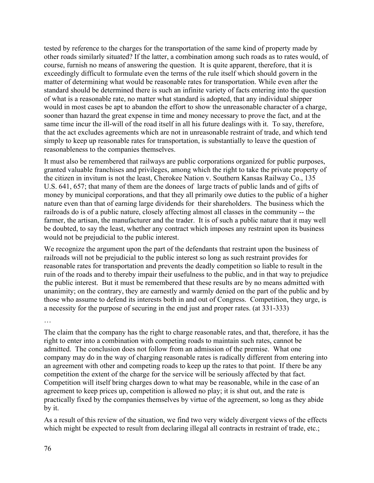tested by reference to the charges for the transportation of the same kind of property made by other roads similarly situated? If the latter, a combination among such roads as to rates would, of course, furnish no means of answering the question. It is quite apparent, therefore, that it is exceedingly difficult to formulate even the terms of the rule itself which should govern in the matter of determining what would be reasonable rates for transportation. While even after the standard should be determined there is such an infinite variety of facts entering into the question of what is a reasonable rate, no matter what standard is adopted, that any individual shipper would in most cases be apt to abandon the effort to show the unreasonable character of a charge, sooner than hazard the great expense in time and money necessary to prove the fact, and at the same time incur the ill-will of the road itself in all his future dealings with it. To say, therefore, that the act excludes agreements which are not in unreasonable restraint of trade, and which tend simply to keep up reasonable rates for transportation, is substantially to leave the question of reasonableness to the companies themselves.

It must also be remembered that railways are public corporations organized for public purposes, granted valuable franchises and privileges, among which the right to take the private property of the citizen in invitum is not the least, Cherokee Nation v. Southern Kansas Railway Co., 135 U.S. 641, 657; that many of them are the donees of large tracts of public lands and of gifts of money by municipal corporations, and that they all primarily owe duties to the public of a higher nature even than that of earning large dividends for their shareholders. The business which the railroads do is of a public nature, closely affecting almost all classes in the community -- the farmer, the artisan, the manufacturer and the trader. It is of such a public nature that it may well be doubted, to say the least, whether any contract which imposes any restraint upon its business would not be prejudicial to the public interest.

We recognize the argument upon the part of the defendants that restraint upon the business of railroads will not be prejudicial to the public interest so long as such restraint provides for reasonable rates for transportation and prevents the deadly competition so liable to result in the ruin of the roads and to thereby impair their usefulness to the public, and in that way to prejudice the public interest. But it must be remembered that these results are by no means admitted with unanimity; on the contrary, they are earnestly and warmly denied on the part of the public and by those who assume to defend its interests both in and out of Congress. Competition, they urge, is a necessity for the purpose of securing in the end just and proper rates. (at 331-333)

…

The claim that the company has the right to charge reasonable rates, and that, therefore, it has the right to enter into a combination with competing roads to maintain such rates, cannot be admitted. The conclusion does not follow from an admission of the premise. What one company may do in the way of charging reasonable rates is radically different from entering into an agreement with other and competing roads to keep up the rates to that point. If there be any competition the extent of the charge for the service will be seriously affected by that fact. Competition will itself bring charges down to what may be reasonable, while in the case of an agreement to keep prices up, competition is allowed no play; it is shut out, and the rate is practically fixed by the companies themselves by virtue of the agreement, so long as they abide by it.

As a result of this review of the situation, we find two very widely divergent views of the effects which might be expected to result from declaring illegal all contracts in restraint of trade, etc.;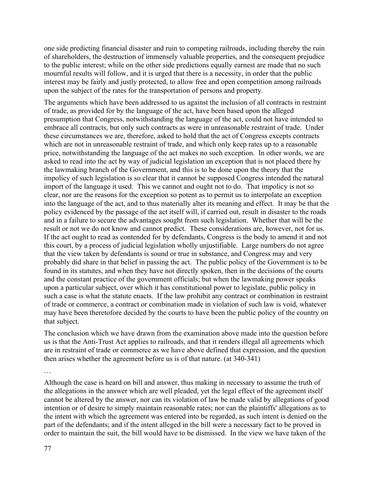one side predicting financial disaster and ruin to competing railroads, including thereby the ruin of shareholders, the destruction of immensely valuable properties, and the consequent prejudice to the public interest; while on the other side predictions equally earnest are made that no such mournful results will follow, and it is urged that there is a necessity, in order that the public interest may be fairly and justly protected, to allow free and open competition among railroads upon the subject of the rates for the transportation of persons and property.

The arguments which have been addressed to us against the inclusion of all contracts in restraint of trade, as provided for by the language of the act, have been based upon the alleged presumption that Congress, notwithstanding the language of the act, could not have intended to embrace all contracts, but only such contracts as were in unreasonable restraint of trade. Under these circumstances we are, therefore, asked to hold that the act of Congress excepts contracts which are not in unreasonable restraint of trade, and which only keep rates up to a reasonable price, notwithstanding the language of the act makes no such exception. In other words, we are asked to read into the act by way of judicial legislation an exception that is not placed there by the lawmaking branch of the Government, and this is to be done upon the theory that the impolicy of such legislation is so clear that it cannot be supposed Congress intended the natural import of the language it used. This we cannot and ought not to do. That impolicy is not so clear, nor are the reasons for the exception so potent as to permit us to interpolate an exception into the language of the act, and to thus materially alter its meaning and effect. It may be that the policy evidenced by the passage of the act itself will, if carried out, result in disaster to the roads and in a failure to secure the advantages sought from such legislation. Whether that will be the result or not we do not know and cannot predict. These considerations are, however, not for us. If the act ought to read as contended for by defendants, Congress is the body to amend it and not this court, by a process of judicial legislation wholly unjustifiable. Large numbers do not agree that the view taken by defendants is sound or true in substance, and Congress may and very probably did share in that belief in passing the act. The public policy of the Government is to be found in its statutes, and when they have not directly spoken, then in the decisions of the courts and the constant practice of the government officials; but when the lawmaking power speaks upon a particular subject, over which it has constitutional power to legislate, public policy in such a case is what the statute enacts. If the law prohibit any contract or combination in restraint of trade or commerce, a contract or combination made in violation of such law is void, whatever may have been theretofore decided by the courts to have been the public policy of the country on that subject.

The conclusion which we have drawn from the examination above made into the question before us is that the Anti-Trust Act applies to railroads, and that it renders illegal all agreements which are in restraint of trade or commerce as we have above defined that expression, and the question then arises whether the agreement before us is of that nature. (at 340-341)

…

Although the case is heard on bill and answer, thus making in necessary to assume the truth of the allegations in the answer which are well pleaded, yet the legal effect of the agreement itself cannot be altered by the answer, nor can its violation of law be made valid by allegations of good intention or of desire to simply maintain reasonable rates; nor can the plaintiffs' allegations as to the intent with which the agreement was entered into be regarded, as such intent is denied on the part of the defendants; and if the intent alleged in the bill were a necessary fact to be proved in order to maintain the suit, the bill would have to be dismissed. In the view we have taken of the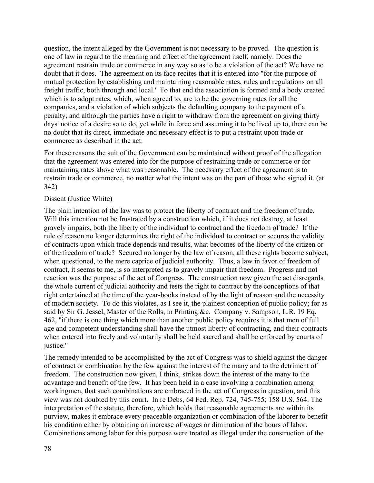question, the intent alleged by the Government is not necessary to be proved. The question is one of law in regard to the meaning and effect of the agreement itself, namely: Does the agreement restrain trade or commerce in any way so as to be a violation of the act? We have no doubt that it does. The agreement on its face recites that it is entered into "for the purpose of mutual protection by establishing and maintaining reasonable rates, rules and regulations on all freight traffic, both through and local." To that end the association is formed and a body created which is to adopt rates, which, when agreed to, are to be the governing rates for all the companies, and a violation of which subjects the defaulting company to the payment of a penalty, and although the parties have a right to withdraw from the agreement on giving thirty days' notice of a desire so to do, yet while in force and assuming it to be lived up to, there can be no doubt that its direct, immediate and necessary effect is to put a restraint upon trade or commerce as described in the act.

For these reasons the suit of the Government can be maintained without proof of the allegation that the agreement was entered into for the purpose of restraining trade or commerce or for maintaining rates above what was reasonable. The necessary effect of the agreement is to restrain trade or commerce, no matter what the intent was on the part of those who signed it. (at 342)

### Dissent (Justice White)

The plain intention of the law was to protect the liberty of contract and the freedom of trade. Will this intention not be frustrated by a construction which, if it does not destroy, at least gravely impairs, both the liberty of the individual to contract and the freedom of trade? If the rule of reason no longer determines the right of the individual to contract or secures the validity of contracts upon which trade depends and results, what becomes of the liberty of the citizen or of the freedom of trade? Secured no longer by the law of reason, all these rights become subject, when questioned, to the mere caprice of judicial authority. Thus, a law in favor of freedom of contract, it seems to me, is so interpreted as to gravely impair that freedom. Progress and not reaction was the purpose of the act of Congress. The construction now given the act disregards the whole current of judicial authority and tests the right to contract by the conceptions of that right entertained at the time of the year-books instead of by the light of reason and the necessity of modern society. To do this violates, as I see it, the plainest conception of public policy; for as said by Sir G. Jessel, Master of the Rolls, in Printing &c. Company v. Sampson, L.R. 19 Eq. 462, "if there is one thing which more than another public policy requires it is that men of full age and competent understanding shall have the utmost liberty of contracting, and their contracts when entered into freely and voluntarily shall be held sacred and shall be enforced by courts of justice."

The remedy intended to be accomplished by the act of Congress was to shield against the danger of contract or combination by the few against the interest of the many and to the detriment of freedom. The construction now given, I think, strikes down the interest of the many to the advantage and benefit of the few. It has been held in a case involving a combination among workingmen, that such combinations are embraced in the act of Congress in question, and this view was not doubted by this court. In re Debs, 64 Fed. Rep. 724, 745-755; 158 U.S. 564. The interpretation of the statute, therefore, which holds that reasonable agreements are within its purview, makes it embrace every peaceable organization or combination of the laborer to benefit his condition either by obtaining an increase of wages or diminution of the hours of labor. Combinations among labor for this purpose were treated as illegal under the construction of the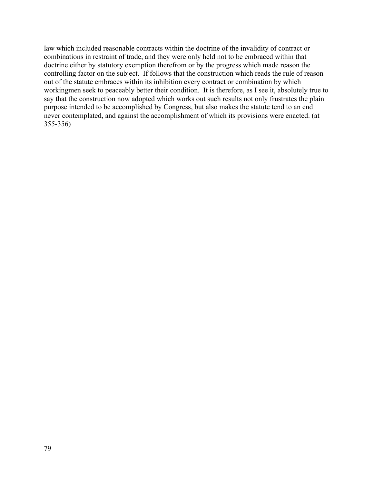law which included reasonable contracts within the doctrine of the invalidity of contract or combinations in restraint of trade, and they were only held not to be embraced within that doctrine either by statutory exemption therefrom or by the progress which made reason the controlling factor on the subject. If follows that the construction which reads the rule of reason out of the statute embraces within its inhibition every contract or combination by which workingmen seek to peaceably better their condition. It is therefore, as I see it, absolutely true to say that the construction now adopted which works out such results not only frustrates the plain purpose intended to be accomplished by Congress, but also makes the statute tend to an end never contemplated, and against the accomplishment of which its provisions were enacted. (at 355-356)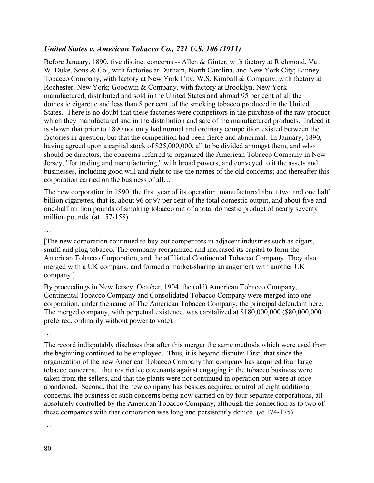# *United States v. American Tobacco Co., 221 U.S. 106 (1911)*

Before January, 1890, five distinct concerns -- Allen & Ginter, with factory at Richmond, Va.; W. Duke, Sons & Co., with factories at Durham, North Carolina, and New York City; Kinney Tobacco Company, with factory at New York City; W.S. Kimball & Company, with factory at Rochester, New York; Goodwin & Company, with factory at Brooklyn, New York - manufactured, distributed and sold in the United States and abroad 95 per cent of all the domestic cigarette and less than 8 per cent of the smoking tobacco produced in the United States. There is no doubt that these factories were competitors in the purchase of the raw product which they manufactured and in the distribution and sale of the manufactured products. Indeed it is shown that prior to 1890 not only had normal and ordinary competition existed between the factories in question, but that the competition had been fierce and abnormal. In January, 1890, having agreed upon a capital stock of \$25,000,000, all to be divided amongst them, and who should be directors, the concerns referred to organized the American Tobacco Company in New Jersey, "for trading and manufacturing," with broad powers, and conveyed to it the assets and businesses, including good will and right to use the names of the old concerns; and thereafter this corporation carried on the business of all…

The new corporation in 1890, the first year of its operation, manufactured about two and one half billion cigarettes, that is, about 96 or 97 per cent of the total domestic output, and about five and one-half million pounds of smoking tobacco out of a total domestic product of nearly seventy million pounds. (at 157-158)

…

[The new corporation continued to buy out competitors in adjacent industries such as cigars, snuff, and plug tobacco. The company reorganized and increased its capital to form the American Tobacco Corporation, and the affiliated Continental Tobacco Company. They also merged with a UK company, and formed a market-sharing arrangement with another UK company.]

By proceedings in New Jersey, October, 1904, the (old) American Tobacco Company, Continental Tobacco Company and Consolidated Tobacco Company were merged into one corporation, under the name of The American Tobacco Company, the principal defendant here. The merged company, with perpetual existence, was capitalized at \$180,000,000 (\$80,000,000 preferred, ordinarily without power to vote).

…

The record indisputably discloses that after this merger the same methods which were used from the beginning continued to be employed. Thus, it is beyond dispute: First, that since the organization of the new American Tobacco Company that company has acquired four large tobacco concerns, that restrictive covenants against engaging in the tobacco business were taken from the sellers, and that the plants were not continued in operation but were at once abandoned. Second, that the new company has besides acquired control of eight additional concerns, the business of such concerns being now carried on by four separate corporations, all absolutely controlled by the American Tobacco Company, although the connection as to two of these companies with that corporation was long and persistently denied. (at 174-175)

…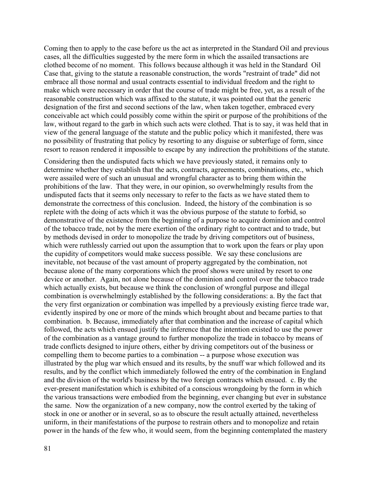Coming then to apply to the case before us the act as interpreted in the Standard Oil and previous cases, all the difficulties suggested by the mere form in which the assailed transactions are clothed become of no moment. This follows because although it was held in the Standard Oil Case that, giving to the statute a reasonable construction, the words "restraint of trade" did not embrace all those normal and usual contracts essential to individual freedom and the right to make which were necessary in order that the course of trade might be free, yet, as a result of the reasonable construction which was affixed to the statute, it was pointed out that the generic designation of the first and second sections of the law, when taken together, embraced every conceivable act which could possibly come within the spirit or purpose of the prohibitions of the law, without regard to the garb in which such acts were clothed. That is to say, it was held that in view of the general language of the statute and the public policy which it manifested, there was no possibility of frustrating that policy by resorting to any disguise or subterfuge of form, since resort to reason rendered it impossible to escape by any indirection the prohibitions of the statute.

Considering then the undisputed facts which we have previously stated, it remains only to determine whether they establish that the acts, contracts, agreements, combinations, etc., which were assailed were of such an unusual and wrongful character as to bring them within the prohibitions of the law. That they were, in our opinion, so overwhelmingly results from the undisputed facts that it seems only necessary to refer to the facts as we have stated them to demonstrate the correctness of this conclusion. Indeed, the history of the combination is so replete with the doing of acts which it was the obvious purpose of the statute to forbid, so demonstrative of the existence from the beginning of a purpose to acquire dominion and control of the tobacco trade, not by the mere exertion of the ordinary right to contract and to trade, but by methods devised in order to monopolize the trade by driving competitors out of business, which were ruthlessly carried out upon the assumption that to work upon the fears or play upon the cupidity of competitors would make success possible. We say these conclusions are inevitable, not because of the vast amount of property aggregated by the combination, not because alone of the many corporations which the proof shows were united by resort to one device or another. Again, not alone because of the dominion and control over the tobacco trade which actually exists, but because we think the conclusion of wrongful purpose and illegal combination is overwhelmingly established by the following considerations: a. By the fact that the very first organization or combination was impelled by a previously existing fierce trade war, evidently inspired by one or more of the minds which brought about and became parties to that combination. b. Because, immediately after that combination and the increase of capital which followed, the acts which ensued justify the inference that the intention existed to use the power of the combination as a vantage ground to further monopolize the trade in tobacco by means of trade conflicts designed to injure others, either by driving competitors out of the business or compelling them to become parties to a combination -- a purpose whose execution was illustrated by the plug war which ensued and its results, by the snuff war which followed and its results, and by the conflict which immediately followed the entry of the combination in England and the division of the world's business by the two foreign contracts which ensued. c. By the ever-present manifestation which is exhibited of a conscious wrongdoing by the form in which the various transactions were embodied from the beginning, ever changing but ever in substance the same. Now the organization of a new company, now the control exerted by the taking of stock in one or another or in several, so as to obscure the result actually attained, nevertheless uniform, in their manifestations of the purpose to restrain others and to monopolize and retain power in the hands of the few who, it would seem, from the beginning contemplated the mastery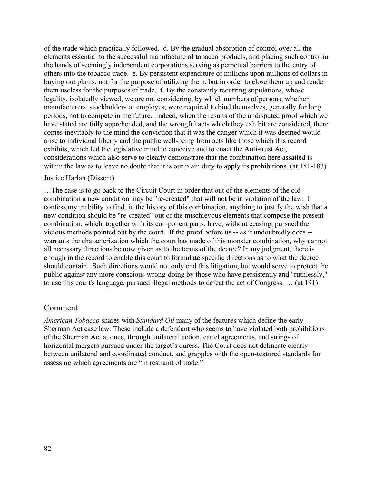of the trade which practically followed. d. By the gradual absorption of control over all the elements essential to the successful manufacture of tobacco products, and placing such control in the hands of seemingly independent corporations serving as perpetual barriers to the entry of others into the tobacco trade. e. By persistent expenditure of millions upon millions of dollars in buying out plants, not for the purpose of utilizing them, but in order to close them up and render them useless for the purposes of trade. f. By the constantly recurring stipulations, whose legality, isolatedly viewed, we are not considering, by which numbers of persons, whether manufacturers, stockholders or employes, were required to bind themselves, generally for long periods, not to compete in the future. Indeed, when the results of the undisputed proof which we have stated are fully apprehended, and the wrongful acts which they exhibit are considered, there comes inevitably to the mind the conviction that it was the danger which it was deemed would arise to individual liberty and the public well-being from acts like those which this record exhibits, which led the legislative mind to conceive and to enact the Anti-trust Act, considerations which also serve to clearly demonstrate that the combination here assailed is within the law as to leave no doubt that it is our plain duty to apply its prohibitions. (at 181-183)

### Justice Harlan (Dissent)

…The case is to go back to the Circuit Court in order that out of the elements of the old combination a new condition may be "re-created" that will not be in violation of the law. I confess my inability to find, in the history of this combination, anything to justify the wish that a new condition should be "re-created" out of the mischievous elements that compose the present combination, which, together with its component parts, have, without ceasing, pursued the vicious methods pointed out by the court. If the proof before us -- as it undoubtedly does - warrants the characterization which the court has made of this monster combination, why cannot all necessary directions be now given as to the terms of the decree? In my judgment, there is enough in the record to enable this court to formulate specific directions as to what the decree should contain. Such directions would not only end this litigation, but would serve to protect the public against any more conscious wrong-doing by those who have persistently and "ruthlessly," to use this court's language, pursued illegal methods to defeat the act of Congress. … (at 191)

### Comment

*American Tobacco* shares with *Standard Oil* many of the features which define the early Sherman Act case law. These include a defendant who seems to have violated both prohibitions of the Sherman Act at once, through unilateral action, cartel agreements, and strings of horizontal mergers pursued under the target's duress. The Court does not delineate clearly between unilateral and coordinated conduct, and grapples with the open-textured standards for assessing which agreements are "in restraint of trade."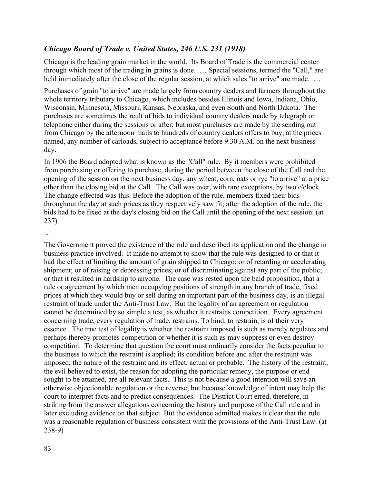## *Chicago Board of Trade v. United States, 246 U.S. 231 (1918)*

Chicago is the leading grain market in the world. Its Board of Trade is the commercial center through which most of the trading in grains is done. … Special sessions, termed the "Call," are held immediately after the close of the regular session, at which sales "to arrive" are made. ...

Purchases of grain "to arrive" are made largely from country dealers and farmers throughout the whole territory tributary to Chicago, which includes besides Illinois and Iowa, Indiana, Ohio, Wisconsin, Minnesota, Missouri, Kansas, Nebraska, and even South and North Dakota. The purchases are sometimes the reult of bids to individual country dealers made by telegraph or telephone either during the sessions or after; but most purchases are made by the sending out from Chicago by the afternoon mails to hundreds of country dealers offers to buy, at the prices named, any number of carloads, subject to acceptance before 9.30 A.M. on the next business day.

In 1906 the Board adopted what is known as the "Call" rule. By it members were prohibited from purchasing or offering to purchase, during the period between the close of the Call and the opening of the session on the next business day, any wheat, corn, oats or rye "to arrive" at a price other than the closing bid at the Call. The Call was over, with rare exceptions, by two o'clock. The change effected was this: Before the adoption of the rule, members fixed their bids throughout the day at such prices as they respectively saw fit; after the adoption of the rule, the bids had to be fixed at the day's closing bid on the Call until the opening of the next session. (at 237)

#### …

The Government proved the existence of the rule and described its application and the change in business practice involved. It made no attempt to show that the rule was designed to or that it had the effect of limiting the amount of grain shipped to Chicago; or of retarding or accelerating shipment; or of raising or depressing prices; or of discriminating against any part of the public; or that it resulted in hardship to anyone. The case was rested upon the bald proposition, that a rule or agreement by which men occupying positions of strength in any branch of trade, fixed prices at which they would buy or sell during an important part of the business day, is an illegal restraint of trade under the Anti-Trust Law. But the legality of an agreement or regulation cannot be determined by so simple a test, as whether it restrains competition. Every agreement concerning trade, every regulation of trade, restrains. To bind, to restrain, is of their very essence. The true test of legality is whether the restraint imposed is such as merely regulates and perhaps thereby promotes competition or whether it is such as may suppress or even destroy competition. To determine that question the court must ordinarily consider the facts peculiar to the business to which the restraint is applied; its condition before and after the restraint was imposed; the nature of the restraint and its effect, actual or probable. The history of the restraint, the evil believed to exist, the reason for adopting the particular remedy, the purpose or end sought to be attained, are all relevant facts. This is not because a good intention will save an otherwise objectionable regulation or the reverse; but because knowledge of intent may help the court to interpret facts and to predict consequences. The District Court erred, therefore, in striking from the answer allegations concerning the history and purpose of the Call rule and in later excluding evidence on that subject. But the evidence admitted makes it clear that the rule was a reasonable regulation of business consistent with the provisions of the Anti-Trust Law. (at 238-9)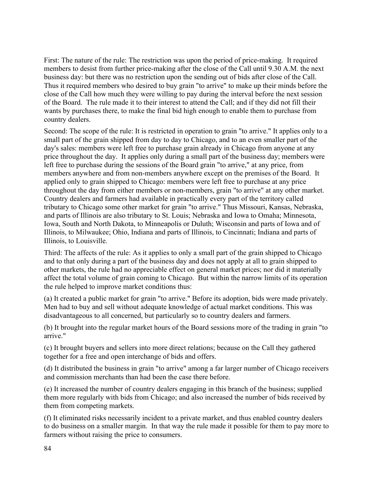First: The nature of the rule: The restriction was upon the period of price-making. It required members to desist from further price-making after the close of the Call until 9.30 A.M. the next business day: but there was no restriction upon the sending out of bids after close of the Call. Thus it required members who desired to buy grain "to arrive" to make up their minds before the close of the Call how much they were willing to pay during the interval before the next session of the Board. The rule made it to their interest to attend the Call; and if they did not fill their wants by purchases there, to make the final bid high enough to enable them to purchase from country dealers.

Second: The scope of the rule: It is restricted in operation to grain "to arrive." It applies only to a small part of the grain shipped from day to day to Chicago, and to an even smaller part of the day's sales: members were left free to purchase grain already in Chicago from anyone at any price throughout the day. It applies only during a small part of the business day; members were left free to purchase during the sessions of the Board grain "to arrive," at any price, from members anywhere and from non-members anywhere except on the premises of the Board. It applied only to grain shipped to Chicago: members were left free to purchase at any price throughout the day from either members or non-members, grain "to arrive" at any other market. Country dealers and farmers had available in practically every part of the territory called tributary to Chicago some other market for grain "to arrive." Thus Missouri, Kansas, Nebraska, and parts of Illinois are also tributary to St. Louis; Nebraska and Iowa to Omaha; Minnesota, Iowa, South and North Dakota, to Minneapolis or Duluth; Wisconsin and parts of Iowa and of Illinois, to Milwaukee; Ohio, Indiana and parts of Illinois, to Cincinnati; Indiana and parts of Illinois, to Louisville.

Third: The affects of the rule: As it applies to only a small part of the grain shipped to Chicago and to that only during a part of the business day and does not apply at all to grain shipped to other markets, the rule had no appreciable effect on general market prices; nor did it materially affect the total volume of grain coming to Chicago. But within the narrow limits of its operation the rule helped to improve market conditions thus:

(a) It created a public market for grain "to arrive." Before its adoption, bids were made privately. Men had to buy and sell without adequate knowledge of actual market conditions. This was disadvantageous to all concerned, but particularly so to country dealers and farmers.

(b) It brought into the regular market hours of the Board sessions more of the trading in grain "to arrive."

(c) It brought buyers and sellers into more direct relations; because on the Call they gathered together for a free and open interchange of bids and offers.

(d) It distributed the business in grain "to arrive" among a far larger number of Chicago receivers and commission merchants than had been the case there before.

(e) It increased the number of country dealers engaging in this branch of the business; supplied them more regularly with bids from Chicago; and also increased the number of bids received by them from competing markets.

(f) It eliminated risks necessarily incident to a private market, and thus enabled country dealers to do business on a smaller margin. In that way the rule made it possible for them to pay more to farmers without raising the price to consumers.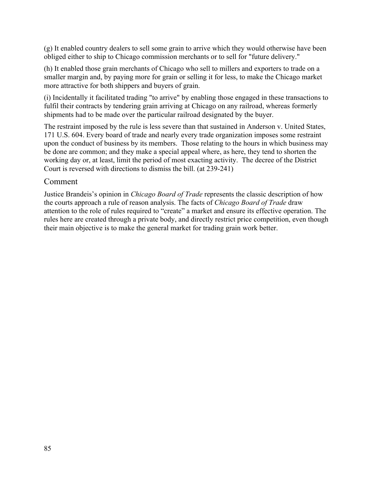(g) It enabled country dealers to sell some grain to arrive which they would otherwise have been obliged either to ship to Chicago commission merchants or to sell for "future delivery."

(h) It enabled those grain merchants of Chicago who sell to millers and exporters to trade on a smaller margin and, by paying more for grain or selling it for less, to make the Chicago market more attractive for both shippers and buyers of grain.

(i) Incidentally it facilitated trading "to arrive" by enabling those engaged in these transactions to fulfil their contracts by tendering grain arriving at Chicago on any railroad, whereas formerly shipments had to be made over the particular railroad designated by the buyer.

The restraint imposed by the rule is less severe than that sustained in Anderson v. United States, 171 U.S. 604. Every board of trade and nearly every trade organization imposes some restraint upon the conduct of business by its members. Those relating to the hours in which business may be done are common; and they make a special appeal where, as here, they tend to shorten the working day or, at least, limit the period of most exacting activity. The decree of the District Court is reversed with directions to dismiss the bill. (at 239-241)

### Comment

Justice Brandeis's opinion in *Chicago Board of Trade* represents the classic description of how the courts approach a rule of reason analysis. The facts of *Chicago Board of Trade* draw attention to the role of rules required to "create" a market and ensure its effective operation. The rules here are created through a private body, and directly restrict price competition, even though their main objective is to make the general market for trading grain work better.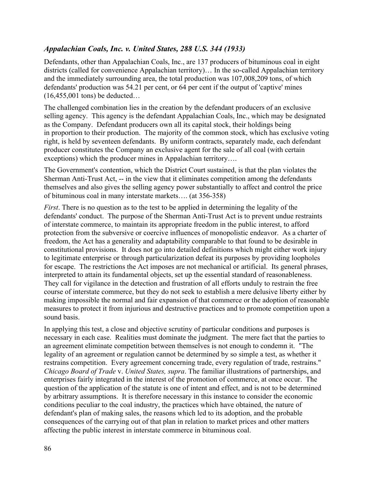# *Appalachian Coals, Inc. v. United States, 288 U.S. 344 (1933)*

Defendants, other than Appalachian Coals, Inc., are 137 producers of bituminous coal in eight districts (called for convenience Appalachian territory)… In the so-called Appalachian territory and the immediately surrounding area, the total production was 107,008,209 tons, of which defendants' production was 54.21 per cent, or 64 per cent if the output of 'captive' mines (16,455,001 tons) be deducted…

The challenged combination lies in the creation by the defendant producers of an exclusive selling agency. This agency is the defendant Appalachian Coals, Inc., which may be designated as the Company. Defendant producers own all its capital stock, their holdings being in proportion to their production. The majority of the common stock, which has exclusive voting right, is held by seventeen defendants. By uniform contracts, separately made, each defendant producer constitutes the Company an exclusive agent for the sale of all coal (with certain exceptions) which the producer mines in Appalachian territory….

The Government's contention, which the District Court sustained, is that the plan violates the Sherman Anti-Trust Act, -- in the view that it eliminates competition among the defendants themselves and also gives the selling agency power substantially to affect and control the price of bituminous coal in many interstate markets…. (at 356-358)

*First*. There is no question as to the test to be applied in determining the legality of the defendants' conduct. The purpose of the Sherman Anti-Trust Act is to prevent undue restraints of interstate commerce, to maintain its appropriate freedom in the public interest, to afford protection from the subversive or coercive influences of monopolistic endeavor. As a charter of freedom, the Act has a generality and adaptability comparable to that found to be desirable in constitutional provisions. It does not go into detailed definitions which might either work injury to legitimate enterprise or through particularization defeat its purposes by providing loopholes for escape. The restrictions the Act imposes are not mechanical or artificial. Its general phrases, interpreted to attain its fundamental objects, set up the essential standard of reasonableness. They call for vigilance in the detection and frustration of all efforts unduly to restrain the free course of interstate commerce, but they do not seek to establish a mere delusive liberty either by making impossible the normal and fair expansion of that commerce or the adoption of reasonable measures to protect it from injurious and destructive practices and to promote competition upon a sound basis.

In applying this test, a close and objective scrutiny of particular conditions and purposes is necessary in each case. Realities must dominate the judgment. The mere fact that the parties to an agreement eliminate competition between themselves is not enough to condemn it. "The legality of an agreement or regulation cannot be determined by so simple a test, as whether it restrains competition. Every agreement concerning trade, every regulation of trade, restrains." *Chicago Board of Trade* v. *United States, supra*. The familiar illustrations of partnerships, and enterprises fairly integrated in the interest of the promotion of commerce, at once occur. The question of the application of the statute is one of intent and effect, and is not to be determined by arbitrary assumptions. It is therefore necessary in this instance to consider the economic conditions peculiar to the coal industry, the practices which have obtained, the nature of defendant's plan of making sales, the reasons which led to its adoption, and the probable consequences of the carrying out of that plan in relation to market prices and other matters affecting the public interest in interstate commerce in bituminous coal.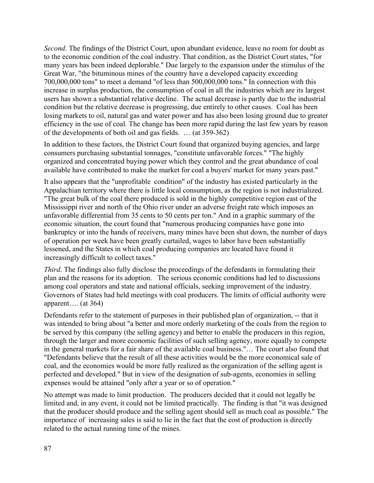*Second*. The findings of the District Court, upon abundant evidence, leave no room for doubt as to the economic condition of the coal industry. That condition, as the District Court states, "for many years has been indeed deplorable." Due largely to the expansion under the stimulus of the Great War, "the bituminous mines of the country have a developed capacity exceeding 700,000,000 tons" to meet a demand "of less than 500,000,000 tons." In connection with this increase in surplus production, the consumption of coal in all the industries which are its largest users has shown a substantial relative decline. The actual decrease is partly due to the industrial condition but the relative decrease is progressing, due entirely to other causes. Coal has been losing markets to oil, natural gas and water power and has also been losing ground due to greater efficiency in the use of coal. The change has been more rapid during the last few years by reason of the developments of both oil and gas fields. … (at 359-362)

In addition to these factors, the District Court found that organized buying agencies, and large consumers purchasing substantial tonnages, "constitute unfavorable forces." "The highly organized and concentrated buying power which they control and the great abundance of coal available have contributed to make the market for coal a buyers' market for many years past."

It also appears that the "unprofitable condition" of the industry has existed particularly in the Appalachian territory where there is little local consumption, as the region is not industrialized. "The great bulk of the coal there produced is sold in the highly competitive region east of the Mississippi river and north of the Ohio river under an adverse freight rate which imposes an unfavorable differential from 35 cents to 50 cents per ton." And in a graphic summary of the economic situation, the court found that "numerous producing companies have gone into bankruptcy or into the hands of receivers, many mines have been shut down, the number of days of operation per week have been greatly curtailed, wages to labor have been substantially lessened, and the States in which coal producing companies are located have found it increasingly difficult to collect taxes."

*Third*. The findings also fully disclose the proceedings of the defendants in formulating their plan and the reasons for its adoption. The serious economic conditions had led to discussions among coal operators and state and national officials, seeking improvement of the industry. Governors of States had held meetings with coal producers. The limits of official authority were apparent…. (at 364)

Defendants refer to the statement of purposes in their published plan of organization, -- that it was intended to bring about "a better and more orderly marketing of the coals from the region to be served by this company (the selling agency) and better to enable the producers in this region, through the larger and more economic facilities of such selling agency, more equally to compete in the general markets for a fair share of the available coal business."… The court also found that "Defendants believe that the result of all these activities would be the more economical sale of coal, and the economies would be more fully realized as the organization of the selling agent is perfected and developed." But in view of the designation of sub-agents, economies in selling expenses would be attained "only after a year or so of operation."

No attempt was made to limit production. The producers decided that it could not legally be limited and, in any event, it could not be limited practically. The finding is that "it was designed that the producer should produce and the selling agent should sell as much coal as possible." The importance of increasing sales is said to lie in the fact that the cost of production is directly related to the actual running time of the mines.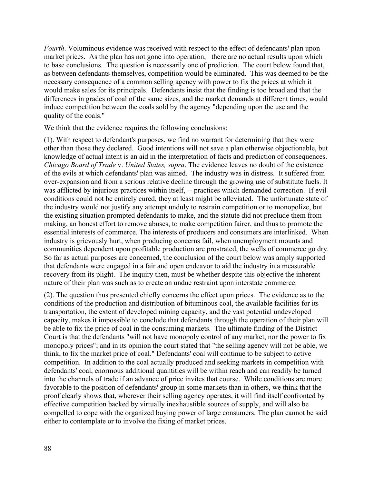*Fourth*. Voluminous evidence was received with respect to the effect of defendants' plan upon market prices. As the plan has not gone into operation, there are no actual results upon which to base conclusions. The question is necessarily one of prediction. The court below found that, as between defendants themselves, competition would be eliminated. This was deemed to be the necessary consequence of a common selling agency with power to fix the prices at which it would make sales for its principals. Defendants insist that the finding is too broad and that the differences in grades of coal of the same sizes, and the market demands at different times, would induce competition between the coals sold by the agency "depending upon the use and the quality of the coals."

We think that the evidence requires the following conclusions:

(1). With respect to defendant's purposes, we find no warrant for determining that they were other than those they declared. Good intentions will not save a plan otherwise objectionable, but knowledge of actual intent is an aid in the interpretation of facts and prediction of consequences. *Chicago Board of Trade* v. *United States, supra*. The evidence leaves no doubt of the existence of the evils at which defendants' plan was aimed. The industry was in distress. It suffered from over-expansion and from a serious relative decline through the growing use of substitute fuels. It was afflicted by injurious practices within itself, -- practices which demanded correction. If evil conditions could not be entirely cured, they at least might be alleviated. The unfortunate state of the industry would not justify any attempt unduly to restrain competition or to monopolize, but the existing situation prompted defendants to make, and the statute did not preclude them from making, an honest effort to remove abuses, to make competition fairer, and thus to promote the essential interests of commerce. The interests of producers and consumers are interlinked. When industry is grievously hurt, when producing concerns fail, when unemployment mounts and communities dependent upon profitable production are prostrated, the wells of commerce go dry. So far as actual purposes are concerned, the conclusion of the court below was amply supported that defendants were engaged in a fair and open endeavor to aid the industry in a measurable recovery from its plight. The inquiry then, must be whether despite this objective the inherent nature of their plan was such as to create an undue restraint upon interstate commerce.

(2). The question thus presented chiefly concerns the effect upon prices. The evidence as to the conditions of the production and distribution of bituminous coal, the available facilities for its transportation, the extent of developed mining capacity, and the vast potential undeveloped capacity, makes it impossible to conclude that defendants through the operation of their plan will be able to fix the price of coal in the consuming markets. The ultimate finding of the District Court is that the defendants "will not have monopoly control of any market, nor the power to fix monopoly prices"; and in its opinion the court stated that "the selling agency will not be able, we think, to fix the market price of coal." Defendants' coal will continue to be subject to active competition. In addition to the coal actually produced and seeking markets in competition with defendants' coal, enormous additional quantities will be within reach and can readily be turned into the channels of trade if an advance of price invites that course. While conditions are more favorable to the position of defendants' group in some markets than in others, we think that the proof clearly shows that, wherever their selling agency operates, it will find itself confronted by effective competition backed by virtually inexhaustible sources of supply, and will also be compelled to cope with the organized buying power of large consumers. The plan cannot be said either to contemplate or to involve the fixing of market prices.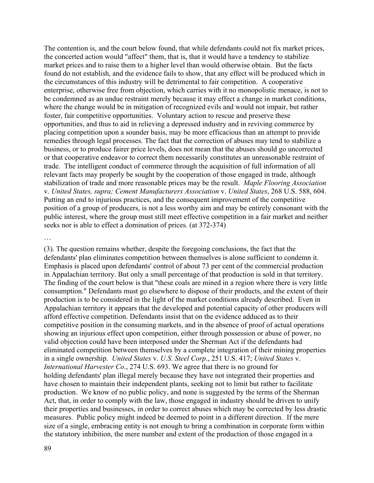The contention is, and the court below found, that while defendants could not fix market prices, the concerted action would "affect" them, that is, that it would have a tendency to stabilize market prices and to raise them to a higher level than would otherwise obtain. But the facts found do not establish, and the evidence fails to show, that any effect will be produced which in the circumstances of this industry will be detrimental to fair competition. A cooperative enterprise, otherwise free from objection, which carries with it no monopolistic menace, is not to be condemned as an undue restraint merely because it may effect a change in market conditions, where the change would be in mitigation of recognized evils and would not impair, but rather foster, fair competitive opportunities. Voluntary action to rescue and preserve these opportunities, and thus to aid in relieving a depressed industry and in reviving commerce by placing competition upon a sounder basis, may be more efficacious than an attempt to provide remedies through legal processes. The fact that the correction of abuses may tend to stabilize a business, or to produce fairer price levels, does not mean that the abuses should go uncorrected or that cooperative endeavor to correct them necessarily constitutes an unreasonable restraint of trade. The intelligent conduct of commerce through the acquisition of full information of all relevant facts may properly be sought by the cooperation of those engaged in trade, although stabilization of trade and more reasonable prices may be the result. *Maple Flooring Association* v. *United States, supra; Cement Manufacturers Association* v. *United States*, 268 U.S. 588, 604. Putting an end to injurious practices, and the consequent improvement of the competitive position of a group of producers, is not a less worthy aim and may be entirely consonant with the public interest, where the group must still meet effective competition in a fair market and neither seeks nor is able to effect a domination of prices. (at 372-374)

### …

(3). The question remains whether, despite the foregoing conclusions, the fact that the defendants' plan eliminates competition between themselves is alone sufficient to condemn it. Emphasis is placed upon defendants' control of about 73 per cent of the commercial production in Appalachian territory. But only a small percentage of that production is sold in that territory. The finding of the court below is that "these coals are mined in a region where there is very little consumption." Defendants must go elsewhere to dispose of their products, and the extent of their production is to be considered in the light of the market conditions already described. Even in Appalachian territory it appears that the developed and potential capacity of other producers will afford effective competition. Defendants insist that on the evidence adduced as to their competitive position in the consuming markets, and in the absence of proof of actual operations showing an injurious effect upon competition, either through possession or abuse of power, no valid objection could have been interposed under the Sherman Act if the defendants had eliminated competition between themselves by a complete integration of their mining properties in a single ownership. *United States* v. *U.S. Steel Corp*., 251 U.S. 417; *United States* v. *International Harvester Co*., 274 U.S. 693. We agree that there is no ground for holding defendants' plan illegal merely because they have not integrated their properties and have chosen to maintain their independent plants, seeking not to limit but rather to facilitate production. We know of no public policy, and none is suggested by the terms of the Sherman Act, that, in order to comply with the law, those engaged in industry should be driven to unify their properties and businesses, in order to correct abuses which may be corrected by less drastic measures. Public policy might indeed be deemed to point in a different direction. If the mere size of a single, embracing entity is not enough to bring a combination in corporate form within the statutory inhibition, the mere number and extent of the production of those engaged in a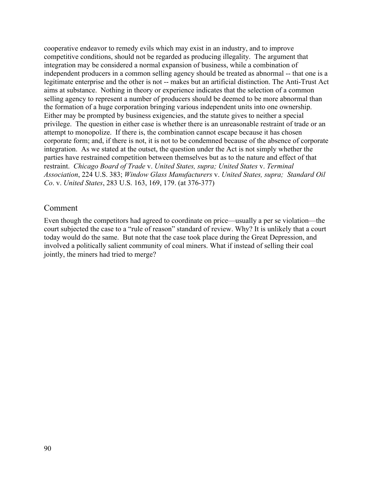cooperative endeavor to remedy evils which may exist in an industry, and to improve competitive conditions, should not be regarded as producing illegality. The argument that integration may be considered a normal expansion of business, while a combination of independent producers in a common selling agency should be treated as abnormal -- that one is a legitimate enterprise and the other is not -- makes but an artificial distinction. The Anti-Trust Act aims at substance. Nothing in theory or experience indicates that the selection of a common selling agency to represent a number of producers should be deemed to be more abnormal than the formation of a huge corporation bringing various independent units into one ownership. Either may be prompted by business exigencies, and the statute gives to neither a special privilege. The question in either case is whether there is an unreasonable restraint of trade or an attempt to monopolize. If there is, the combination cannot escape because it has chosen corporate form; and, if there is not, it is not to be condemned because of the absence of corporate integration. As we stated at the outset, the question under the Act is not simply whether the parties have restrained competition between themselves but as to the nature and effect of that restraint. *Chicago Board of Trade* v. *United States, supra; United States* v. *Terminal Association*, 224 U.S. 383; *Window Glass Manufacturers* v. *United States, supra; Standard Oil Co*. v. *United States*, 283 U.S. 163, 169, 179. (at 376-377)

### Comment

Even though the competitors had agreed to coordinate on price—usually a per se violation—the court subjected the case to a "rule of reason" standard of review. Why? It is unlikely that a court today would do the same. But note that the case took place during the Great Depression, and involved a politically salient community of coal miners. What if instead of selling their coal jointly, the miners had tried to merge?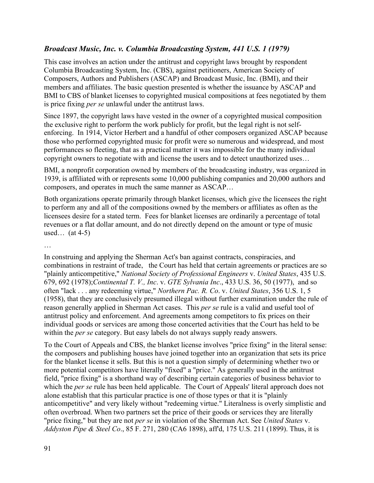# *Broadcast Music, Inc. v. Columbia Broadcasting System, 441 U.S. 1 (1979)*

This case involves an action under the antitrust and copyright laws brought by respondent Columbia Broadcasting System, Inc. (CBS), against petitioners, American Society of Composers, Authors and Publishers (ASCAP) and Broadcast Music, Inc. (BMI), and their members and affiliates. The basic question presented is whether the issuance by ASCAP and BMI to CBS of blanket licenses to copyrighted musical compositions at fees negotiated by them is price fixing *per se* unlawful under the antitrust laws.

Since 1897, the copyright laws have vested in the owner of a copyrighted musical composition the exclusive right to perform the work publicly for profit, but the legal right is not selfenforcing. In 1914, Victor Herbert and a handful of other composers organized ASCAP because those who performed copyrighted music for profit were so numerous and widespread, and most performances so fleeting, that as a practical matter it was impossible for the many individual copyright owners to negotiate with and license the users and to detect unauthorized uses…

BMI, a nonprofit corporation owned by members of the broadcasting industry, was organized in 1939, is affiliated with or represents some 10,000 publishing companies and 20,000 authors and composers, and operates in much the same manner as ASCAP…

Both organizations operate primarily through blanket licenses, which give the licensees the right to perform any and all of the compositions owned by the members or affiliates as often as the licensees desire for a stated term. Fees for blanket licenses are ordinarily a percentage of total revenues or a flat dollar amount, and do not directly depend on the amount or type of music used…  $(at 4-5)$ 

…

In construing and applying the Sherman Act's ban against contracts, conspiracies, and combinations in restraint of trade, the Court has held that certain agreements or practices are so "plainly anticompetitive," *National Society of Professional Engineers* v. *United States*, 435 U.S. 679, 692 (1978);*Continental T. V., Inc*. v. *GTE Sylvania Inc*., 433 U.S. 36, 50 (1977), and so often "lack . . . any redeeming virtue," *Northern Pac. R. Co*. v. *United States*, 356 U.S. 1, 5 (1958), that they are conclusively presumed illegal without further examination under the rule of reason generally applied in Sherman Act cases. This *per se* rule is a valid and useful tool of antitrust policy and enforcement. And agreements among competitors to fix prices on their individual goods or services are among those concerted activities that the Court has held to be within the *per se* category. But easy labels do not always supply ready answers.

To the Court of Appeals and CBS, the blanket license involves "price fixing" in the literal sense: the composers and publishing houses have joined together into an organization that sets its price for the blanket license it sells. But this is not a question simply of determining whether two or more potential competitors have literally "fixed" a "price." As generally used in the antitrust field, "price fixing" is a shorthand way of describing certain categories of business behavior to which the *per se* rule has been held applicable. The Court of Appeals' literal approach does not alone establish that this particular practice is one of those types or that it is "plainly anticompetitive" and very likely without "redeeming virtue." Literalness is overly simplistic and often overbroad. When two partners set the price of their goods or services they are literally "price fixing," but they are not *per se* in violation of the Sherman Act. See *United States* v. *Addyston Pipe & Steel Co*., 85 F. 271, 280 (CA6 1898), aff'd, 175 U.S. 211 (1899). Thus, it is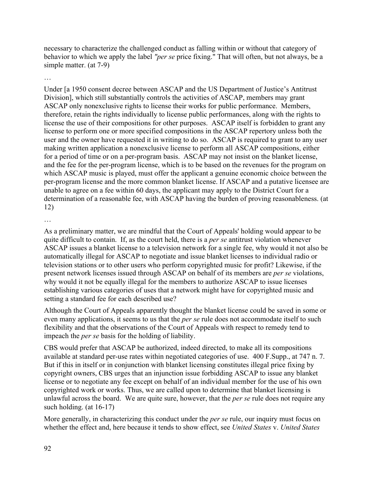necessary to characterize the challenged conduct as falling within or without that category of behavior to which we apply the label *"per se* price fixing." That will often, but not always, be a simple matter. (at 7-9)

### …

Under [a 1950 consent decree between ASCAP and the US Department of Justice's Antitrust Division], which still substantially controls the activities of ASCAP, members may grant ASCAP only nonexclusive rights to license their works for public performance. Members, therefore, retain the rights individually to license public performances, along with the rights to license the use of their compositions for other purposes. ASCAP itself is forbidden to grant any license to perform one or more specified compositions in the ASCAP repertory unless both the user and the owner have requested it in writing to do so. ASCAP is required to grant to any user making written application a nonexclusive license to perform all ASCAP compositions, either for a period of time or on a per-program basis. ASCAP may not insist on the blanket license, and the fee for the per-program license, which is to be based on the revenues for the program on which ASCAP music is played, must offer the applicant a genuine economic choice between the per-program license and the more common blanket license. If ASCAP and a putative licensee are unable to agree on a fee within 60 days, the applicant may apply to the District Court for a determination of a reasonable fee, with ASCAP having the burden of proving reasonableness. (at 12)

…

As a preliminary matter, we are mindful that the Court of Appeals' holding would appear to be quite difficult to contain. If, as the court held, there is a *per se* antitrust violation whenever ASCAP issues a blanket license to a television network for a single fee, why would it not also be automatically illegal for ASCAP to negotiate and issue blanket licenses to individual radio or television stations or to other users who perform copyrighted music for profit? Likewise, if the present network licenses issued through ASCAP on behalf of its members are *per se* violations, why would it not be equally illegal for the members to authorize ASCAP to issue licenses establishing various categories of uses that a network might have for copyrighted music and setting a standard fee for each described use?

Although the Court of Appeals apparently thought the blanket license could be saved in some or even many applications, it seems to us that the *per se* rule does not accommodate itself to such flexibility and that the observations of the Court of Appeals with respect to remedy tend to impeach the *per se* basis for the holding of liability.

CBS would prefer that ASCAP be authorized, indeed directed, to make all its compositions available at standard per-use rates within negotiated categories of use. 400 F.Supp., at 747 n. 7. But if this in itself or in conjunction with blanket licensing constitutes illegal price fixing by copyright owners, CBS urges that an injunction issue forbidding ASCAP to issue any blanket license or to negotiate any fee except on behalf of an individual member for the use of his own copyrighted work or works. Thus, we are called upon to determine that blanket licensing is unlawful across the board. We are quite sure, however, that the *per se* rule does not require any such holding. (at 16-17)

More generally, in characterizing this conduct under the *per se* rule, our inquiry must focus on whether the effect and, here because it tends to show effect, see *United States* v. *United States*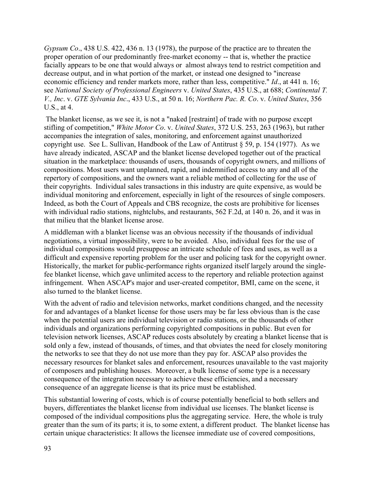*Gypsum Co*., 438 U.S. 422, 436 n. 13 (1978), the purpose of the practice are to threaten the proper operation of our predominantly free-market economy -- that is, whether the practice facially appears to be one that would always or almost always tend to restrict competition and decrease output, and in what portion of the market, or instead one designed to "increase economic efficiency and render markets more, rather than less, competitive." *Id*., at 441 n. 16; see *National Society of Professional Engineers* v. *United States*, 435 U.S., at 688; *Continental T. V., Inc*. v. *GTE Sylvania Inc*., 433 U.S., at 50 n. 16; *Northern Pac. R. Co*. v. *United States*, 356 U.S., at 4.

The blanket license, as we see it, is not a "naked [restraint] of trade with no purpose except stifling of competition," *White Motor Co*. v. *United States*, 372 U.S. 253, 263 (1963), but rather accompanies the integration of sales, monitoring, and enforcement against unauthorized copyright use. See L. Sullivan, Handbook of the Law of Antitrust § 59, p. 154 (1977). As we have already indicated, ASCAP and the blanket license developed together out of the practical situation in the marketplace: thousands of users, thousands of copyright owners, and millions of compositions. Most users want unplanned, rapid, and indemnified access to any and all of the repertory of compositions, and the owners want a reliable method of collecting for the use of their copyrights. Individual sales transactions in this industry are quite expensive, as would be individual monitoring and enforcement, especially in light of the resources of single composers. Indeed, as both the Court of Appeals and CBS recognize, the costs are prohibitive for licenses with individual radio stations, nightclubs, and restaurants, 562 F.2d, at 140 n. 26, and it was in that milieu that the blanket license arose.

A middleman with a blanket license was an obvious necessity if the thousands of individual negotiations, a virtual impossibility, were to be avoided. Also, individual fees for the use of individual compositions would presuppose an intricate schedule of fees and uses, as well as a difficult and expensive reporting problem for the user and policing task for the copyright owner. Historically, the market for public-performance rights organized itself largely around the singlefee blanket license, which gave unlimited access to the repertory and reliable protection against infringement. When ASCAP's major and user-created competitor, BMI, came on the scene, it also turned to the blanket license.

With the advent of radio and television networks, market conditions changed, and the necessity for and advantages of a blanket license for those users may be far less obvious than is the case when the potential users are individual television or radio stations, or the thousands of other individuals and organizations performing copyrighted compositions in public. But even for television network licenses, ASCAP reduces costs absolutely by creating a blanket license that is sold only a few, instead of thousands, of times, and that obviates the need for closely monitoring the networks to see that they do not use more than they pay for. ASCAP also provides the necessary resources for blanket sales and enforcement, resources unavailable to the vast majority of composers and publishing houses. Moreover, a bulk license of some type is a necessary consequence of the integration necessary to achieve these efficiencies, and a necessary consequence of an aggregate license is that its price must be established.

This substantial lowering of costs, which is of course potentially beneficial to both sellers and buyers, differentiates the blanket license from individual use licenses. The blanket license is composed of the individual compositions plus the aggregating service. Here, the whole is truly greater than the sum of its parts; it is, to some extent, a different product. The blanket license has certain unique characteristics: It allows the licensee immediate use of covered compositions,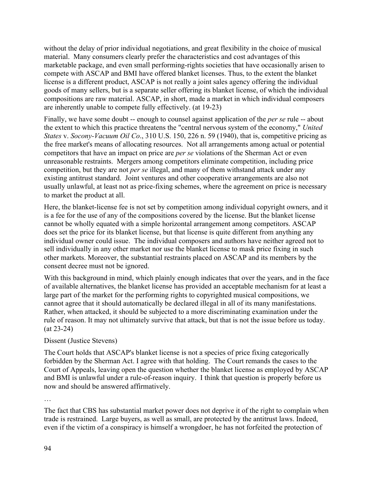without the delay of prior individual negotiations, and great flexibility in the choice of musical material. Many consumers clearly prefer the characteristics and cost advantages of this marketable package, and even small performing-rights societies that have occasionally arisen to compete with ASCAP and BMI have offered blanket licenses. Thus, to the extent the blanket license is a different product, ASCAP is not really a joint sales agency offering the individual goods of many sellers, but is a separate seller offering its blanket license, of which the individual compositions are raw material. ASCAP, in short, made a market in which individual composers are inherently unable to compete fully effectively. (at 19-23)

Finally, we have some doubt -- enough to counsel against application of the *per se* rule -- about the extent to which this practice threatens the "central nervous system of the economy," *United States* v. *Socony-Vacuum Oil Co*., 310 U.S. 150, 226 n. 59 (1940), that is, competitive pricing as the free market's means of allocating resources. Not all arrangements among actual or potential competitors that have an impact on price are *per se* violations of the Sherman Act or even unreasonable restraints. Mergers among competitors eliminate competition, including price competition, but they are not *per se* illegal, and many of them withstand attack under any existing antitrust standard. Joint ventures and other cooperative arrangements are also not usually unlawful, at least not as price-fixing schemes, where the agreement on price is necessary to market the product at all.

Here, the blanket-license fee is not set by competition among individual copyright owners, and it is a fee for the use of any of the compositions covered by the license. But the blanket license cannot be wholly equated with a simple horizontal arrangement among competitors. ASCAP does set the price for its blanket license, but that license is quite different from anything any individual owner could issue. The individual composers and authors have neither agreed not to sell individually in any other market nor use the blanket license to mask price fixing in such other markets. Moreover, the substantial restraints placed on ASCAP and its members by the consent decree must not be ignored.

With this background in mind, which plainly enough indicates that over the years, and in the face of available alternatives, the blanket license has provided an acceptable mechanism for at least a large part of the market for the performing rights to copyrighted musical compositions, we cannot agree that it should automatically be declared illegal in all of its many manifestations. Rather, when attacked, it should be subjected to a more discriminating examination under the rule of reason. It may not ultimately survive that attack, but that is not the issue before us today. (at 23-24)

### Dissent (Justice Stevens)

The Court holds that ASCAP's blanket license is not a species of price fixing categorically forbidden by the Sherman Act. I agree with that holding. The Court remands the cases to the Court of Appeals, leaving open the question whether the blanket license as employed by ASCAP and BMI is unlawful under a rule-of-reason inquiry. I think that question is properly before us now and should be answered affirmatively.

…

The fact that CBS has substantial market power does not deprive it of the right to complain when trade is restrained. Large buyers, as well as small, are protected by the antitrust laws. Indeed, even if the victim of a conspiracy is himself a wrongdoer, he has not forfeited the protection of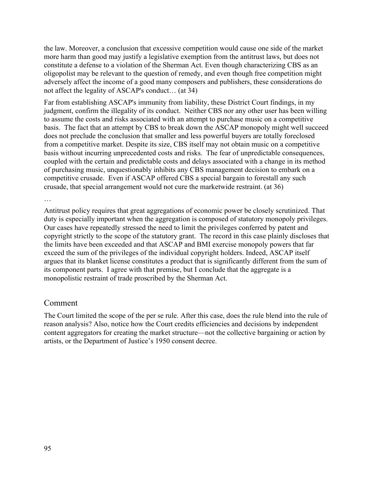the law. Moreover, a conclusion that excessive competition would cause one side of the market more harm than good may justify a legislative exemption from the antitrust laws, but does not constitute a defense to a violation of the Sherman Act. Even though characterizing CBS as an oligopolist may be relevant to the question of remedy, and even though free competition might adversely affect the income of a good many composers and publishers, these considerations do not affect the legality of ASCAP's conduct… (at 34)

Far from establishing ASCAP's immunity from liability, these District Court findings, in my judgment, confirm the illegality of its conduct. Neither CBS nor any other user has been willing to assume the costs and risks associated with an attempt to purchase music on a competitive basis. The fact that an attempt by CBS to break down the ASCAP monopoly might well succeed does not preclude the conclusion that smaller and less powerful buyers are totally foreclosed from a competitive market. Despite its size, CBS itself may not obtain music on a competitive basis without incurring unprecedented costs and risks. The fear of unpredictable consequences, coupled with the certain and predictable costs and delays associated with a change in its method of purchasing music, unquestionably inhibits any CBS management decision to embark on a competitive crusade. Even if ASCAP offered CBS a special bargain to forestall any such crusade, that special arrangement would not cure the marketwide restraint. (at 36)

…

Antitrust policy requires that great aggregations of economic power be closely scrutinized. That duty is especially important when the aggregation is composed of statutory monopoly privileges. Our cases have repeatedly stressed the need to limit the privileges conferred by patent and copyright strictly to the scope of the statutory grant. The record in this case plainly discloses that the limits have been exceeded and that ASCAP and BMI exercise monopoly powers that far exceed the sum of the privileges of the individual copyright holders. Indeed, ASCAP itself argues that its blanket license constitutes a product that is significantly different from the sum of its component parts. I agree with that premise, but I conclude that the aggregate is a monopolistic restraint of trade proscribed by the Sherman Act.

# Comment

The Court limited the scope of the per se rule. After this case, does the rule blend into the rule of reason analysis? Also, notice how the Court credits efficiencies and decisions by independent content aggregators for creating the market structure—not the collective bargaining or action by artists, or the Department of Justice's 1950 consent decree.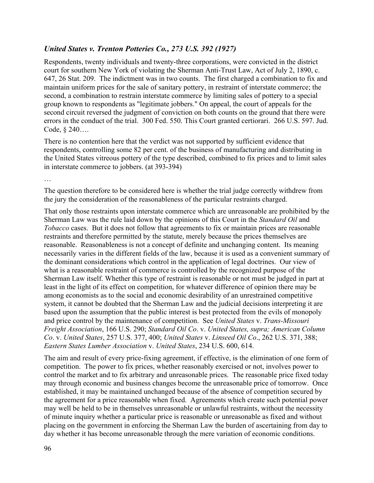# *United States v. Trenton Potteries Co., 273 U.S. 392 (1927)*

Respondents, twenty individuals and twenty-three corporations, were convicted in the district court for southern New York of violating the Sherman Anti-Trust Law, Act of July 2, 1890, c. 647, 26 Stat. 209. The indictment was in two counts. The first charged a combination to fix and maintain uniform prices for the sale of sanitary pottery, in restraint of interstate commerce; the second, a combination to restrain interstate commerce by limiting sales of pottery to a special group known to respondents as "legitimate jobbers." On appeal, the court of appeals for the second circuit reversed the judgment of conviction on both counts on the ground that there were errors in the conduct of the trial. 300 Fed. 550. This Court granted certiorari. 266 U.S. 597. Jud. Code, § 240….

There is no contention here that the verdict was not supported by sufficient evidence that respondents, controlling some 82 per cent. of the business of manufacturing and distributing in the United States vitreous pottery of the type described, combined to fix prices and to limit sales in interstate commerce to jobbers. (at 393-394)

…

The question therefore to be considered here is whether the trial judge correctly withdrew from the jury the consideration of the reasonableness of the particular restraints charged.

That only those restraints upon interstate commerce which are unreasonable are prohibited by the Sherman Law was the rule laid down by the opinions of this Court in the *Standard Oil* and *Tobacco* cases. But it does not follow that agreements to fix or maintain prices are reasonable restraints and therefore permitted by the statute, merely because the prices themselves are reasonable. Reasonableness is not a concept of definite and unchanging content. Its meaning necessarily varies in the different fields of the law, because it is used as a convenient summary of the dominant considerations which control in the application of legal doctrines. Our view of what is a reasonable restraint of commerce is controlled by the recognized purpose of the Sherman Law itself. Whether this type of restraint is reasonable or not must be judged in part at least in the light of its effect on competition, for whatever difference of opinion there may be among economists as to the social and economic desirability of an unrestrained competitive system, it cannot be doubted that the Sherman Law and the judicial decisions interpreting it are based upon the assumption that the public interest is best protected from the evils of monopoly and price control by the maintenance of competition. See *United States* v. *Trans-Missouri Freight Association*, 166 U.S. 290; *Standard Oil Co*. v. *United States, supra; American Column Co*. v. *United States*, 257 U.S. 377, 400; *United States* v. *Linseed Oil Co*., 262 U.S. 371, 388; *Eastern States Lumber Association* v. *United States*, 234 U.S. 600, 614.

The aim and result of every price-fixing agreement, if effective, is the elimination of one form of competition. The power to fix prices, whether reasonably exercised or not, involves power to control the market and to fix arbitrary and unreasonable prices. The reasonable price fixed today may through economic and business changes become the unreasonable price of tomorrow. Once established, it may be maintained unchanged because of the absence of competition secured by the agreement for a price reasonable when fixed. Agreements which create such potential power may well be held to be in themselves unreasonable or unlawful restraints, without the necessity of minute inquiry whether a particular price is reasonable or unreasonable as fixed and without placing on the government in enforcing the Sherman Law the burden of ascertaining from day to day whether it has become unreasonable through the mere variation of economic conditions.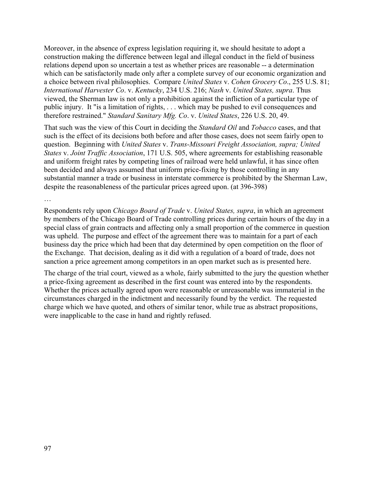Moreover, in the absence of express legislation requiring it, we should hesitate to adopt a construction making the difference between legal and illegal conduct in the field of business relations depend upon so uncertain a test as whether prices are reasonable -- a determination which can be satisfactorily made only after a complete survey of our economic organization and a choice between rival philosophies. Compare *United States* v. *Cohen Grocery Co*., 255 U.S. 81; *International Harvester Co*. v. *Kentucky*, 234 U.S. 216; *Nash* v. *United States, supra*. Thus viewed, the Sherman law is not only a prohibition against the infliction of a particular type of public injury. It "is a limitation of rights, . . . which may be pushed to evil consequences and therefore restrained." *Standard Sanitary Mfg. Co*. v. *United States*, 226 U.S. 20, 49.

That such was the view of this Court in deciding the *Standard Oil* and *Tobacco* cases, and that such is the effect of its decisions both before and after those cases, does not seem fairly open to question. Beginning with *United States* v. *Trans-Missouri Freight Association, supra; United States* v. *Joint Traffic Association*, 171 U.S. 505, where agreements for establishing reasonable and uniform freight rates by competing lines of railroad were held unlawful, it has since often been decided and always assumed that uniform price-fixing by those controlling in any substantial manner a trade or business in interstate commerce is prohibited by the Sherman Law, despite the reasonableness of the particular prices agreed upon. (at 396-398)

…

Respondents rely upon *Chicago Board of Trade* v. *United States, supra*, in which an agreement by members of the Chicago Board of Trade controlling prices during certain hours of the day in a special class of grain contracts and affecting only a small proportion of the commerce in question was upheld. The purpose and effect of the agreement there was to maintain for a part of each business day the price which had been that day determined by open competition on the floor of the Exchange. That decision, dealing as it did with a regulation of a board of trade, does not sanction a price agreement among competitors in an open market such as is presented here.

The charge of the trial court, viewed as a whole, fairly submitted to the jury the question whether a price-fixing agreement as described in the first count was entered into by the respondents. Whether the prices actually agreed upon were reasonable or unreasonable was immaterial in the circumstances charged in the indictment and necessarily found by the verdict. The requested charge which we have quoted, and others of similar tenor, while true as abstract propositions, were inapplicable to the case in hand and rightly refused.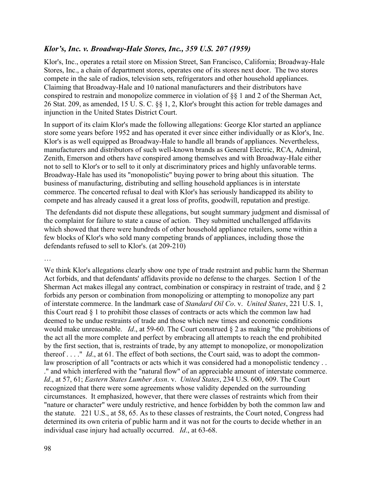## *Klor's, Inc. v. Broadway-Hale Stores, Inc., 359 U.S. 207 (1959)*

Klor's, Inc., operates a retail store on Mission Street, San Francisco, California; Broadway-Hale Stores, Inc., a chain of department stores, operates one of its stores next door. The two stores compete in the sale of radios, television sets, refrigerators and other household appliances. Claiming that Broadway-Hale and 10 national manufacturers and their distributors have conspired to restrain and monopolize commerce in violation of §§ 1 and 2 of the Sherman Act, 26 Stat. 209, as amended, 15 U. S. C. §§ 1, 2, Klor's brought this action for treble damages and injunction in the United States District Court.

In support of its claim Klor's made the following allegations: George Klor started an appliance store some years before 1952 and has operated it ever since either individually or as Klor's, Inc. Klor's is as well equipped as Broadway-Hale to handle all brands of appliances. Nevertheless, manufacturers and distributors of such well-known brands as General Electric, RCA, Admiral, Zenith, Emerson and others have conspired among themselves and with Broadway-Hale either not to sell to Klor's or to sell to it only at discriminatory prices and highly unfavorable terms. Broadway-Hale has used its "monopolistic" buying power to bring about this situation. The business of manufacturing, distributing and selling household appliances is in interstate commerce. The concerted refusal to deal with Klor's has seriously handicapped its ability to compete and has already caused it a great loss of profits, goodwill, reputation and prestige.

The defendants did not dispute these allegations, but sought summary judgment and dismissal of the complaint for failure to state a cause of action. They submitted unchallenged affidavits which showed that there were hundreds of other household appliance retailers, some within a few blocks of Klor's who sold many competing brands of appliances, including those the defendants refused to sell to Klor's. (at 209-210)

…

We think Klor's allegations clearly show one type of trade restraint and public harm the Sherman Act forbids, and that defendants' affidavits provide no defense to the charges. Section 1 of the Sherman Act makes illegal any contract, combination or conspiracy in restraint of trade, and § 2 forbids any person or combination from monopolizing or attempting to monopolize any part of interstate commerce. In the landmark case of *Standard Oil Co*. v. *United States*, 221 U.S. 1, this Court read § 1 to prohibit those classes of contracts or acts which the common law had deemed to be undue restraints of trade and those which new times and economic conditions would make unreasonable. *Id*., at 59-60. The Court construed § 2 as making "the prohibitions of the act all the more complete and perfect by embracing all attempts to reach the end prohibited by the first section, that is, restraints of trade, by any attempt to monopolize, or monopolization thereof . . . ." *Id*., at 61. The effect of both sections, the Court said, was to adopt the commonlaw proscription of all "contracts or acts which it was considered had a monopolistic tendency . . ." and which interfered with the "natural flow" of an appreciable amount of interstate commerce. *Id*., at 57, 61; *Eastern States Lumber Assn*. v. *United States*, 234 U.S. 600, 609. The Court recognized that there were some agreements whose validity depended on the surrounding circumstances. It emphasized, however, that there were classes of restraints which from their "nature or character" were unduly restrictive, and hence forbidden by both the common law and the statute. 221 U.S., at 58, 65. As to these classes of restraints, the Court noted, Congress had determined its own criteria of public harm and it was not for the courts to decide whether in an individual case injury had actually occurred. *Id*., at 63-68.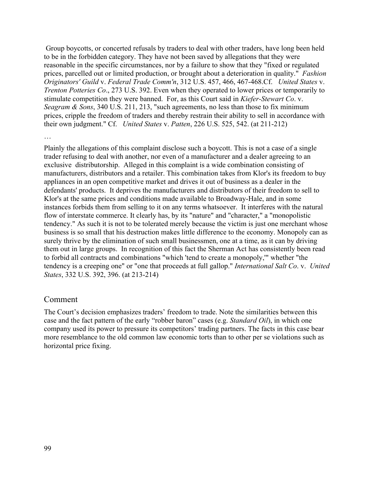Group boycotts, or concerted refusals by traders to deal with other traders, have long been held to be in the forbidden category. They have not been saved by allegations that they were reasonable in the specific circumstances, nor by a failure to show that they "fixed or regulated prices, parcelled out or limited production, or brought about a deterioration in quality." *Fashion Originators' Guild* v. *Federal Trade Comm'n*, 312 U.S. 457, 466, 467-468.Cf. *United States* v. *Trenton Potteries Co*., 273 U.S. 392. Even when they operated to lower prices or temporarily to stimulate competition they were banned. For, as this Court said in *Kiefer-Stewart Co*. v. *Seagram & Sons*, 340 U.S. 211, 213, "such agreements, no less than those to fix minimum prices, cripple the freedom of traders and thereby restrain their ability to sell in accordance with their own judgment." Cf. *United States* v. *Patten*, 226 U.S. 525, 542. (at 211-212)

…

Plainly the allegations of this complaint disclose such a boycott. This is not a case of a single trader refusing to deal with another, nor even of a manufacturer and a dealer agreeing to an exclusive distributorship. Alleged in this complaint is a wide combination consisting of manufacturers, distributors and a retailer. This combination takes from Klor's its freedom to buy appliances in an open competitive market and drives it out of business as a dealer in the defendants' products. It deprives the manufacturers and distributors of their freedom to sell to Klor's at the same prices and conditions made available to Broadway-Hale, and in some instances forbids them from selling to it on any terms whatsoever. It interferes with the natural flow of interstate commerce. It clearly has, by its "nature" and "character," a "monopolistic tendency." As such it is not to be tolerated merely because the victim is just one merchant whose business is so small that his destruction makes little difference to the economy. Monopoly can as surely thrive by the elimination of such small businessmen, one at a time, as it can by driving them out in large groups. In recognition of this fact the Sherman Act has consistently been read to forbid all contracts and combinations "which 'tend to create a monopoly,'" whether "the tendency is a creeping one" or "one that proceeds at full gallop." *International Salt Co*. v. *United States*, 332 U.S. 392, 396. (at 213-214)

### Comment

The Court's decision emphasizes traders' freedom to trade. Note the similarities between this case and the fact pattern of the early "robber baron" cases (e.g. *Standard Oil*), in which one company used its power to pressure its competitors' trading partners. The facts in this case bear more resemblance to the old common law economic torts than to other per se violations such as horizontal price fixing.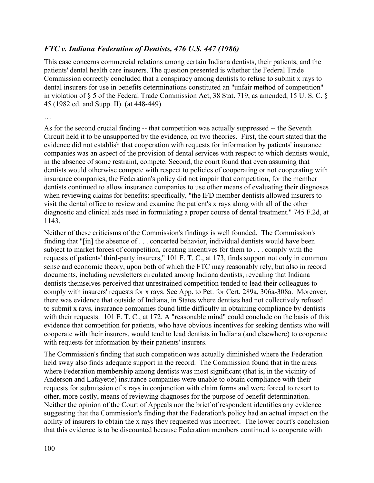### *FTC v. Indiana Federation of Dentists, 476 U.S. 447 (1986)*

This case concerns commercial relations among certain Indiana dentists, their patients, and the patients' dental health care insurers. The question presented is whether the Federal Trade Commission correctly concluded that a conspiracy among dentists to refuse to submit x rays to dental insurers for use in benefits determinations constituted an "unfair method of competition" in violation of § 5 of the Federal Trade Commission Act, 38 Stat. 719, as amended, 15 U. S. C. § 45 (1982 ed. and Supp. II). (at 448-449)

…

As for the second crucial finding -- that competition was actually suppressed -- the Seventh Circuit held it to be unsupported by the evidence, on two theories. First, the court stated that the evidence did not establish that cooperation with requests for information by patients' insurance companies was an aspect of the provision of dental services with respect to which dentists would, in the absence of some restraint, compete. Second, the court found that even assuming that dentists would otherwise compete with respect to policies of cooperating or not cooperating with insurance companies, the Federation's policy did not impair that competition, for the member dentists continued to allow insurance companies to use other means of evaluating their diagnoses when reviewing claims for benefits: specifically, "the IFD member dentists allowed insurers to visit the dental office to review and examine the patient's x rays along with all of the other diagnostic and clinical aids used in formulating a proper course of dental treatment." 745 F.2d, at 1143.

Neither of these criticisms of the Commission's findings is well founded. The Commission's finding that "[in] the absence of . . . concerted behavior, individual dentists would have been subject to market forces of competition, creating incentives for them to . . . comply with the requests of patients' third-party insurers," 101 F. T. C., at 173, finds support not only in common sense and economic theory, upon both of which the FTC may reasonably rely, but also in record documents, including newsletters circulated among Indiana dentists, revealing that Indiana dentists themselves perceived that unrestrained competition tended to lead their colleagues to comply with insurers' requests for x rays. See App. to Pet. for Cert. 289a, 306a-308a. Moreover, there was evidence that outside of Indiana, in States where dentists had not collectively refused to submit x rays, insurance companies found little difficulty in obtaining compliance by dentists with their requests. 101 F. T. C., at 172. A "reasonable mind" could conclude on the basis of this evidence that competition for patients, who have obvious incentives for seeking dentists who will cooperate with their insurers, would tend to lead dentists in Indiana (and elsewhere) to cooperate with requests for information by their patients' insurers.

The Commission's finding that such competition was actually diminished where the Federation held sway also finds adequate support in the record. The Commission found that in the areas where Federation membership among dentists was most significant (that is, in the vicinity of Anderson and Lafayette) insurance companies were unable to obtain compliance with their requests for submission of x rays in conjunction with claim forms and were forced to resort to other, more costly, means of reviewing diagnoses for the purpose of benefit determination. Neither the opinion of the Court of Appeals nor the brief of respondent identifies any evidence suggesting that the Commission's finding that the Federation's policy had an actual impact on the ability of insurers to obtain the x rays they requested was incorrect. The lower court's conclusion that this evidence is to be discounted because Federation members continued to cooperate with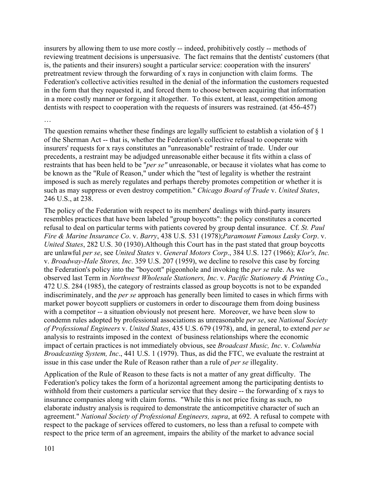insurers by allowing them to use more costly -- indeed, prohibitively costly -- methods of reviewing treatment decisions is unpersuasive. The fact remains that the dentists' customers (that is, the patients and their insurers) sought a particular service: cooperation with the insurers' pretreatment review through the forwarding of x rays in conjunction with claim forms. The Federation's collective activities resulted in the denial of the information the customers requested in the form that they requested it, and forced them to choose between acquiring that information in a more costly manner or forgoing it altogether. To this extent, at least, competition among dentists with respect to cooperation with the requests of insurers was restrained. (at 456-457)

#### …

The question remains whether these findings are legally sufficient to establish a violation of  $\S$  1 of the Sherman Act -- that is, whether the Federation's collective refusal to cooperate with insurers' requests for x rays constitutes an "unreasonable" restraint of trade. Under our precedents, a restraint may be adjudged unreasonable either because it fits within a class of restraints that has been held to be "*per se"* unreasonable, or because it violates what has come to be known as the "Rule of Reason," under which the "test of legality is whether the restraint imposed is such as merely regulates and perhaps thereby promotes competition or whether it is such as may suppress or even destroy competition." *Chicago Board of Trade* v. *United States*, 246 U.S., at 238.

The policy of the Federation with respect to its members' dealings with third-party insurers resembles practices that have been labeled "group boycotts": the policy constitutes a concerted refusal to deal on particular terms with patients covered by group dental insurance. Cf. *St. Paul Fire & Marine Insurance Co*. v. *Barry*, 438 U.S. 531 (1978);*Paramount Famous Lasky Corp*. v. *United States*, 282 U.S. 30 (1930).Although this Court has in the past stated that group boycotts are unlawful *per se*, see *United States* v. *General Motors Corp*., 384 U.S. 127 (1966); *Klor's, Inc.* v. *Broadway-Hale Stores, Inc*. 359 U.S. 207 (1959), we decline to resolve this case by forcing the Federation's policy into the "boycott" pigeonhole and invoking the *per se* rule. As we observed last Term in *Northwest Wholesale Stationers, Inc*. v. *Pacific Stationery & Printing Co*., 472 U.S. 284 (1985), the category of restraints classed as group boycotts is not to be expanded indiscriminately, and the *per se* approach has generally been limited to cases in which firms with market power boycott suppliers or customers in order to discourage them from doing business with a competitor -- a situation obviously not present here. Moreover, we have been slow to condemn rules adopted by professional associations as unreasonable *per se*, see *National Society of Professional Engineers* v. *United States*, 435 U.S. 679 (1978), and, in general, to extend *per se* analysis to restraints imposed in the context of business relationships where the economic impact of certain practices is not immediately obvious, see *Broadcast Music, Inc*. v. *Columbia Broadcasting System, Inc*., 441 U.S. 1 (1979). Thus, as did the FTC, we evaluate the restraint at issue in this case under the Rule of Reason rather than a rule of *per se* illegality.

Application of the Rule of Reason to these facts is not a matter of any great difficulty. The Federation's policy takes the form of a horizontal agreement among the participating dentists to withhold from their customers a particular service that they desire -- the forwarding of x rays to insurance companies along with claim forms. "While this is not price fixing as such, no elaborate industry analysis is required to demonstrate the anticompetitive character of such an agreement." *National Society of Professional Engineers, supra*, at 692. A refusal to compete with respect to the package of services offered to customers, no less than a refusal to compete with respect to the price term of an agreement, impairs the ability of the market to advance social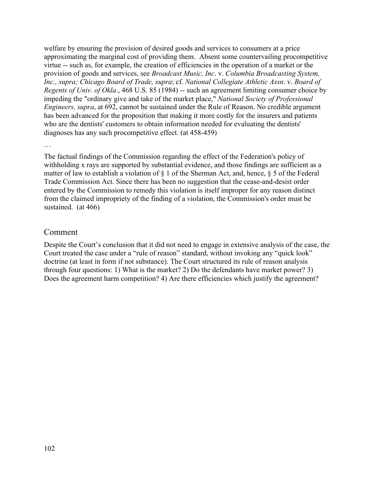welfare by ensuring the provision of desired goods and services to consumers at a price approximating the marginal cost of providing them. Absent some countervailing procompetitive virtue -- such as, for example, the creation of efficiencies in the operation of a market or the provision of goods and services, see *Broadcast Music, Inc*. v. *Columbia Broadcasting System, Inc., supra; Chicago Board of Trade, supra*; cf. *National Collegiate Athletic Assn*. v. *Board of Regents of Univ. of Okla*., 468 U.S. 85 (1984) -- such an agreement limiting consumer choice by impeding the "ordinary give and take of the market place," *National Society of Professional Engineers, supra*, at 692, cannot be sustained under the Rule of Reason. No credible argument has been advanced for the proposition that making it more costly for the insurers and patients who are the dentists' customers to obtain information needed for evaluating the dentists' diagnoses has any such procompetitive effect. (at 458-459)

…

The factual findings of the Commission regarding the effect of the Federation's policy of withholding x rays are supported by substantial evidence, and those findings are sufficient as a matter of law to establish a violation of § 1 of the Sherman Act, and, hence, § 5 of the Federal Trade Commission Act. Since there has been no suggestion that the cease-and-desist order entered by the Commission to remedy this violation is itself improper for any reason distinct from the claimed impropriety of the finding of a violation, the Commission's order must be sustained. (at 466)

### Comment

Despite the Court's conclusion that it did not need to engage in extensive analysis of the case, the Court treated the case under a "rule of reason" standard, without invoking any "quick look" doctrine (at least in form if not substance). The Court structured its rule of reason analysis through four questions: 1) What is the market? 2) Do the defendants have market power? 3) Does the agreement harm competition? 4) Are there efficiencies which justify the agreement?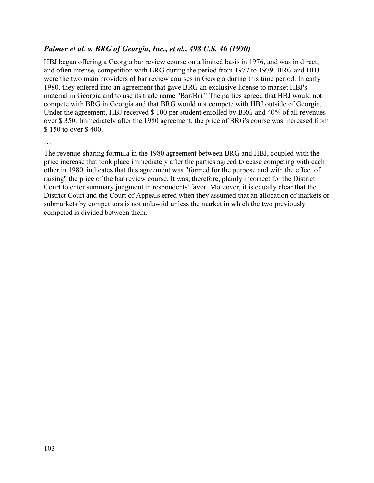### *Palmer et al. v. BRG of Georgia, Inc., et al., 498 U.S. 46 (1990)*

HBJ began offering a Georgia bar review course on a limited basis in 1976, and was in direct, and often intense, competition with BRG during the period from 1977 to 1979. BRG and HBJ were the two main providers of bar review courses in Georgia during this time period. In early 1980, they entered into an agreement that gave BRG an exclusive license to market HBJ's material in Georgia and to use its trade name "Bar/Bri." The parties agreed that HBJ would not compete with BRG in Georgia and that BRG would not compete with HBJ outside of Georgia. Under the agreement, HBJ received \$ 100 per student enrolled by BRG and 40% of all revenues over \$ 350. Immediately after the 1980 agreement, the price of BRG's course was increased from \$ 150 to over \$ 400.

…

The revenue-sharing formula in the 1980 agreement between BRG and HBJ, coupled with the price increase that took place immediately after the parties agreed to cease competing with each other in 1980, indicates that this agreement was "formed for the purpose and with the effect of raising" the price of the bar review course. It was, therefore, plainly incorrect for the District Court to enter summary judgment in respondents' favor. Moreover, it is equally clear that the District Court and the Court of Appeals erred when they assumed that an allocation of markets or submarkets by competitors is not unlawful unless the market in which the two previously competed is divided between them.